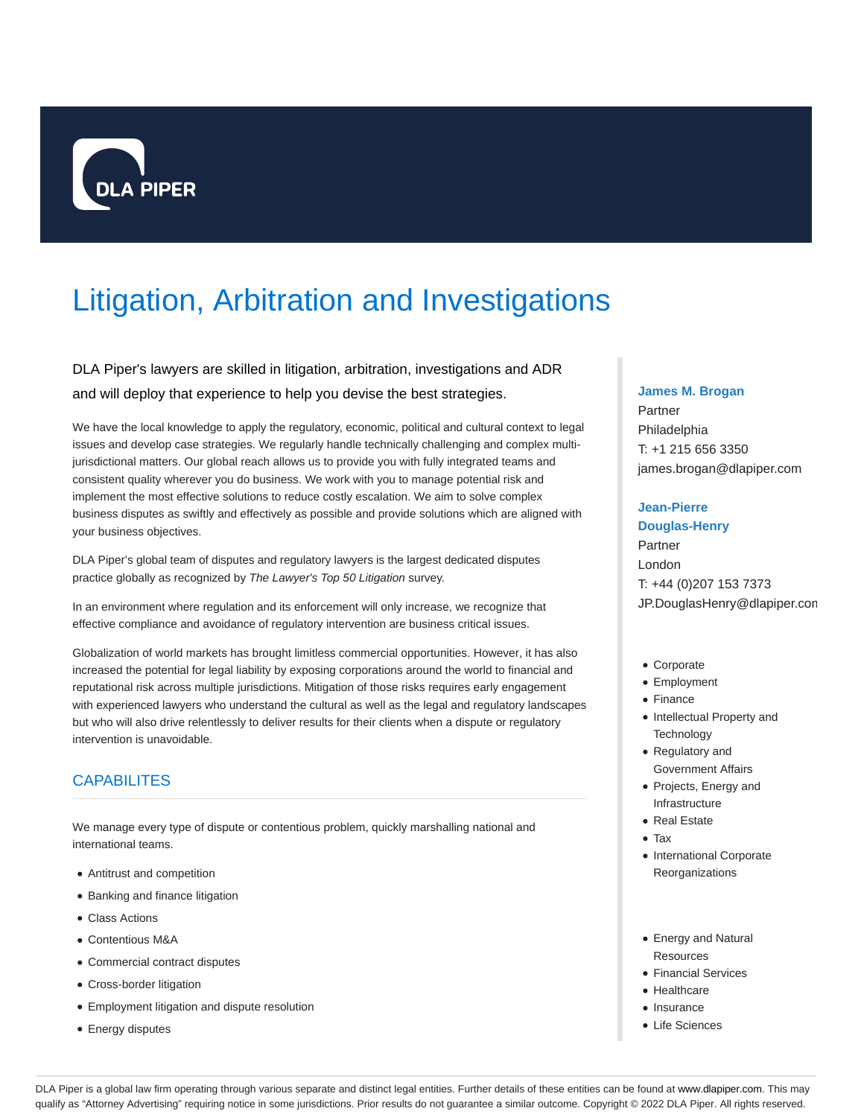

# Litigation, Arbitration and Investigations

# DLA Piper's lawyers are skilled in litigation, arbitration, investigations and ADR and will deploy that experience to help you devise the best strategies.

We have the local knowledge to apply the regulatory, economic, political and cultural context to legal issues and develop case strategies. We regularly handle technically challenging and complex multijurisdictional matters. Our global reach allows us to provide you with fully integrated teams and consistent quality wherever you do business. We work with you to manage potential risk and implement the most effective solutions to reduce costly escalation. We aim to solve complex business disputes as swiftly and effectively as possible and provide solutions which are aligned with your business objectives.

DLA Piper's global team of disputes and regulatory lawyers is the largest dedicated disputes practice globally as recognized by The Lawyer's Top 50 Litigation survey.

In an environment where regulation and its enforcement will only increase, we recognize that effective compliance and avoidance of regulatory intervention are business critical issues.

Globalization of world markets has brought limitless commercial opportunities. However, it has also increased the potential for legal liability by exposing corporations around the world to financial and reputational risk across multiple jurisdictions. Mitigation of those risks requires early engagement with experienced lawyers who understand the cultural as well as the legal and regulatory landscapes but who will also drive relentlessly to deliver results for their clients when a dispute or regulatory intervention is unavoidable.

# **CAPABILITES**

We manage every type of dispute or contentious problem, quickly marshalling national and international teams.

- Antitrust and competition
- Banking and finance litigation
- Class Actions
- Contentious M&A
- Commercial contract disputes
- Cross-border litigation
- Employment litigation and dispute resolution
- Energy disputes

# **James M. Brogan**

Partner Philadelphia T: +1 215 656 3350 james.brogan@dlapiper.com

# **Jean-Pierre**

**Douglas-Henry** Partner London T: +44 (0)207 153 7373 JP.DouglasHenry@dlapiper.com

- Corporate
- Employment
- Finance
- Intellectual Property and **Technology**
- Regulatory and Government Affairs
- Projects, Energy and Infrastructure
- Real Estate
- Tax
- International Corporate Reorganizations
- Energy and Natural Resources
- Financial Services
- Healthcare
- Insurance
- Life Sciences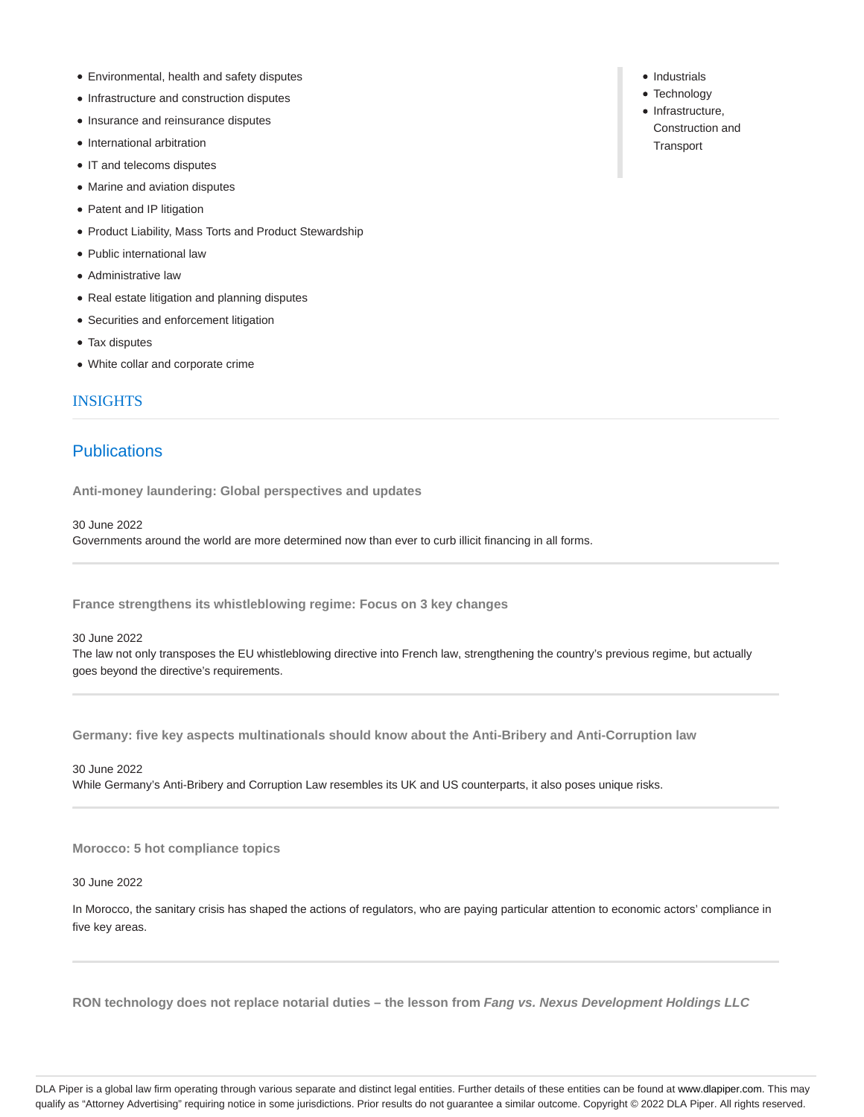- Environmental, health and safety disputes
- Infrastructure and construction disputes
- Insurance and reinsurance disputes
- International arbitration
- IT and telecoms disputes
- Marine and aviation disputes
- Patent and IP litigation
- Product Liability, Mass Torts and Product Stewardship
- Public international law
- Administrative law
- Real estate litigation and planning disputes
- Securities and enforcement litigation
- Tax disputes
- White collar and corporate crime

# INSIGHTS

# **Publications**

**Anti-money laundering: Global perspectives and updates**

30 June 2022

Governments around the world are more determined now than ever to curb illicit financing in all forms.

**France strengthens its whistleblowing regime: Focus on 3 key changes**

#### 30 June 2022

The law not only transposes the EU whistleblowing directive into French law, strengthening the country's previous regime, but actually goes beyond the directive's requirements.

**Germany: five key aspects multinationals should know about the Anti-Bribery and Anti-Corruption law**

30 June 2022

While Germany's Anti-Bribery and Corruption Law resembles its UK and US counterparts, it also poses unique risks.

**Morocco: 5 hot compliance topics**

30 June 2022

In Morocco, the sanitary crisis has shaped the actions of regulators, who are paying particular attention to economic actors' compliance in five key areas.

**RON technology does not replace notarial duties – the lesson from Fang vs. Nexus Development Holdings LLC**

• Industrials

- Technology
- Infrastructure, Construction and **Transport**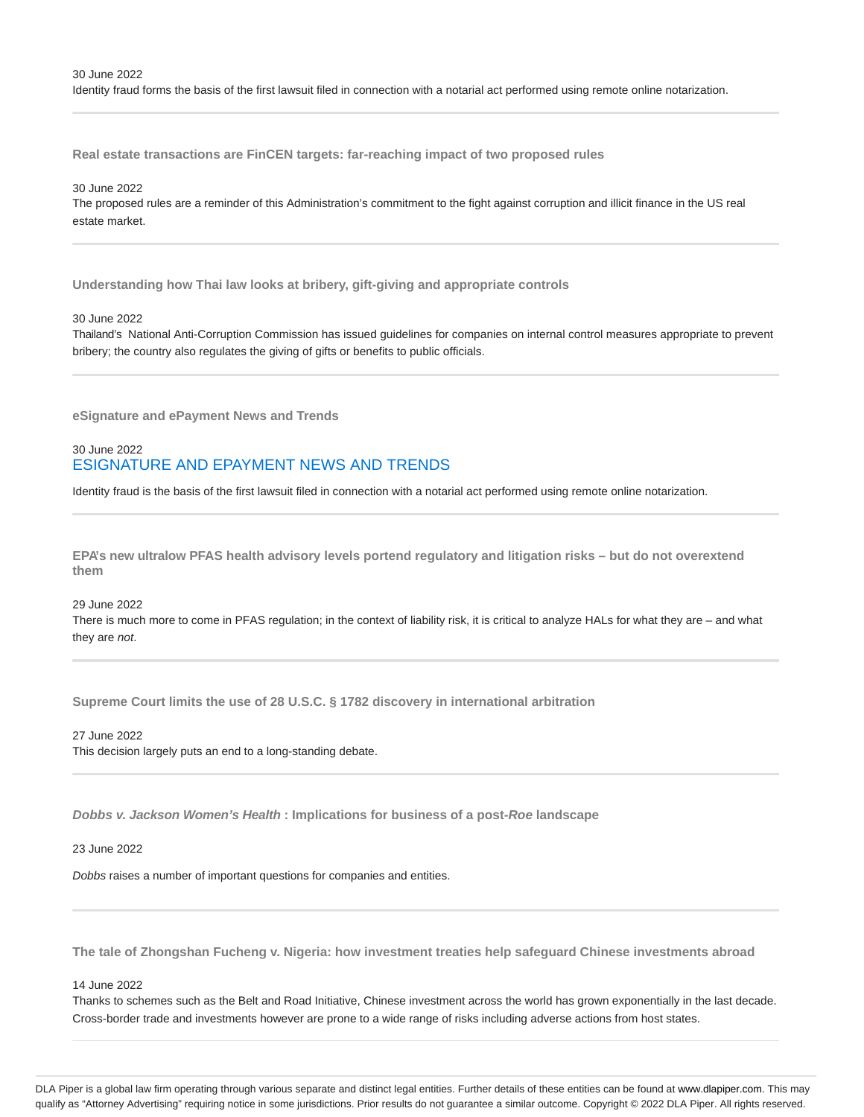**Real estate transactions are FinCEN targets: far-reaching impact of two proposed rules**

# 30 June 2022

The proposed rules are a reminder of this Administration's commitment to the fight against corruption and illicit finance in the US real estate market.

**Understanding how Thai law looks at bribery, gift-giving and appropriate controls**

# 30 June 2022

Thailand's National Anti-Corruption Commission has issued guidelines for companies on internal control measures appropriate to prevent bribery; the country also regulates the giving of gifts or benefits to public officials.

**eSignature and ePayment News and Trends**

# 30 June 2022 ESIGNATURE AND EPAYMENT NEWS AND TRENDS

Identity fraud is the basis of the first lawsuit filed in connection with a notarial act performed using remote online notarization.

**EPA's new ultralow PFAS health advisory levels portend regulatory and litigation risks – but do not overextend them**

# 29 June 2022

There is much more to come in PFAS regulation; in the context of liability risk, it is critical to analyze HALs for what they are – and what they are not.

**Supreme Court limits the use of 28 U.S.C. § 1782 discovery in international arbitration**

27 June 2022 This decision largely puts an end to a long-standing debate.

**Dobbs v. Jackson Women's Health : Implications for business of a post-Roe landscape**

23 June 2022

Dobbs raises a number of important questions for companies and entities.

**The tale of Zhongshan Fucheng v. Nigeria: how investment treaties help safeguard Chinese investments abroad**

#### 14 June 2022

Thanks to schemes such as the Belt and Road Initiative, Chinese investment across the world has grown exponentially in the last decade. Cross-border trade and investments however are prone to a wide range of risks including adverse actions from host states.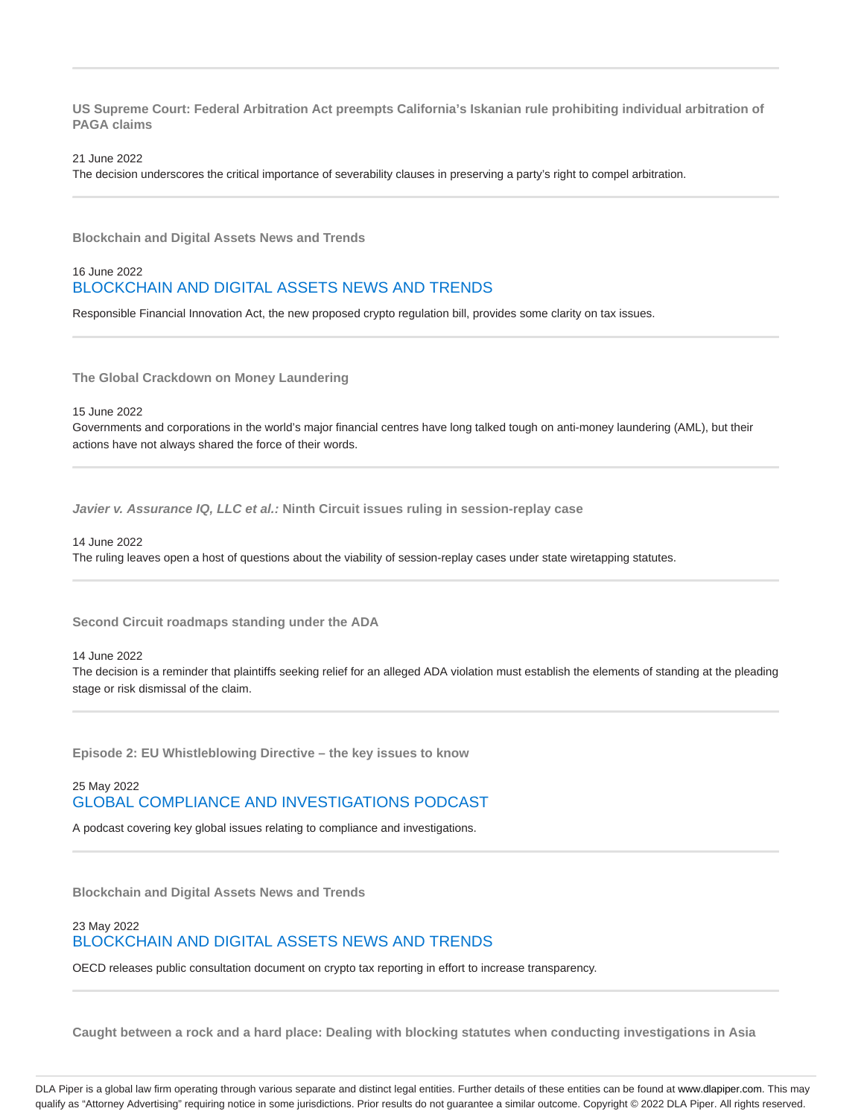**US Supreme Court: Federal Arbitration Act preempts California's Iskanian rule prohibiting individual arbitration of PAGA claims**

21 June 2022

The decision underscores the critical importance of severability clauses in preserving a party's right to compel arbitration.

**Blockchain and Digital Assets News and Trends**

# 16 June 2022 BLOCKCHAIN AND DIGITAL ASSETS NEWS AND TRENDS

Responsible Financial Innovation Act, the new proposed crypto regulation bill, provides some clarity on tax issues.

**The Global Crackdown on Money Laundering**

15 June 2022

Governments and corporations in the world's major financial centres have long talked tough on anti-money laundering (AML), but their actions have not always shared the force of their words.

**Javier v. Assurance IQ, LLC et al.: Ninth Circuit issues ruling in session-replay case**

14 June 2022

The ruling leaves open a host of questions about the viability of session-replay cases under state wiretapping statutes.

**Second Circuit roadmaps standing under the ADA**

14 June 2022

The decision is a reminder that plaintiffs seeking relief for an alleged ADA violation must establish the elements of standing at the pleading stage or risk dismissal of the claim.

**Episode 2: EU Whistleblowing Directive – the key issues to know**

25 May 2022 GLOBAL COMPLIANCE AND INVESTIGATIONS PODCAST

A podcast covering key global issues relating to compliance and investigations.

**Blockchain and Digital Assets News and Trends**

# 23 May 2022 BLOCKCHAIN AND DIGITAL ASSETS NEWS AND TRENDS

OECD releases public consultation document on crypto tax reporting in effort to increase transparency.

**Caught between a rock and a hard place: Dealing with blocking statutes when conducting investigations in Asia**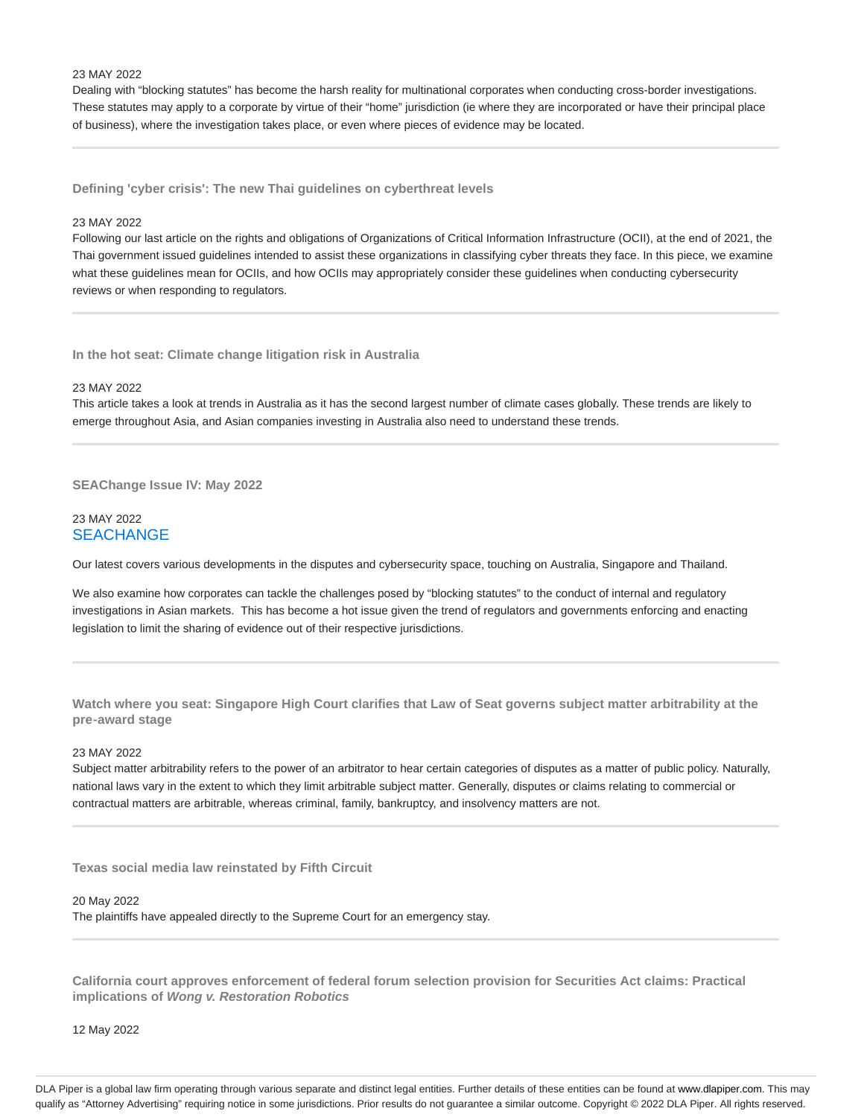#### 23 MAY 2022

Dealing with "blocking statutes" has become the harsh reality for multinational corporates when conducting cross-border investigations. These statutes may apply to a corporate by virtue of their "home" jurisdiction (ie where they are incorporated or have their principal place of business), where the investigation takes place, or even where pieces of evidence may be located.

**Defining 'cyber crisis': The new Thai guidelines on cyberthreat levels**

#### 23 MAY 2022

Following our last article on the rights and obligations of Organizations of Critical Information Infrastructure (OCII), at the end of 2021, the Thai government issued guidelines intended to assist these organizations in classifying cyber threats they face. In this piece, we examine what these guidelines mean for OCIIs, and how OCIIs may appropriately consider these guidelines when conducting cybersecurity reviews or when responding to regulators.

**In the hot seat: Climate change litigation risk in Australia**

#### 23 MAY 2022

This article takes a look at trends in Australia as it has the second largest number of climate cases globally. These trends are likely to emerge throughout Asia, and Asian companies investing in Australia also need to understand these trends.

**SEAChange Issue IV: May 2022**

### 23 MAY 2022 **SEACHANGE**

Our latest covers various developments in the disputes and cybersecurity space, touching on Australia, Singapore and Thailand.

We also examine how corporates can tackle the challenges posed by "blocking statutes" to the conduct of internal and regulatory investigations in Asian markets. This has become a hot issue given the trend of regulators and governments enforcing and enacting legislation to limit the sharing of evidence out of their respective jurisdictions.

**Watch where you seat: Singapore High Court clarifies that Law of Seat governs subject matter arbitrability at the pre‑award stage**

#### 23 MAY 2022

Subject matter arbitrability refers to the power of an arbitrator to hear certain categories of disputes as a matter of public policy. Naturally, national laws vary in the extent to which they limit arbitrable subject matter. Generally, disputes or claims relating to commercial or contractual matters are arbitrable, whereas criminal, family, bankruptcy, and insolvency matters are not.

**Texas social media law reinstated by Fifth Circuit**

#### 20 May 2022

The plaintiffs have appealed directly to the Supreme Court for an emergency stay.

**California court approves enforcement of federal forum selection provision for Securities Act claims: Practical implications of Wong v. Restoration Robotics**

12 May 2022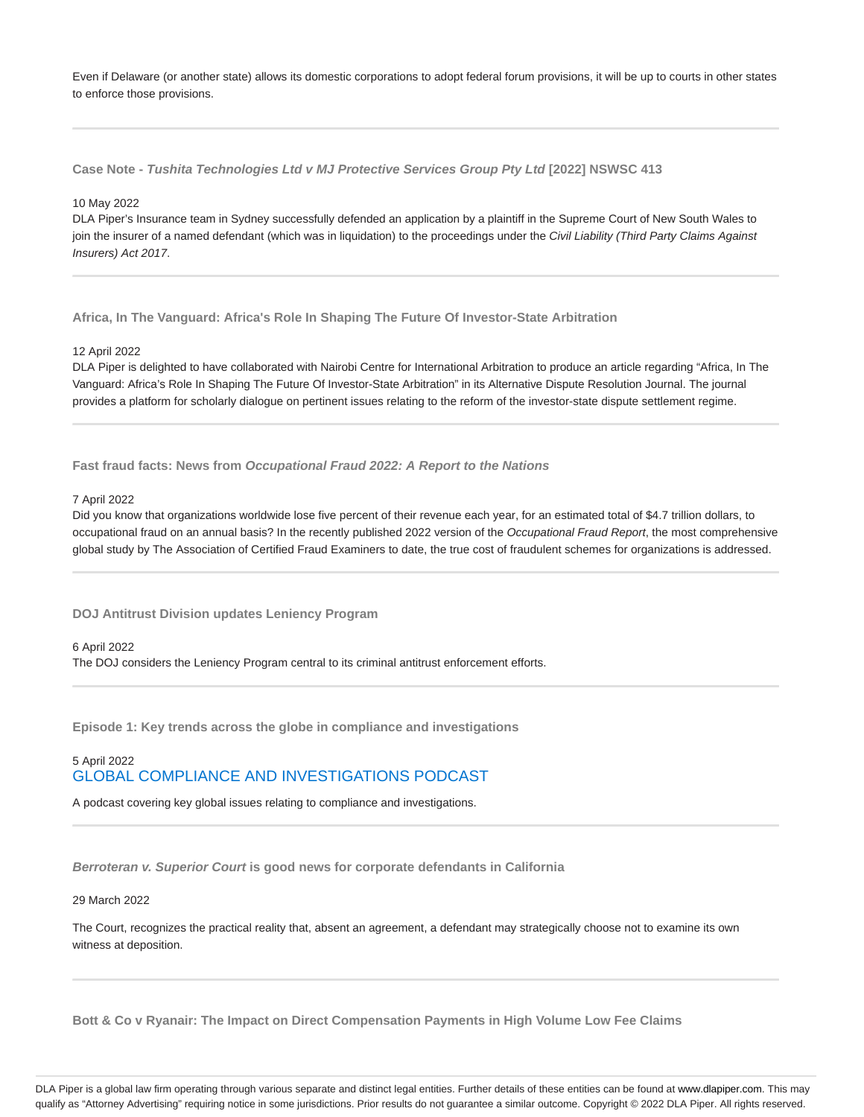Even if Delaware (or another state) allows its domestic corporations to adopt federal forum provisions, it will be up to courts in other states to enforce those provisions.

**Case Note - Tushita Technologies Ltd v MJ Protective Services Group Pty Ltd [2022] NSWSC 413**

#### 10 May 2022

DLA Piper's Insurance team in Sydney successfully defended an application by a plaintiff in the Supreme Court of New South Wales to join the insurer of a named defendant (which was in liquidation) to the proceedings under the Civil Liability (Third Party Claims Against Insurers) Act 2017.

**Africa, In The Vanguard: Africa's Role In Shaping The Future Of Investor-State Arbitration**

#### 12 April 2022

DLA Piper is delighted to have collaborated with Nairobi Centre for International Arbitration to produce an article regarding "Africa, In The Vanguard: Africa's Role In Shaping The Future Of Investor-State Arbitration" in its Alternative Dispute Resolution Journal. The journal provides a platform for scholarly dialogue on pertinent issues relating to the reform of the investor-state dispute settlement regime.

**Fast fraud facts: News from Occupational Fraud 2022: A Report to the Nations**

#### 7 April 2022

Did you know that organizations worldwide lose five percent of their revenue each year, for an estimated total of \$4.7 trillion dollars, to occupational fraud on an annual basis? In the recently published 2022 version of the Occupational Fraud Report, the most comprehensive global study by The Association of Certified Fraud Examiners to date, the true cost of fraudulent schemes for organizations is addressed.

**DOJ Antitrust Division updates Leniency Program**

#### 6 April 2022

The DOJ considers the Leniency Program central to its criminal antitrust enforcement efforts.

**Episode 1: Key trends across the globe in compliance and investigations**

# 5 April 2022 GLOBAL COMPLIANCE AND INVESTIGATIONS PODCAST

A podcast covering key global issues relating to compliance and investigations.

**Berroteran v. Superior Court is good news for corporate defendants in California**

#### 29 March 2022

The Court, recognizes the practical reality that, absent an agreement, a defendant may strategically choose not to examine its own witness at deposition.

**Bott & Co v Ryanair: The Impact on Direct Compensation Payments in High Volume Low Fee Claims**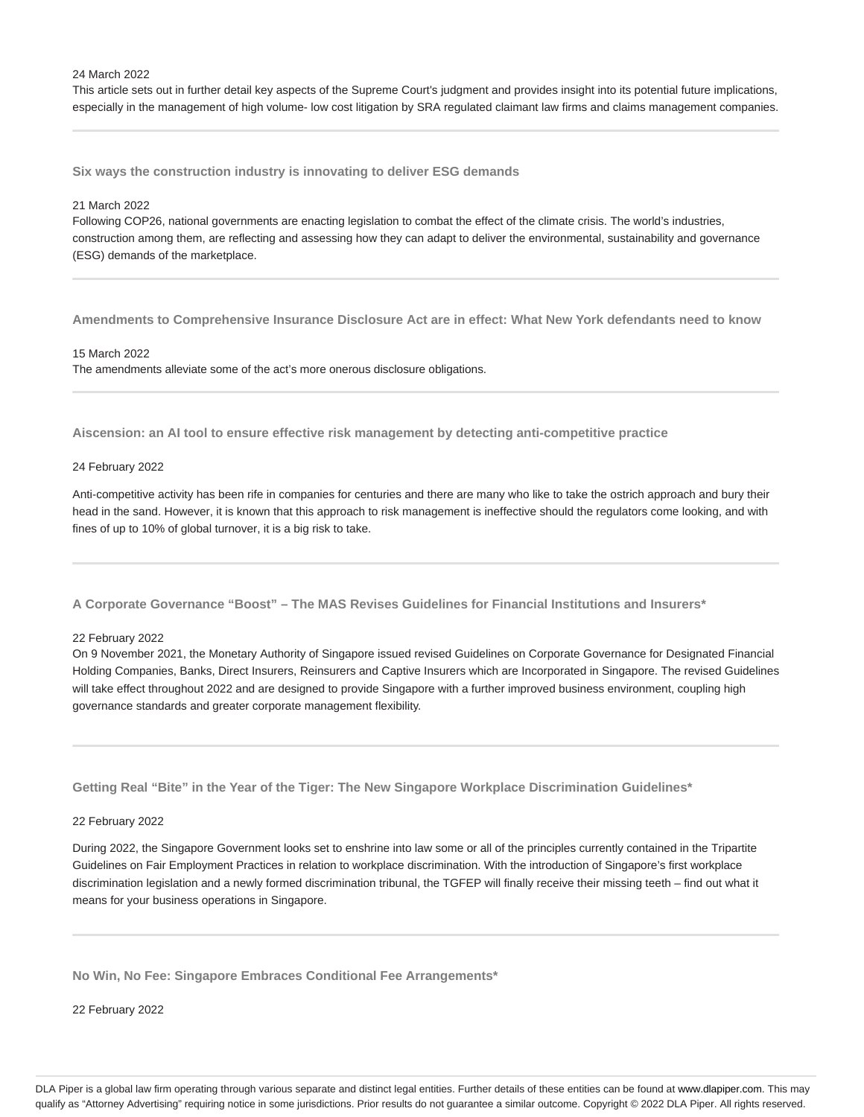#### 24 March 2022

This article sets out in further detail key aspects of the Supreme Court's judgment and provides insight into its potential future implications, especially in the management of high volume- low cost litigation by SRA regulated claimant law firms and claims management companies.

**Six ways the construction industry is innovating to deliver ESG demands**

#### 21 March 2022

Following COP26, national governments are enacting legislation to combat the effect of the climate crisis. The world's industries, construction among them, are reflecting and assessing how they can adapt to deliver the environmental, sustainability and governance (ESG) demands of the marketplace.

**Amendments to Comprehensive Insurance Disclosure Act are in effect: What New York defendants need to know**

#### 15 March 2022

The amendments alleviate some of the act's more onerous disclosure obligations.

**Aiscension: an AI tool to ensure effective risk management by detecting anti-competitive practice**

#### 24 February 2022

Anti-competitive activity has been rife in companies for centuries and there are many who like to take the ostrich approach and bury their head in the sand. However, it is known that this approach to risk management is ineffective should the regulators come looking, and with fines of up to 10% of global turnover, it is a big risk to take.

**A Corporate Governance "Boost" – The MAS Revises Guidelines for Financial Institutions and Insurers\***

#### 22 February 2022

On 9 November 2021, the Monetary Authority of Singapore issued revised Guidelines on Corporate Governance for Designated Financial Holding Companies, Banks, Direct Insurers, Reinsurers and Captive Insurers which are Incorporated in Singapore. The revised Guidelines will take effect throughout 2022 and are designed to provide Singapore with a further improved business environment, coupling high governance standards and greater corporate management flexibility.

**Getting Real "Bite" in the Year of the Tiger: The New Singapore Workplace Discrimination Guidelines\***

#### 22 February 2022

During 2022, the Singapore Government looks set to enshrine into law some or all of the principles currently contained in the Tripartite Guidelines on Fair Employment Practices in relation to workplace discrimination. With the introduction of Singapore's first workplace discrimination legislation and a newly formed discrimination tribunal, the TGFEP will finally receive their missing teeth – find out what it means for your business operations in Singapore.

**No Win, No Fee: Singapore Embraces Conditional Fee Arrangements\***

22 February 2022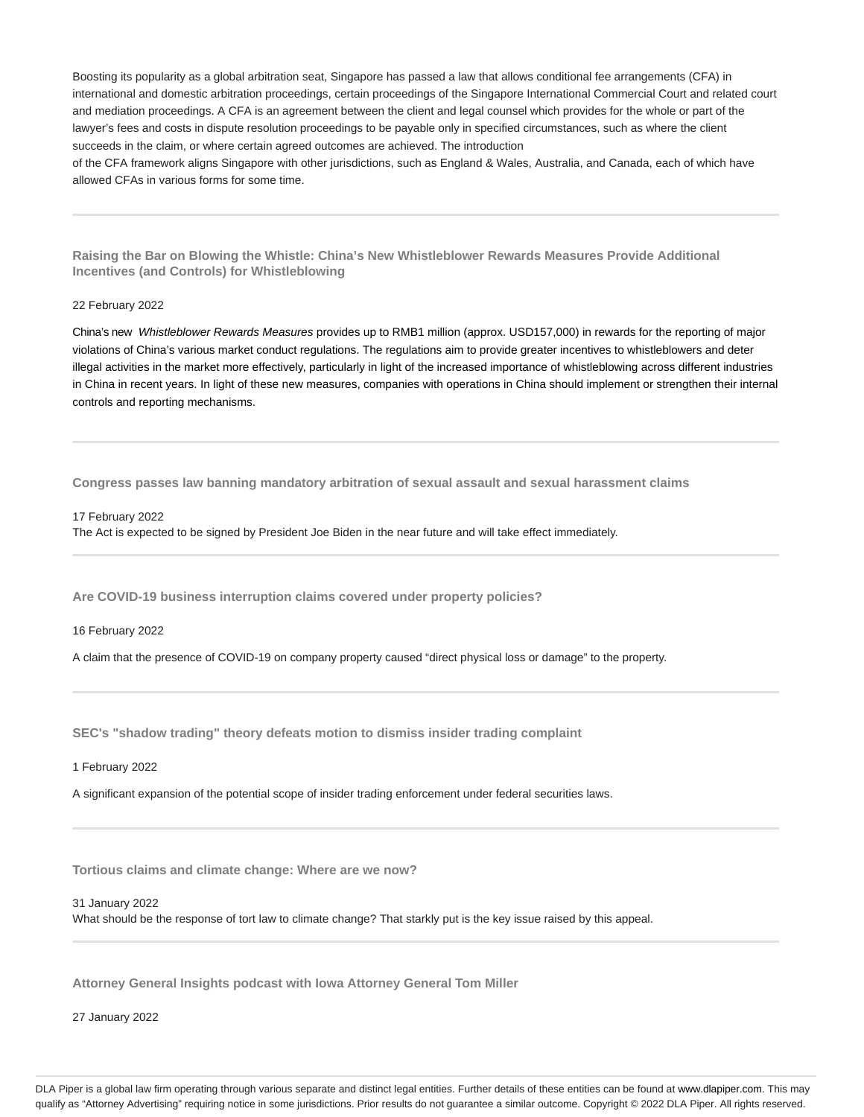Boosting its popularity as a global arbitration seat, Singapore has passed a law that allows conditional fee arrangements (CFA) in international and domestic arbitration proceedings, certain proceedings of the Singapore International Commercial Court and related court and mediation proceedings. A CFA is an agreement between the client and legal counsel which provides for the whole or part of the lawyer's fees and costs in dispute resolution proceedings to be payable only in specified circumstances, such as where the client succeeds in the claim, or where certain agreed outcomes are achieved. The introduction

of the CFA framework aligns Singapore with other jurisdictions, such as England & Wales, Australia, and Canada, each of which have allowed CFAs in various forms for some time.

**Raising the Bar on Blowing the Whistle: China's New Whistleblower Rewards Measures Provide Additional Incentives (and Controls) for Whistleblowing**

#### 22 February 2022

China's new Whistleblower Rewards Measures provides up to RMB1 million (approx. USD157,000) in rewards for the reporting of major violations of China's various market conduct regulations. The regulations aim to provide greater incentives to whistleblowers and deter illegal activities in the market more effectively, particularly in light of the increased importance of whistleblowing across different industries in China in recent years. In light of these new measures, companies with operations in China should implement or strengthen their internal controls and reporting mechanisms.

**Congress passes law banning mandatory arbitration of sexual assault and sexual harassment claims**

17 February 2022 The Act is expected to be signed by President Joe Biden in the near future and will take effect immediately.

**Are COVID-19 business interruption claims covered under property policies?**

16 February 2022

A claim that the presence of COVID-19 on company property caused "direct physical loss or damage" to the property.

**SEC's "shadow trading" theory defeats motion to dismiss insider trading complaint**

1 February 2022

A significant expansion of the potential scope of insider trading enforcement under federal securities laws.

**Tortious claims and climate change: Where are we now?**

31 January 2022

What should be the response of tort law to climate change? That starkly put is the key issue raised by this appeal.

**Attorney General Insights podcast with Iowa Attorney General Tom Miller**

27 January 2022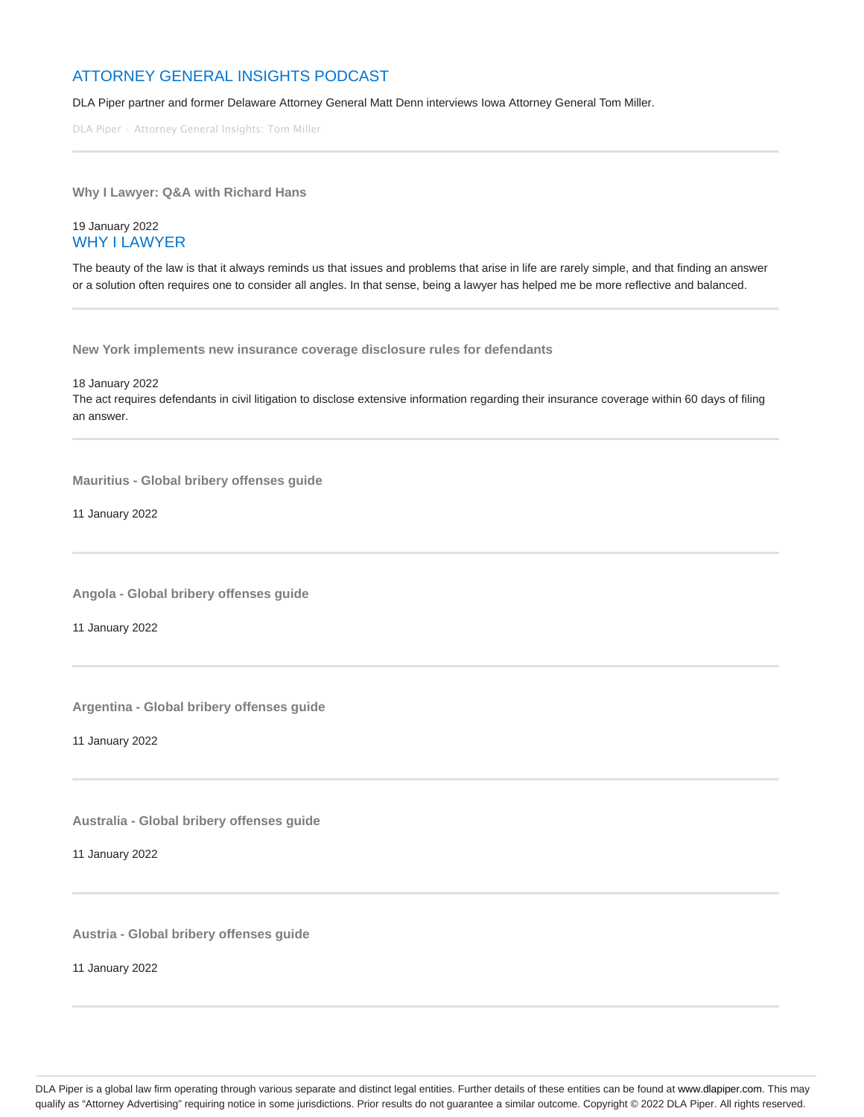# ATTORNEY GENERAL INSIGHTS PODCAST

DLA Piper partner and former Delaware Attorney General Matt Denn interviews Iowa Attorney General Tom Miller.

DLA Piper · Attorney General Insights: Tom Miller

**Why I Lawyer: Q&A with Richard Hans**

# 19 January 2022 WHY I LAWYER

The beauty of the law is that it always reminds us that issues and problems that arise in life are rarely simple, and that finding an answer or a solution often requires one to consider all angles. In that sense, being a lawyer has helped me be more reflective and balanced.

**New York implements new insurance coverage disclosure rules for defendants**

18 January 2022

The act requires defendants in civil litigation to disclose extensive information regarding their insurance coverage within 60 days of filing an answer.

**Mauritius - Global bribery offenses guide**

11 January 2022

**Angola - Global bribery offenses guide**

11 January 2022

**Argentina - Global bribery offenses guide**

11 January 2022

**Australia - Global bribery offenses guide**

11 January 2022

**Austria - Global bribery offenses guide**

11 January 2022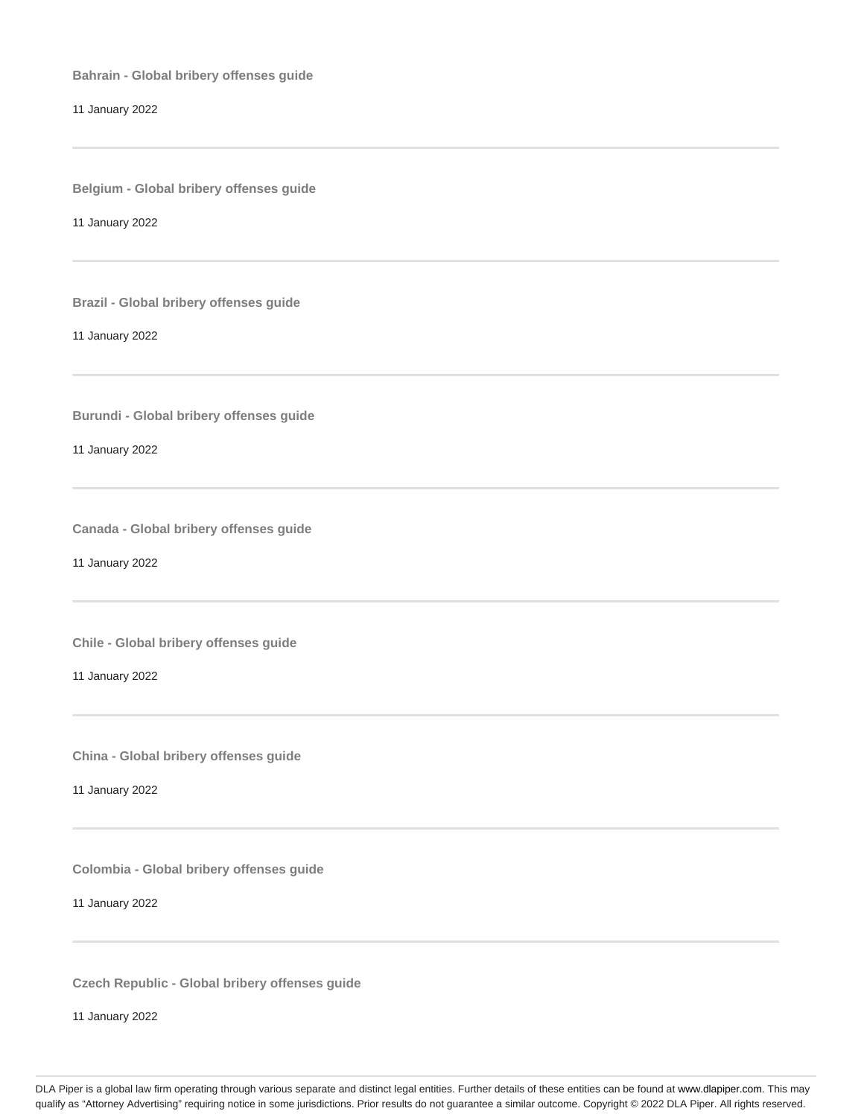**Bahrain - Global bribery offenses guide**

11 January 2022

**Belgium - Global bribery offenses guide**

11 January 2022

**Brazil - Global bribery offenses guide**

11 January 2022

**Burundi - Global bribery offenses guide**

11 January 2022

**Canada - Global bribery offenses guide**

11 January 2022

**Chile - Global bribery offenses guide**

11 January 2022

**China - Global bribery offenses guide**

11 January 2022

**Colombia - Global bribery offenses guide**

11 January 2022

**Czech Republic - Global bribery offenses guide**

11 January 2022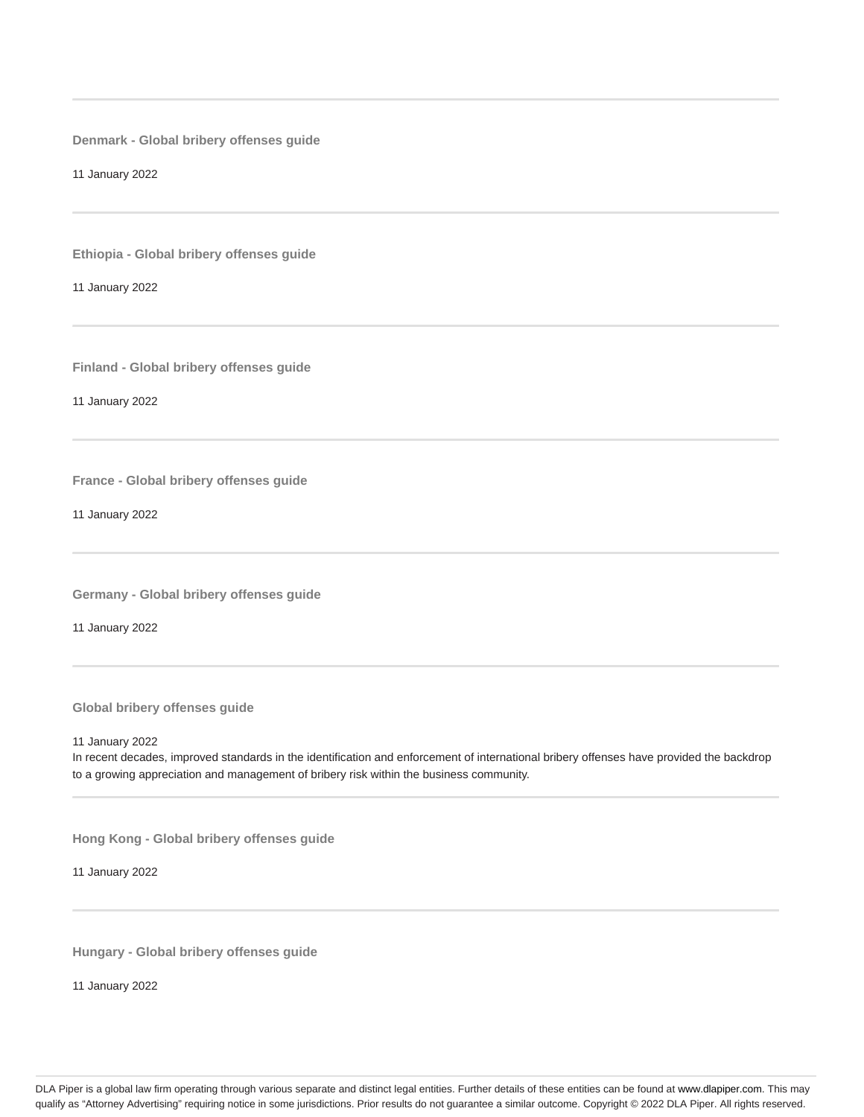**Denmark - Global bribery offenses guide**

11 January 2022

**Ethiopia - Global bribery offenses guide**

11 January 2022

**Finland - Global bribery offenses guide**

11 January 2022

**France - Global bribery offenses guide**

11 January 2022

**Germany - Global bribery offenses guide**

11 January 2022

**Global bribery offenses guide**

11 January 2022

In recent decades, improved standards in the identification and enforcement of international bribery offenses have provided the backdrop to a growing appreciation and management of bribery risk within the business community.

**Hong Kong - Global bribery offenses guide**

11 January 2022

**Hungary - Global bribery offenses guide**

11 January 2022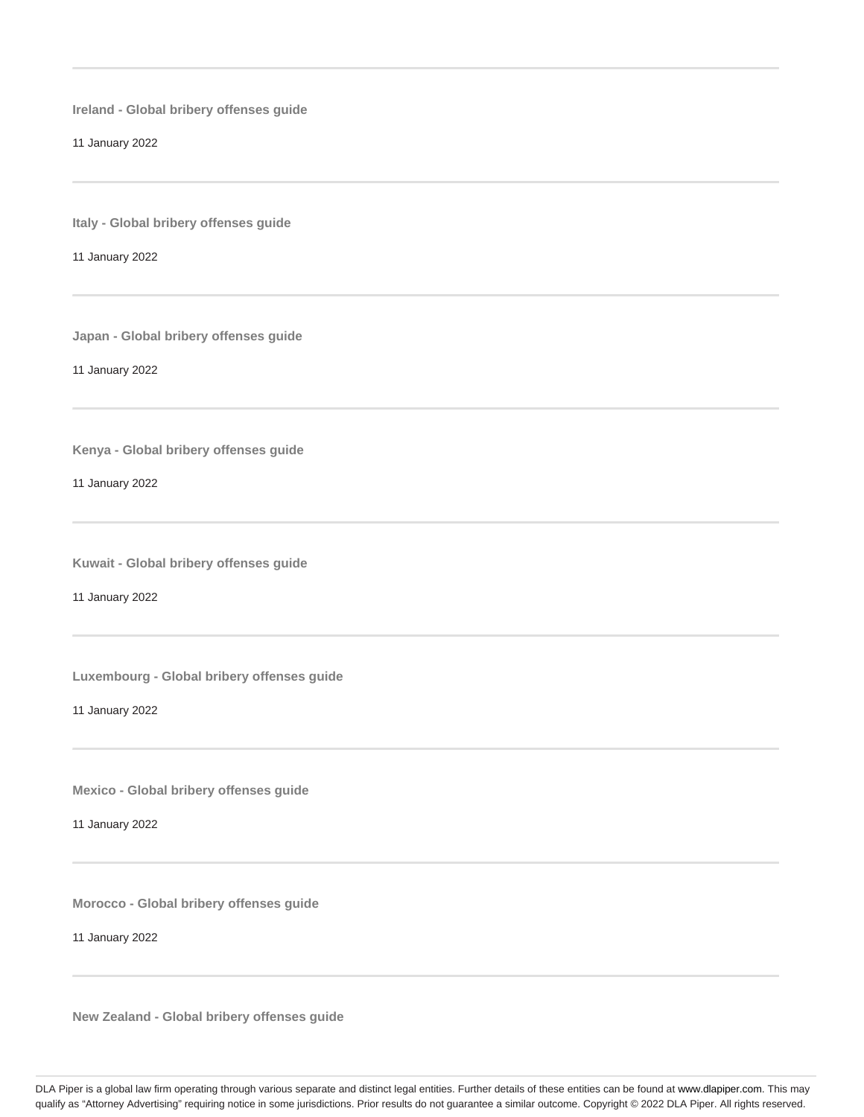**Ireland - Global bribery offenses guide**

11 January 2022

**Italy - Global bribery offenses guide**

11 January 2022

**Japan - Global bribery offenses guide**

11 January 2022

**Kenya - Global bribery offenses guide**

11 January 2022

**Kuwait - Global bribery offenses guide**

11 January 2022

**Luxembourg - Global bribery offenses guide**

11 January 2022

**Mexico - Global bribery offenses guide**

11 January 2022

**Morocco - Global bribery offenses guide**

11 January 2022

**New Zealand - Global bribery offenses guide**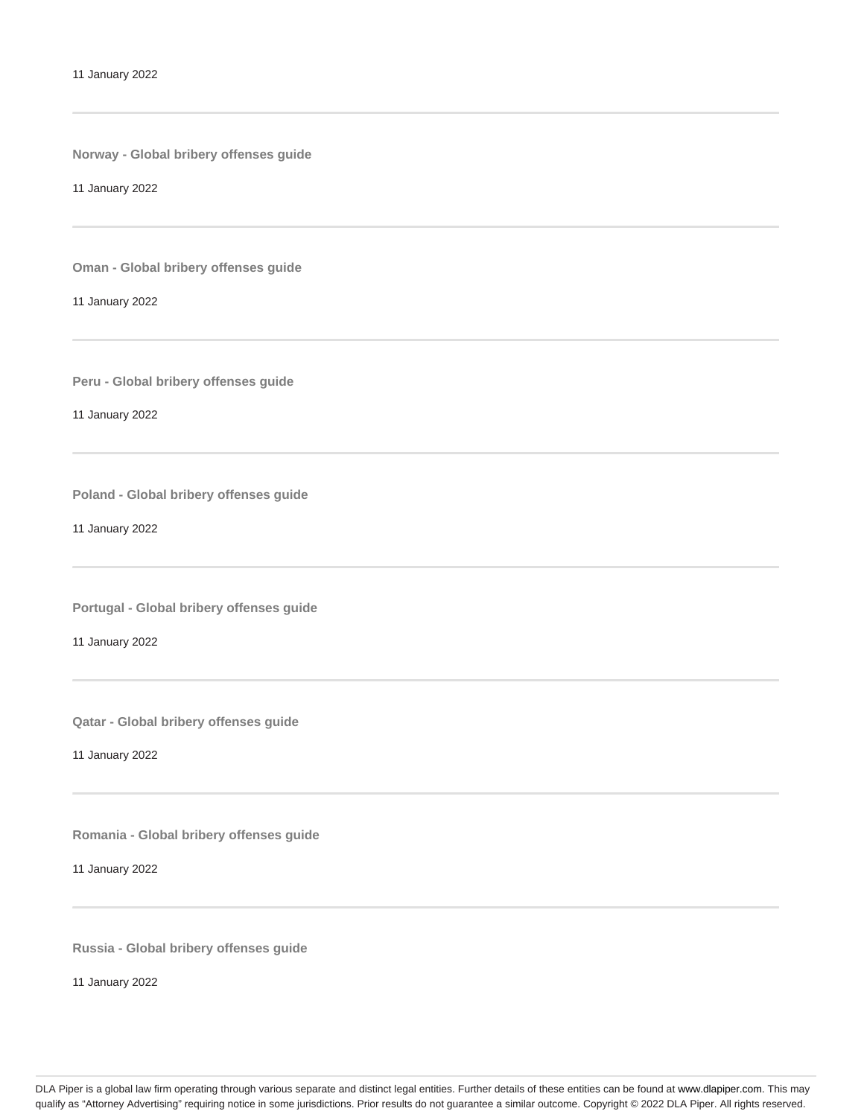**Norway - Global bribery offenses guide**

11 January 2022

**Oman - Global bribery offenses guide**

11 January 2022

**Peru - Global bribery offenses guide**

11 January 2022

**Poland - Global bribery offenses guide**

11 January 2022

**Portugal - Global bribery offenses guide**

11 January 2022

**Qatar - Global bribery offenses guide**

11 January 2022

**Romania - Global bribery offenses guide**

11 January 2022

**Russia - Global bribery offenses guide**

11 January 2022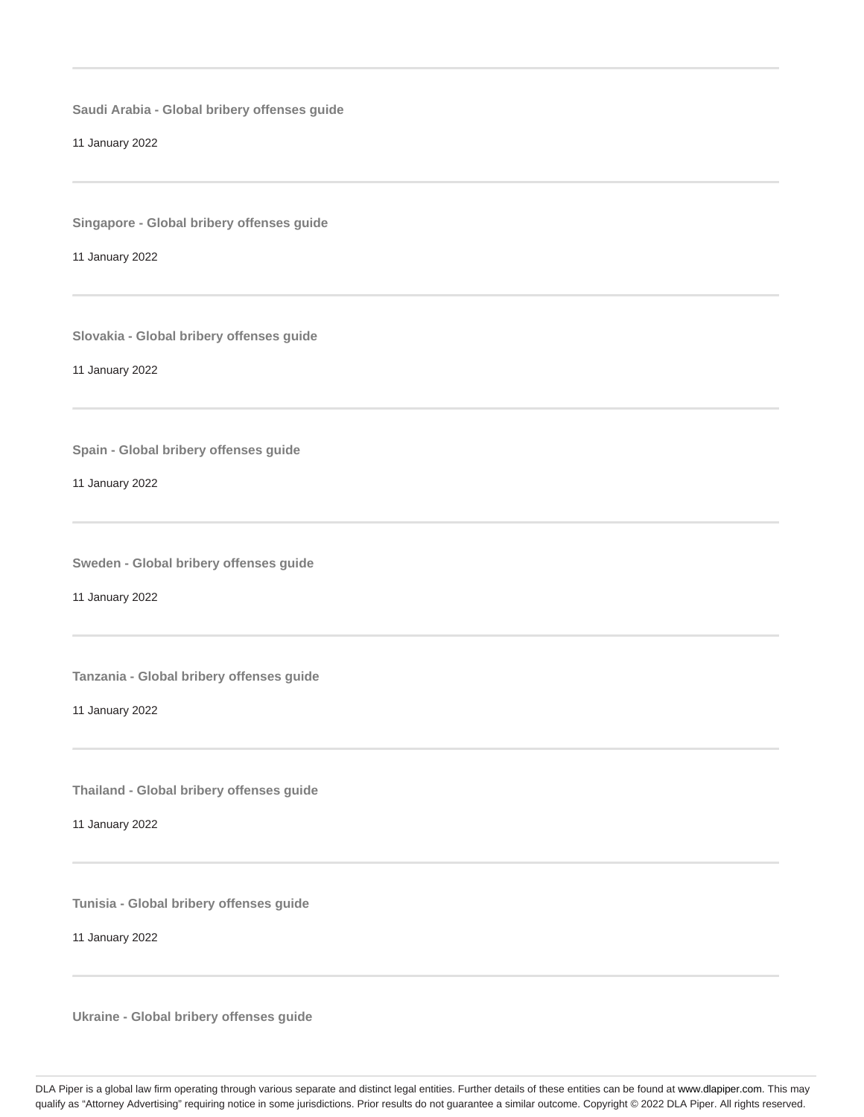**Saudi Arabia - Global bribery offenses guide**

11 January 2022

**Singapore - Global bribery offenses guide**

11 January 2022

**Slovakia - Global bribery offenses guide**

11 January 2022

**Spain - Global bribery offenses guide**

11 January 2022

**Sweden - Global bribery offenses guide**

11 January 2022

**Tanzania - Global bribery offenses guide**

11 January 2022

**Thailand - Global bribery offenses guide**

11 January 2022

**Tunisia - Global bribery offenses guide**

11 January 2022

**Ukraine - Global bribery offenses guide**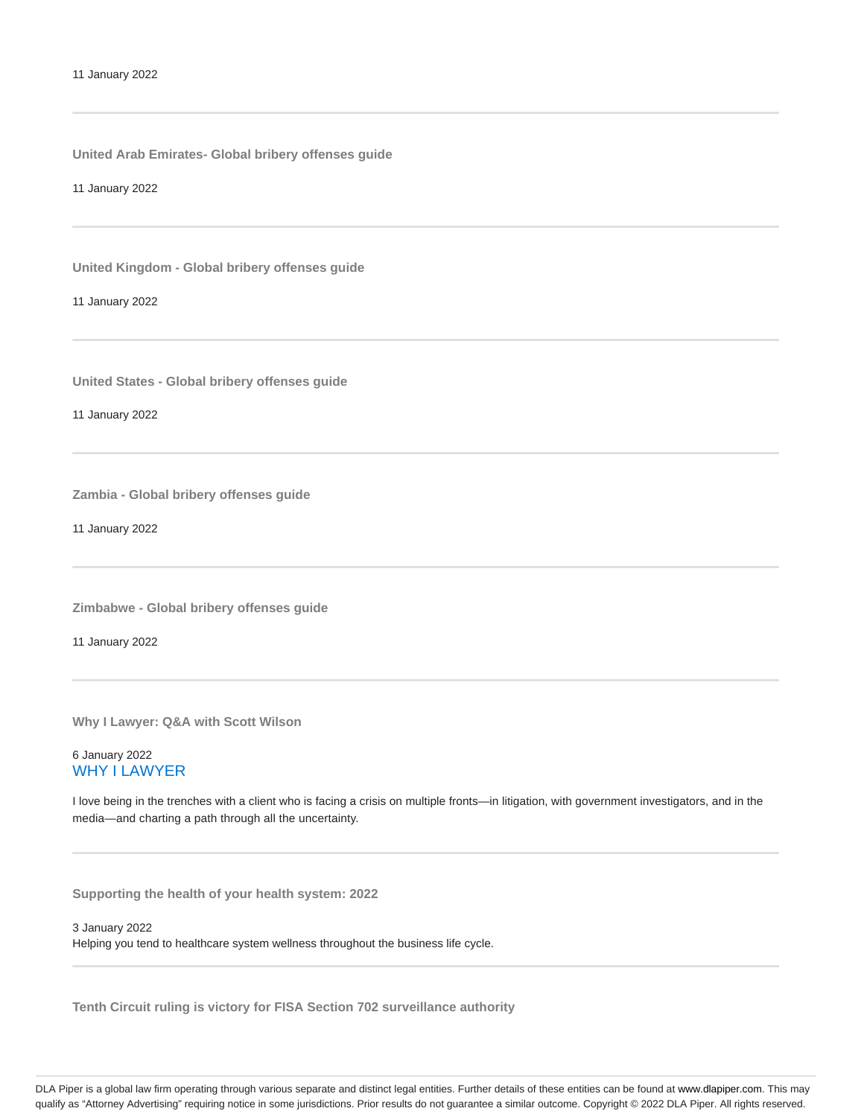**United Arab Emirates- Global bribery offenses guide**

11 January 2022

**United Kingdom - Global bribery offenses guide**

11 January 2022

**United States - Global bribery offenses guide**

11 January 2022

**Zambia - Global bribery offenses guide**

11 January 2022

**Zimbabwe - Global bribery offenses guide**

11 January 2022

**Why I Lawyer: Q&A with Scott Wilson**

# 6 January 2022 WHY I LAWYER

I love being in the trenches with a client who is facing a crisis on multiple fronts—in litigation, with government investigators, and in the media—and charting a path through all the uncertainty.

**Supporting the health of your health system: 2022**

3 January 2022 Helping you tend to healthcare system wellness throughout the business life cycle.

**Tenth Circuit ruling is victory for FISA Section 702 surveillance authority**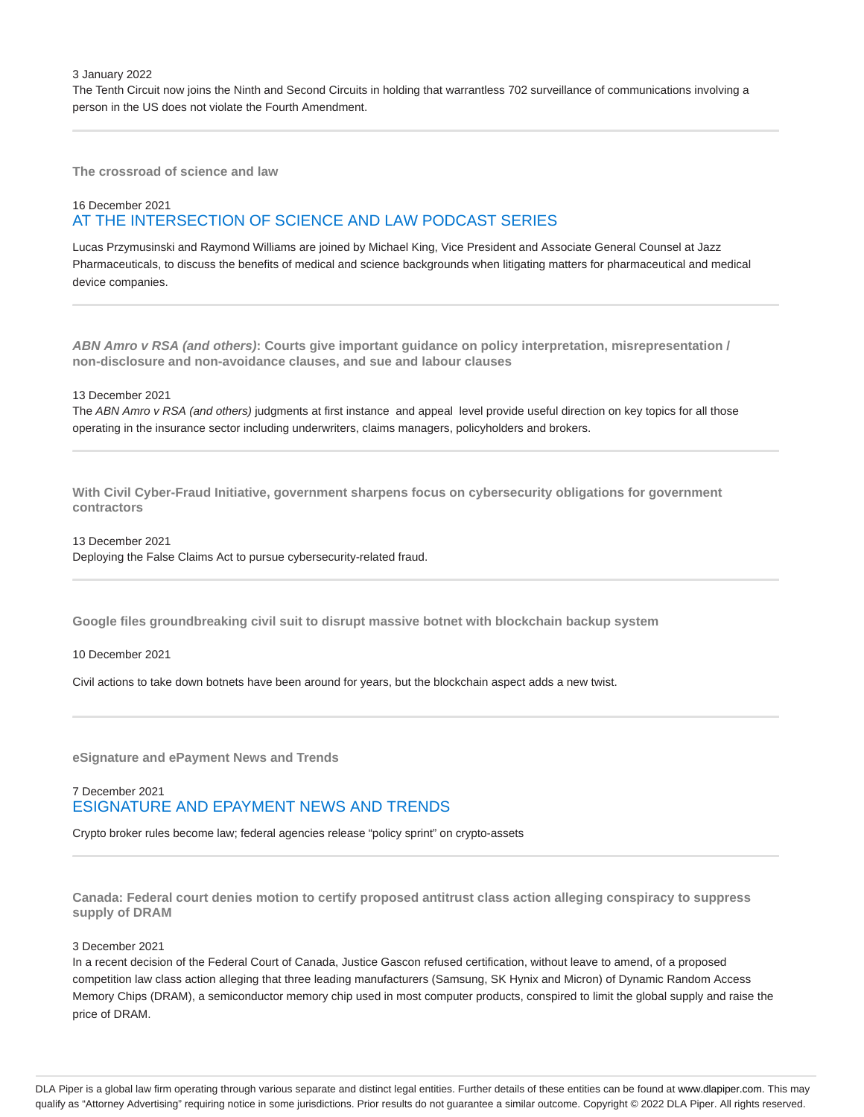3 January 2022

The Tenth Circuit now joins the Ninth and Second Circuits in holding that warrantless 702 surveillance of communications involving a person in the US does not violate the Fourth Amendment.

**The crossroad of science and law**

# 16 December 2021 AT THE INTERSECTION OF SCIENCE AND LAW PODCAST SERIES

Lucas Przymusinski and Raymond Williams are joined by Michael King, Vice President and Associate General Counsel at Jazz Pharmaceuticals, to discuss the benefits of medical and science backgrounds when litigating matters for pharmaceutical and medical device companies.

**ABN Amro v RSA (and others): Courts give important guidance on policy interpretation, misrepresentation / non-disclosure and non-avoidance clauses, and sue and labour clauses**

#### 13 December 2021

The ABN Amro v RSA (and others) judgments at first instance and appeal level provide useful direction on key topics for all those operating in the insurance sector including underwriters, claims managers, policyholders and brokers.

**With Civil Cyber-Fraud Initiative, government sharpens focus on cybersecurity obligations for government contractors**

13 December 2021 Deploying the False Claims Act to pursue cybersecurity-related fraud.

**Google files groundbreaking civil suit to disrupt massive botnet with blockchain backup system**

10 December 2021

Civil actions to take down botnets have been around for years, but the blockchain aspect adds a new twist.

**eSignature and ePayment News and Trends**

# 7 December 2021 ESIGNATURE AND EPAYMENT NEWS AND TRENDS

Crypto broker rules become law; federal agencies release "policy sprint" on crypto-assets

**Canada: Federal court denies motion to certify proposed antitrust class action alleging conspiracy to suppress supply of DRAM**

#### 3 December 2021

In a recent decision of the Federal Court of Canada, Justice Gascon refused certification, without leave to amend, of a proposed competition law class action alleging that three leading manufacturers (Samsung, SK Hynix and Micron) of Dynamic Random Access Memory Chips (DRAM), a semiconductor memory chip used in most computer products, conspired to limit the global supply and raise the price of DRAM.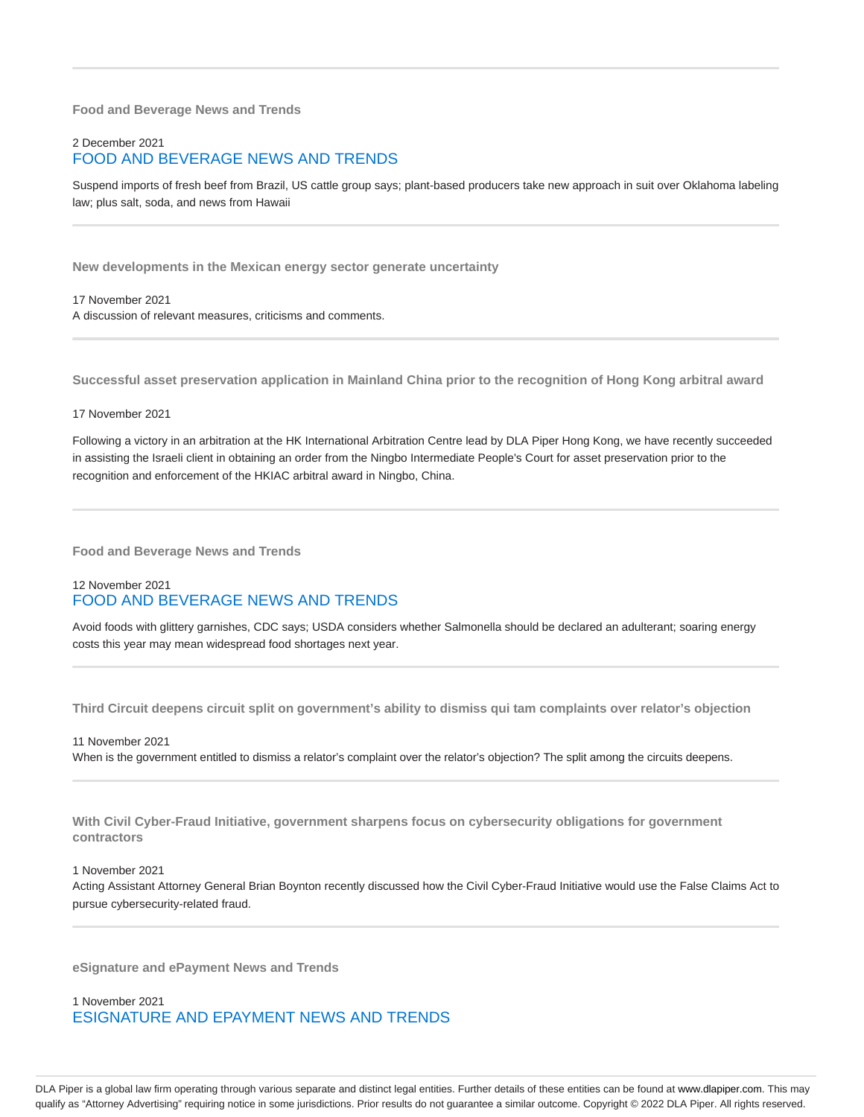**Food and Beverage News and Trends**

# 2 December 2021 FOOD AND BEVERAGE NEWS AND TRENDS

Suspend imports of fresh beef from Brazil, US cattle group says; plant-based producers take new approach in suit over Oklahoma labeling law; plus salt, soda, and news from Hawaii

**New developments in the Mexican energy sector generate uncertainty**

17 November 2021 A discussion of relevant measures, criticisms and comments.

**Successful asset preservation application in Mainland China prior to the recognition of Hong Kong arbitral award**

17 November 2021

Following a victory in an arbitration at the HK International Arbitration Centre lead by DLA Piper Hong Kong, we have recently succeeded in assisting the Israeli client in obtaining an order from the Ningbo Intermediate People's Court for asset preservation prior to the recognition and enforcement of the HKIAC arbitral award in Ningbo, China.

**Food and Beverage News and Trends**

# 12 November 2021 FOOD AND BEVERAGE NEWS AND TRENDS

Avoid foods with glittery garnishes, CDC says; USDA considers whether Salmonella should be declared an adulterant; soaring energy costs this year may mean widespread food shortages next year.

**Third Circuit deepens circuit split on government's ability to dismiss qui tam complaints over relator's objection**

11 November 2021 When is the government entitled to dismiss a relator's complaint over the relator's objection? The split among the circuits deepens.

**With Civil Cyber-Fraud Initiative, government sharpens focus on cybersecurity obligations for government contractors**

1 November 2021

Acting Assistant Attorney General Brian Boynton recently discussed how the Civil Cyber-Fraud Initiative would use the False Claims Act to pursue cybersecurity-related fraud.

**eSignature and ePayment News and Trends**

1 November 2021 ESIGNATURE AND EPAYMENT NEWS AND TRENDS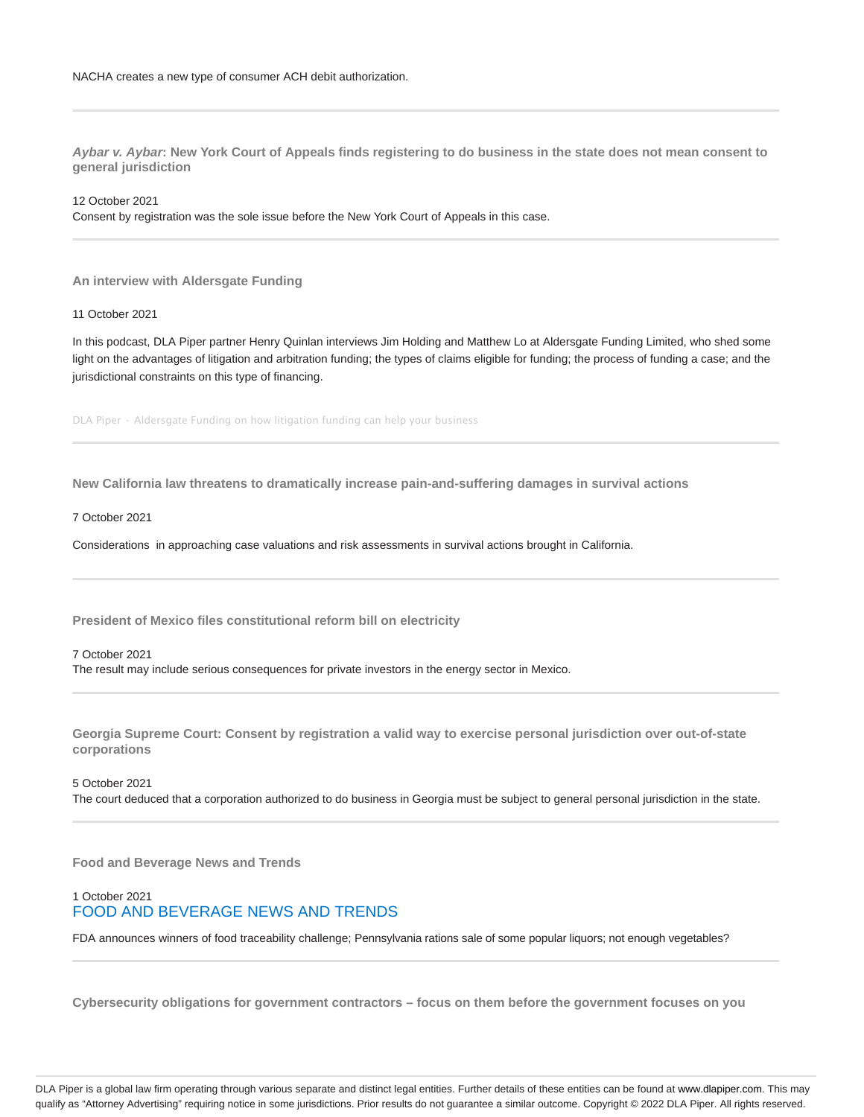**Aybar v. Aybar: New York Court of Appeals finds registering to do business in the state does not mean consent to general jurisdiction**

12 October 2021 Consent by registration was the sole issue before the New York Court of Appeals in this case.

**An interview with Aldersgate Funding**

11 October 2021

In this podcast, DLA Piper partner Henry Quinlan interviews Jim Holding and Matthew Lo at Aldersgate Funding Limited, who shed some light on the advantages of litigation and arbitration funding; the types of claims eligible for funding; the process of funding a case; and the jurisdictional constraints on this type of financing.

DLA Piper · Aldersgate Funding on how litigation funding can help your business

**New California law threatens to dramatically increase pain-and-suffering damages in survival actions**

7 October 2021

Considerations in approaching case valuations and risk assessments in survival actions brought in California.

**President of Mexico files constitutional reform bill on electricity**

7 October 2021

The result may include serious consequences for private investors in the energy sector in Mexico.

**Georgia Supreme Court: Consent by registration a valid way to exercise personal jurisdiction over out-of-state corporations**

5 October 2021

The court deduced that a corporation authorized to do business in Georgia must be subject to general personal jurisdiction in the state.

**Food and Beverage News and Trends**

# 1 October 2021 FOOD AND BEVERAGE NEWS AND TRENDS

FDA announces winners of food traceability challenge; Pennsylvania rations sale of some popular liquors; not enough vegetables?

**Cybersecurity obligations for government contractors – focus on them before the government focuses on you**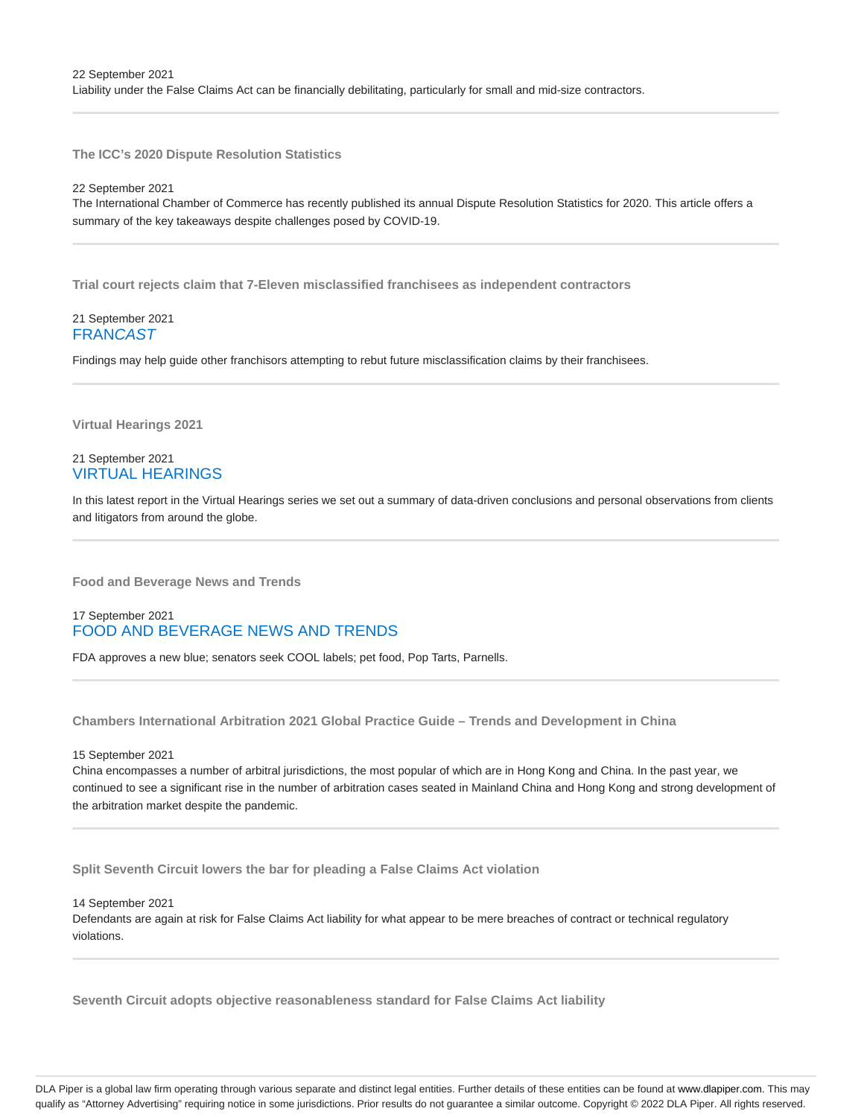**The ICC's 2020 Dispute Resolution Statistics**

22 September 2021 The International Chamber of Commerce has recently published its annual Dispute Resolution Statistics for 2020. This article offers a summary of the key takeaways despite challenges posed by COVID-19.

**Trial court rejects claim that 7-Eleven misclassified franchisees as independent contractors**

### 21 September 2021 **FRANCAST**

Findings may help guide other franchisors attempting to rebut future misclassification claims by their franchisees.

**Virtual Hearings 2021**

# 21 September 2021 VIRTUAL HEARINGS

In this latest report in the Virtual Hearings series we set out a summary of data-driven conclusions and personal observations from clients and litigators from around the globe.

**Food and Beverage News and Trends**

# 17 September 2021 FOOD AND BEVERAGE NEWS AND TRENDS

FDA approves a new blue; senators seek COOL labels; pet food, Pop Tarts, Parnells.

**Chambers International Arbitration 2021 Global Practice Guide – Trends and Development in China**

15 September 2021

China encompasses a number of arbitral jurisdictions, the most popular of which are in Hong Kong and China. In the past year, we continued to see a significant rise in the number of arbitration cases seated in Mainland China and Hong Kong and strong development of the arbitration market despite the pandemic.

**Split Seventh Circuit lowers the bar for pleading a False Claims Act violation**

14 September 2021

Defendants are again at risk for False Claims Act liability for what appear to be mere breaches of contract or technical regulatory violations.

**Seventh Circuit adopts objective reasonableness standard for False Claims Act liability**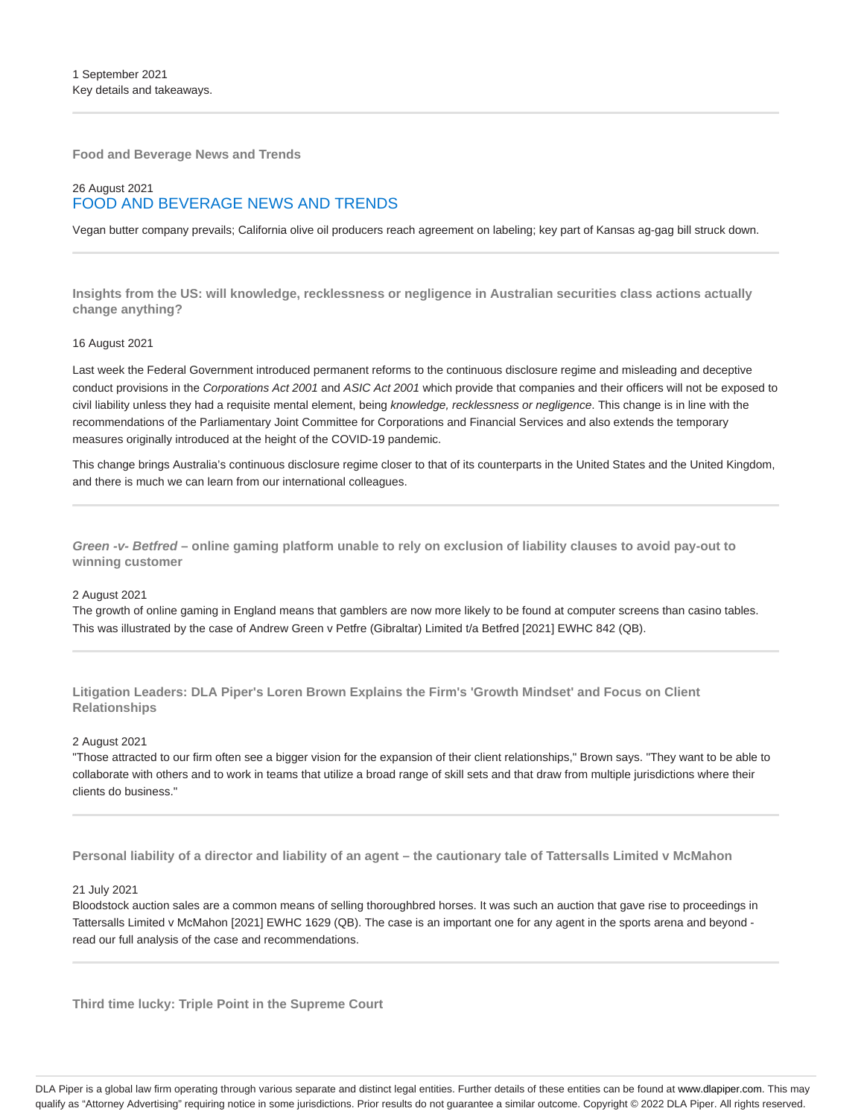**Food and Beverage News and Trends**

# 26 August 2021 FOOD AND BEVERAGE NEWS AND TRENDS

Vegan butter company prevails; California olive oil producers reach agreement on labeling; key part of Kansas ag-gag bill struck down.

**Insights from the US: will knowledge, recklessness or negligence in Australian securities class actions actually change anything?**

#### 16 August 2021

Last week the Federal Government introduced permanent reforms to the continuous disclosure regime and misleading and deceptive conduct provisions in the Corporations Act 2001 and ASIC Act 2001 which provide that companies and their officers will not be exposed to civil liability unless they had a requisite mental element, being knowledge, recklessness or negligence. This change is in line with the recommendations of the Parliamentary Joint Committee for Corporations and Financial Services and also extends the temporary measures originally introduced at the height of the COVID-19 pandemic.

This change brings Australia's continuous disclosure regime closer to that of its counterparts in the United States and the United Kingdom, and there is much we can learn from our international colleagues.

**Green -v- Betfred – online gaming platform unable to rely on exclusion of liability clauses to avoid pay-out to winning customer**

#### 2 August 2021

The growth of online gaming in England means that gamblers are now more likely to be found at computer screens than casino tables. This was illustrated by the case of Andrew Green v Petfre (Gibraltar) Limited t/a Betfred [2021] EWHC 842 (QB).

**Litigation Leaders: DLA Piper's Loren Brown Explains the Firm's 'Growth Mindset' and Focus on Client Relationships**

#### 2 August 2021

"Those attracted to our firm often see a bigger vision for the expansion of their client relationships," Brown says. "They want to be able to collaborate with others and to work in teams that utilize a broad range of skill sets and that draw from multiple jurisdictions where their clients do business."

**Personal liability of a director and liability of an agent – the cautionary tale of Tattersalls Limited v McMahon**

#### 21 July 2021

Bloodstock auction sales are a common means of selling thoroughbred horses. It was such an auction that gave rise to proceedings in Tattersalls Limited v McMahon [2021] EWHC 1629 (QB). The case is an important one for any agent in the sports arena and beyond read our full analysis of the case and recommendations.

**Third time lucky: Triple Point in the Supreme Court**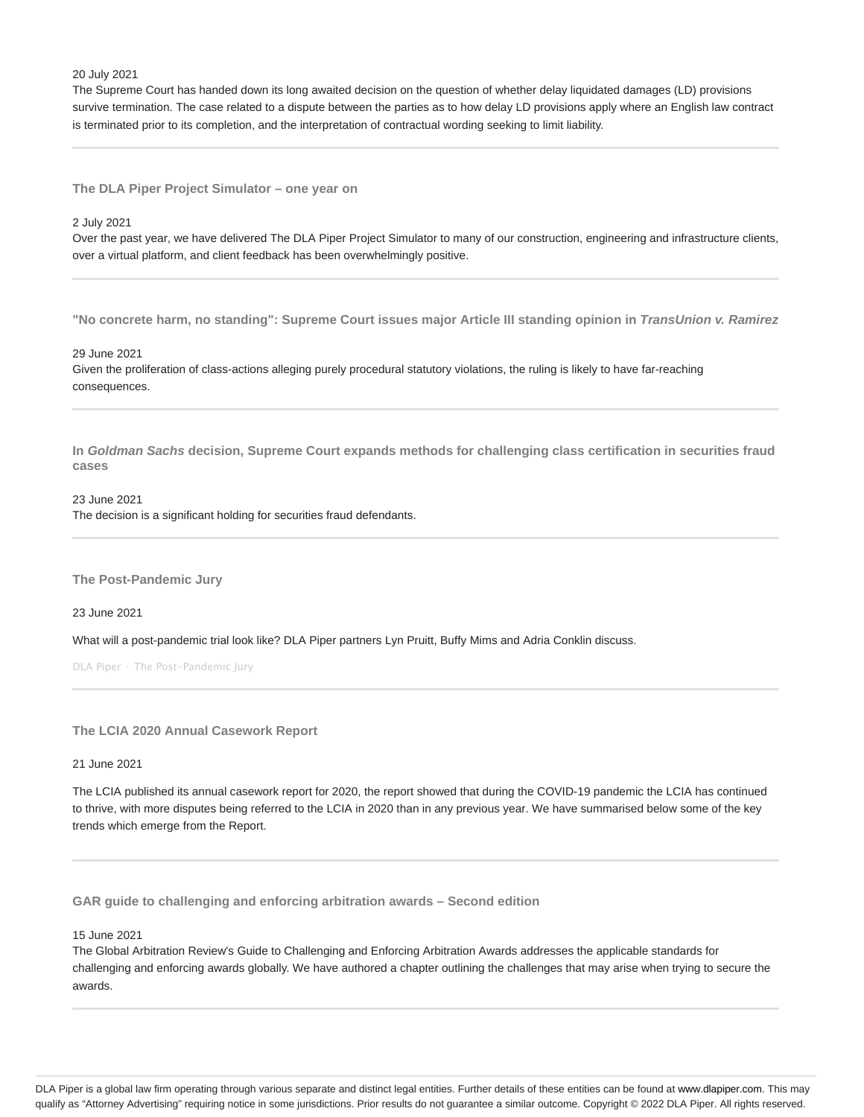20 July 2021

The Supreme Court has handed down its long awaited decision on the question of whether delay liquidated damages (LD) provisions survive termination. The case related to a dispute between the parties as to how delay LD provisions apply where an English law contract is terminated prior to its completion, and the interpretation of contractual wording seeking to limit liability.

**The DLA Piper Project Simulator – one year on**

2 July 2021

Over the past year, we have delivered The DLA Piper Project Simulator to many of our construction, engineering and infrastructure clients, over a virtual platform, and client feedback has been overwhelmingly positive.

**"No concrete harm, no standing": Supreme Court issues major Article III standing opinion in TransUnion v. Ramirez**

29 June 2021

Given the proliferation of class-actions alleging purely procedural statutory violations, the ruling is likely to have far-reaching consequences.

**In Goldman Sachs decision, Supreme Court expands methods for challenging class certification in securities fraud cases**

23 June 2021

The decision is a significant holding for securities fraud defendants.

**The Post-Pandemic Jury**

23 June 2021

What will a post-pandemic trial look like? DLA Piper partners Lyn Pruitt, Buffy Mims and Adria Conklin discuss.

DLA Piper · The Post-Pandemic Jury

**The LCIA 2020 Annual Casework Report**

21 June 2021

The LCIA published its annual casework report for 2020, the report showed that during the COVID-19 pandemic the LCIA has continued to thrive, with more disputes being referred to the LCIA in 2020 than in any previous year. We have summarised below some of the key trends which emerge from the Report.

**GAR guide to challenging and enforcing arbitration awards – Second edition**

15 June 2021

The Global Arbitration Review's Guide to Challenging and Enforcing Arbitration Awards addresses the applicable standards for challenging and enforcing awards globally. We have authored a chapter outlining the challenges that may arise when trying to secure the awards.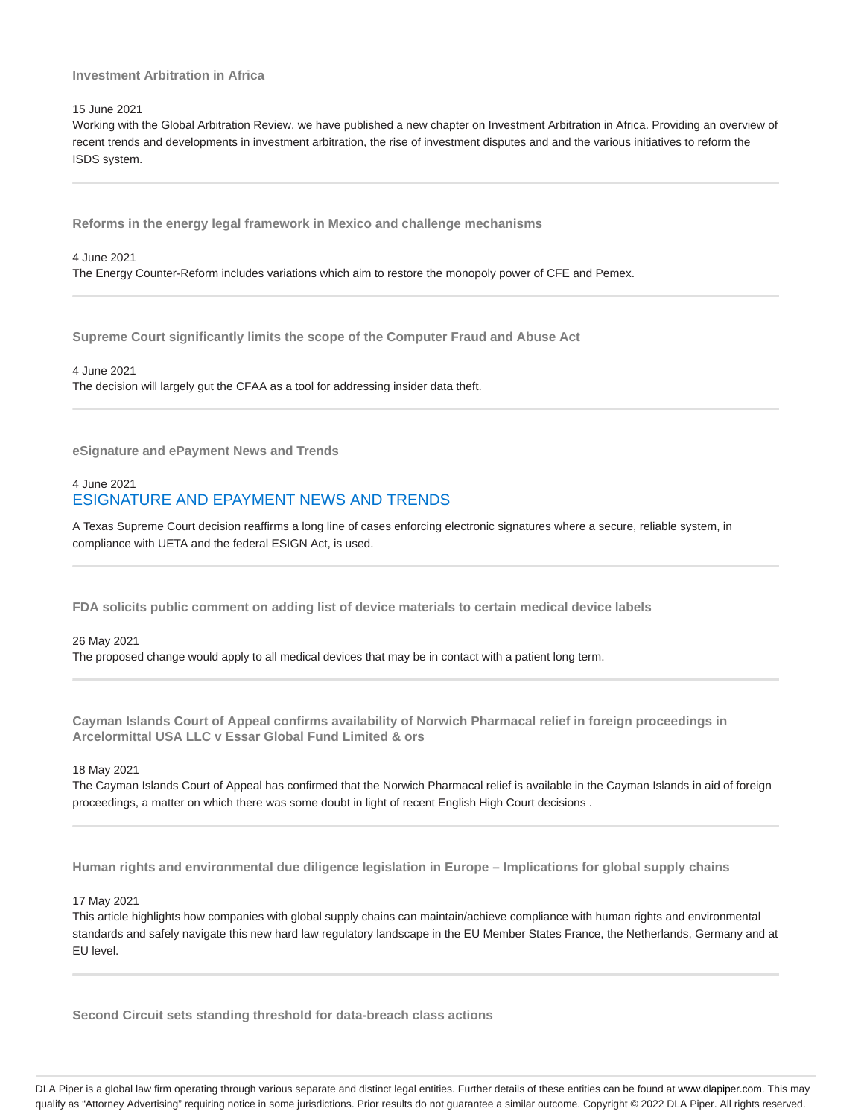# **Investment Arbitration in Africa**

#### 15 June 2021

Working with the Global Arbitration Review, we have published a new chapter on Investment Arbitration in Africa. Providing an overview of recent trends and developments in investment arbitration, the rise of investment disputes and and the various initiatives to reform the ISDS system.

**Reforms in the energy legal framework in Mexico and challenge mechanisms**

4 June 2021 The Energy Counter-Reform includes variations which aim to restore the monopoly power of CFE and Pemex.

**Supreme Court significantly limits the scope of the Computer Fraud and Abuse Act**

4 June 2021 The decision will largely gut the CFAA as a tool for addressing insider data theft.

**eSignature and ePayment News and Trends**

# 4 June 2021 ESIGNATURE AND EPAYMENT NEWS AND TRENDS

A Texas Supreme Court decision reaffirms a long line of cases enforcing electronic signatures where a secure, reliable system, in compliance with UETA and the federal ESIGN Act, is used.

**FDA solicits public comment on adding list of device materials to certain medical device labels**

# 26 May 2021

The proposed change would apply to all medical devices that may be in contact with a patient long term.

**Cayman Islands Court of Appeal confirms availability of Norwich Pharmacal relief in foreign proceedings in Arcelormittal USA LLC v Essar Global Fund Limited & ors**

18 May 2021

The Cayman Islands Court of Appeal has confirmed that the Norwich Pharmacal relief is available in the Cayman Islands in aid of foreign proceedings, a matter on which there was some doubt in light of recent English High Court decisions .

**Human rights and environmental due diligence legislation in Europe – Implications for global supply chains**

17 May 2021

This article highlights how companies with global supply chains can maintain/achieve compliance with human rights and environmental standards and safely navigate this new hard law regulatory landscape in the EU Member States France, the Netherlands, Germany and at EU level.

**Second Circuit sets standing threshold for data-breach class actions**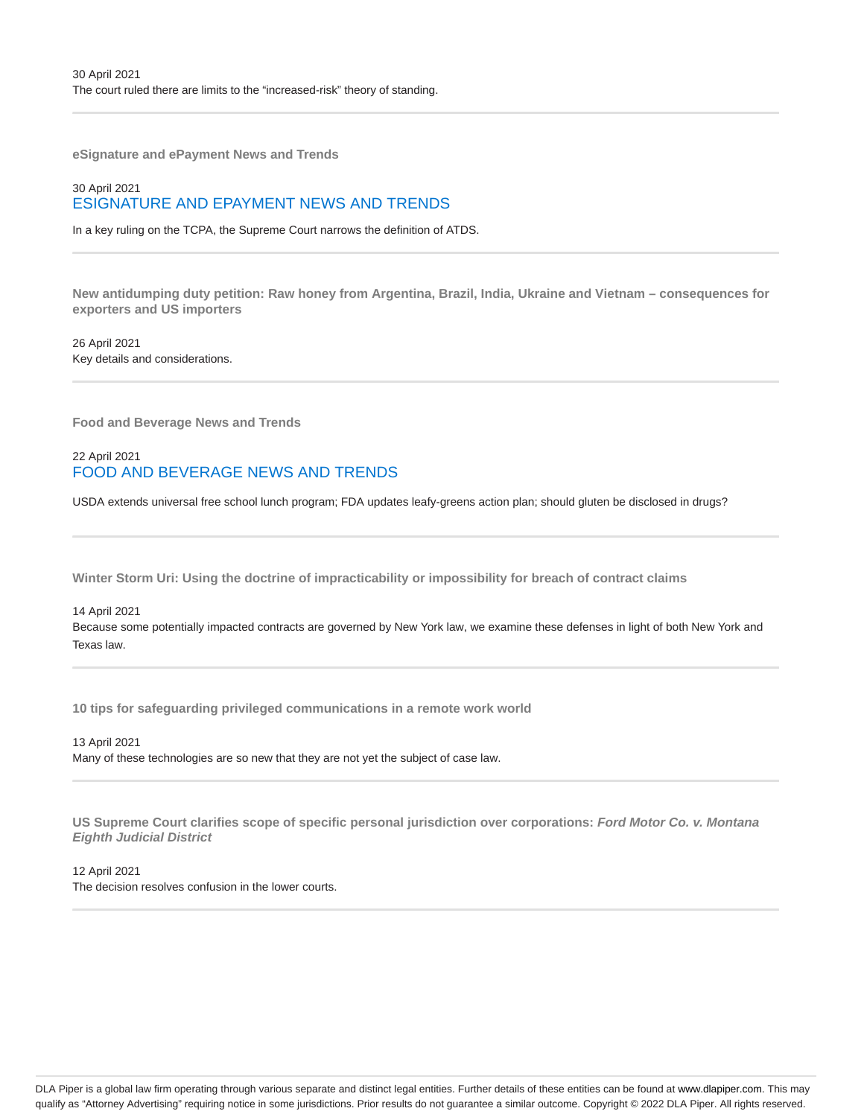**eSignature and ePayment News and Trends**

# 30 April 2021 ESIGNATURE AND EPAYMENT NEWS AND TRENDS

In a key ruling on the TCPA, the Supreme Court narrows the definition of ATDS.

**New antidumping duty petition: Raw honey from Argentina, Brazil, India, Ukraine and Vietnam – consequences for exporters and US importers**

26 April 2021 Key details and considerations.

**Food and Beverage News and Trends**

22 April 2021 FOOD AND BEVERAGE NEWS AND TRENDS

USDA extends universal free school lunch program; FDA updates leafy-greens action plan; should gluten be disclosed in drugs?

**Winter Storm Uri: Using the doctrine of impracticability or impossibility for breach of contract claims**

14 April 2021

Because some potentially impacted contracts are governed by New York law, we examine these defenses in light of both New York and Texas law.

**10 tips for safeguarding privileged communications in a remote work world**

13 April 2021 Many of these technologies are so new that they are not yet the subject of case law.

**US Supreme Court clarifies scope of specific personal jurisdiction over corporations: Ford Motor Co. v. Montana Eighth Judicial District**

12 April 2021 The decision resolves confusion in the lower courts.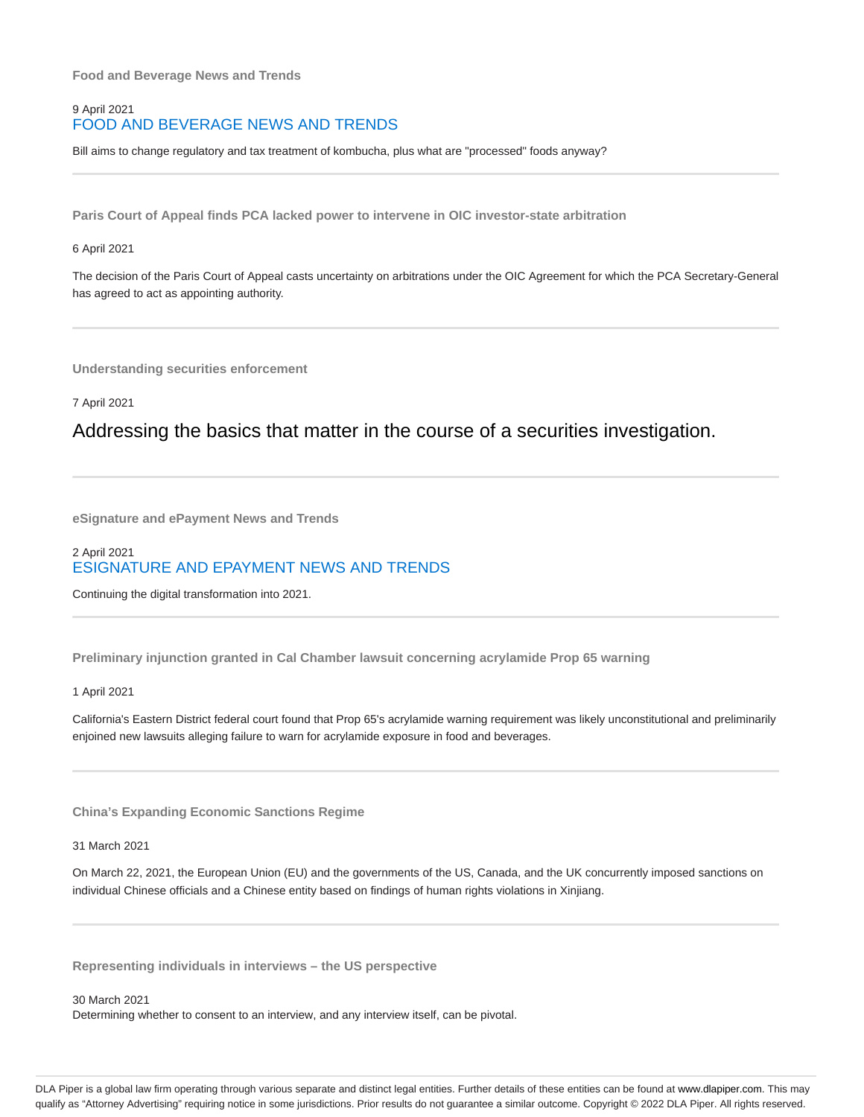**Food and Beverage News and Trends**

# 9 April 2021 FOOD AND BEVERAGE NEWS AND TRENDS

Bill aims to change regulatory and tax treatment of kombucha, plus what are "processed" foods anyway?

**Paris Court of Appeal finds PCA lacked power to intervene in OIC investor-state arbitration**

#### 6 April 2021

The decision of the Paris Court of Appeal casts uncertainty on arbitrations under the OIC Agreement for which the PCA Secretary-General has agreed to act as appointing authority.

**Understanding securities enforcement**

7 April 2021

# Addressing the basics that matter in the course of a securities investigation.

**eSignature and ePayment News and Trends**

# 2 April 2021 ESIGNATURE AND EPAYMENT NEWS AND TRENDS

Continuing the digital transformation into 2021.

**Preliminary injunction granted in Cal Chamber lawsuit concerning acrylamide Prop 65 warning**

#### 1 April 2021

California's Eastern District federal court found that Prop 65's acrylamide warning requirement was likely unconstitutional and preliminarily enjoined new lawsuits alleging failure to warn for acrylamide exposure in food and beverages.

**China's Expanding Economic Sanctions Regime**

31 March 2021

On March 22, 2021, the European Union (EU) and the governments of the US, Canada, and the UK concurrently imposed sanctions on individual Chinese officials and a Chinese entity based on findings of human rights violations in Xinjiang.

**Representing individuals in interviews – the US perspective**

30 March 2021 Determining whether to consent to an interview, and any interview itself, can be pivotal.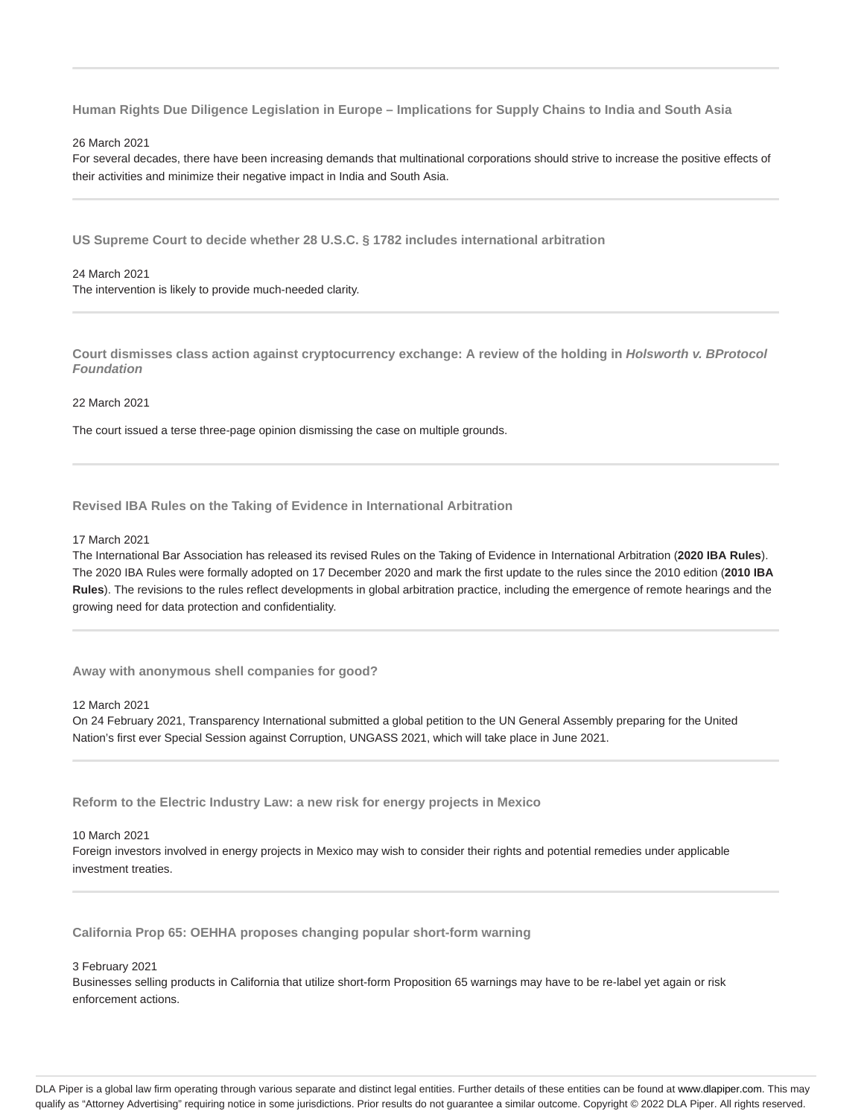**Human Rights Due Diligence Legislation in Europe – Implications for Supply Chains to India and South Asia**

#### 26 March 2021

For several decades, there have been increasing demands that multinational corporations should strive to increase the positive effects of their activities and minimize their negative impact in India and South Asia.

**US Supreme Court to decide whether 28 U.S.C. § 1782 includes international arbitration**

# 24 March 2021

The intervention is likely to provide much-needed clarity.

**Court dismisses class action against cryptocurrency exchange: A review of the holding in Holsworth v. BProtocol Foundation**

#### 22 March 2021

The court issued a terse three-page opinion dismissing the case on multiple grounds.

**Revised IBA Rules on the Taking of Evidence in International Arbitration**

#### 17 March 2021

The International Bar Association has released its revised Rules on the Taking of Evidence in International Arbitration (**2020 IBA Rules**). The 2020 IBA Rules were formally adopted on 17 December 2020 and mark the first update to the rules since the 2010 edition (**2010 IBA Rules**). The revisions to the rules reflect developments in global arbitration practice, including the emergence of remote hearings and the growing need for data protection and confidentiality.

**Away with anonymous shell companies for good?**

#### 12 March 2021

On 24 February 2021, Transparency International submitted a global petition to the UN General Assembly preparing for the United Nation's first ever Special Session against Corruption, UNGASS 2021, which will take place in June 2021.

**Reform to the Electric Industry Law: a new risk for energy projects in Mexico**

#### 10 March 2021

Foreign investors involved in energy projects in Mexico may wish to consider their rights and potential remedies under applicable investment treaties.

**California Prop 65: OEHHA proposes changing popular short-form warning**

#### 3 February 2021

Businesses selling products in California that utilize short-form Proposition 65 warnings may have to be re-label yet again or risk enforcement actions.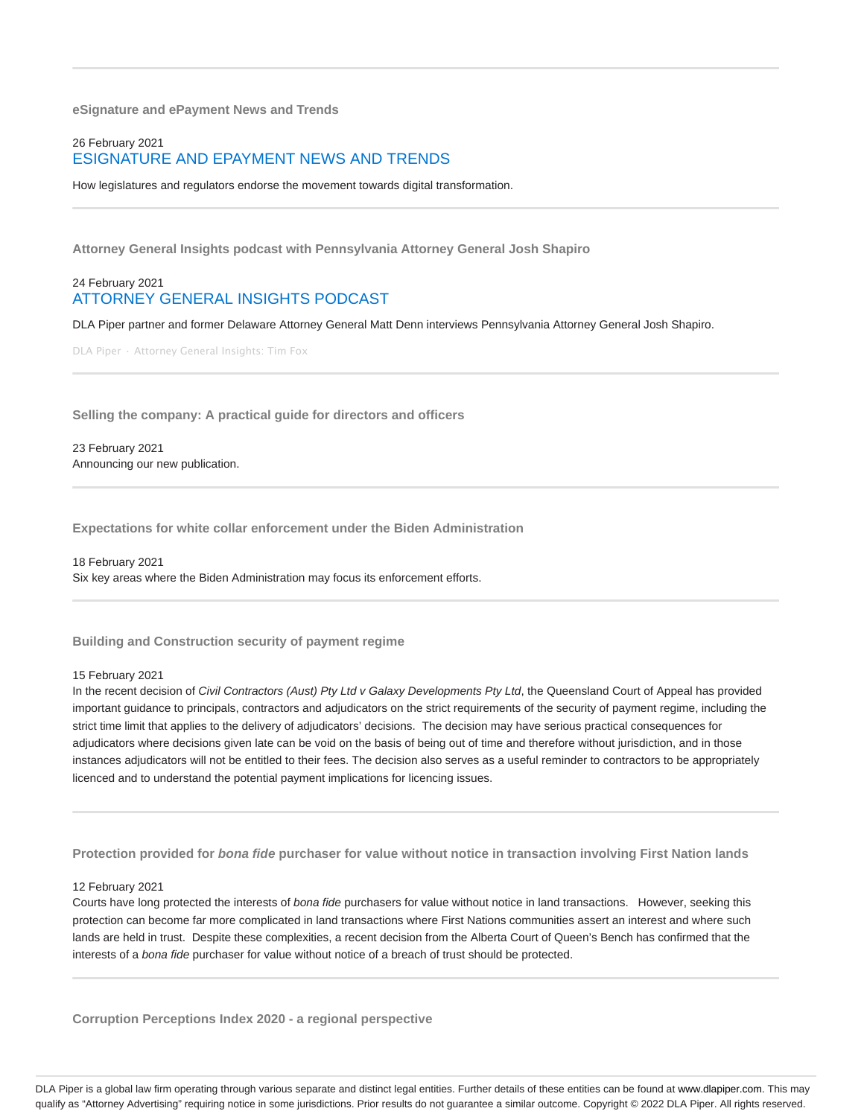**eSignature and ePayment News and Trends**

# 26 February 2021 ESIGNATURE AND EPAYMENT NEWS AND TRENDS

How legislatures and regulators endorse the movement towards digital transformation.

**Attorney General Insights podcast with Pennsylvania Attorney General Josh Shapiro**

# 24 February 2021 ATTORNEY GENERAL INSIGHTS PODCAST

DLA Piper partner and former Delaware Attorney General Matt Denn interviews Pennsylvania Attorney General Josh Shapiro.

DLA Piper · Attorney General Insights: Tim Fox

**Selling the company: A practical guide for directors and officers**

23 February 2021 Announcing our new publication.

**Expectations for white collar enforcement under the Biden Administration**

18 February 2021 Six key areas where the Biden Administration may focus its enforcement efforts.

**Building and Construction security of payment regime**

#### 15 February 2021

In the recent decision of Civil Contractors (Aust) Pty Ltd v Galaxy Developments Pty Ltd, the Queensland Court of Appeal has provided important guidance to principals, contractors and adjudicators on the strict requirements of the security of payment regime, including the strict time limit that applies to the delivery of adjudicators' decisions. The decision may have serious practical consequences for adjudicators where decisions given late can be void on the basis of being out of time and therefore without jurisdiction, and in those instances adjudicators will not be entitled to their fees. The decision also serves as a useful reminder to contractors to be appropriately licenced and to understand the potential payment implications for licencing issues.

**Protection provided for bona fide purchaser for value without notice in transaction involving First Nation lands**

#### 12 February 2021

Courts have long protected the interests of bona fide purchasers for value without notice in land transactions. However, seeking this protection can become far more complicated in land transactions where First Nations communities assert an interest and where such lands are held in trust. Despite these complexities, a recent decision from the Alberta Court of Queen's Bench has confirmed that the interests of a bona fide purchaser for value without notice of a breach of trust should be protected.

**Corruption Perceptions Index 2020 - a regional perspective**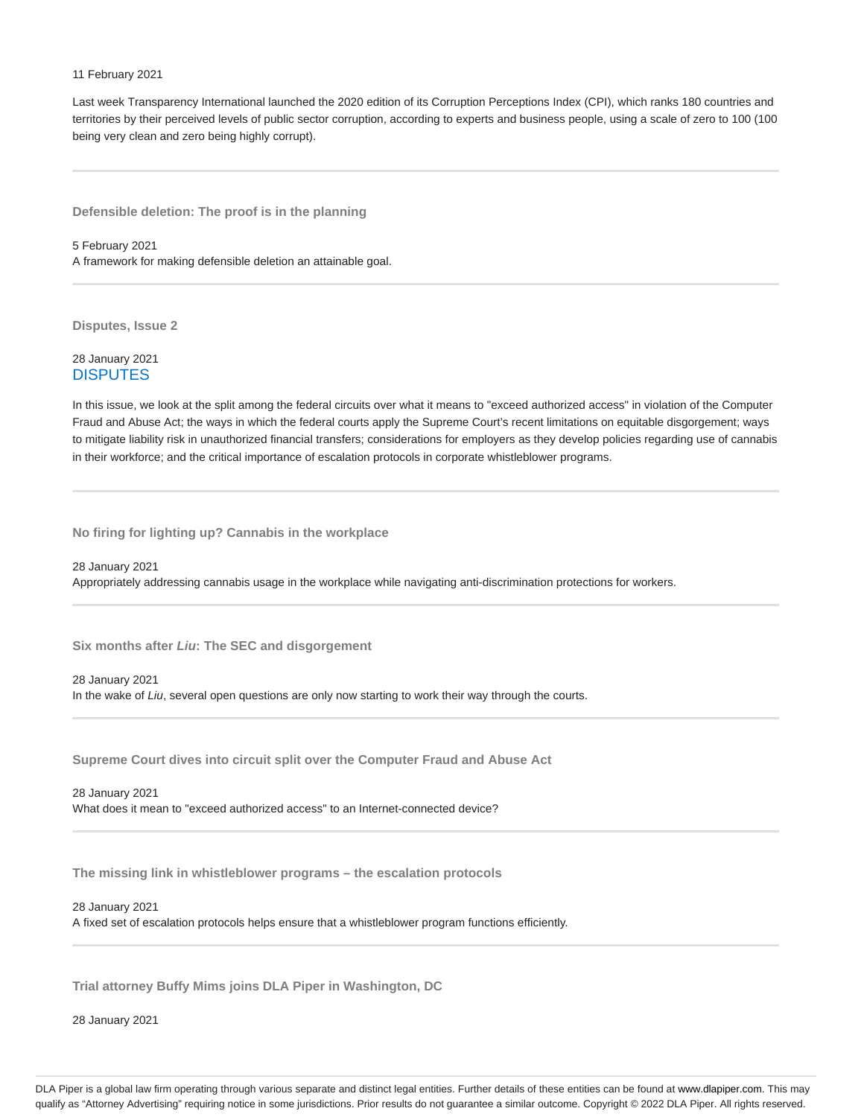#### 11 February 2021

Last week Transparency International launched the 2020 edition of its Corruption Perceptions Index (CPI), which ranks 180 countries and territories by their perceived levels of public sector corruption, according to experts and business people, using a scale of zero to 100 (100 being very clean and zero being highly corrupt).

**Defensible deletion: The proof is in the planning**

5 February 2021 A framework for making defensible deletion an attainable goal.

**Disputes, Issue 2**

28 January 2021 **DISPUTES** 

In this issue, we look at the split among the federal circuits over what it means to "exceed authorized access" in violation of the Computer Fraud and Abuse Act; the ways in which the federal courts apply the Supreme Court's recent limitations on equitable disgorgement; ways to mitigate liability risk in unauthorized financial transfers; considerations for employers as they develop policies regarding use of cannabis in their workforce; and the critical importance of escalation protocols in corporate whistleblower programs.

**No firing for lighting up? Cannabis in the workplace**

28 January 2021 Appropriately addressing cannabis usage in the workplace while navigating anti-discrimination protections for workers.

**Six months after Liu: The SEC and disgorgement**

28 January 2021 In the wake of Liu, several open questions are only now starting to work their way through the courts.

**Supreme Court dives into circuit split over the Computer Fraud and Abuse Act**

28 January 2021

What does it mean to "exceed authorized access" to an Internet-connected device?

**The missing link in whistleblower programs – the escalation protocols**

#### 28 January 2021

A fixed set of escalation protocols helps ensure that a whistleblower program functions efficiently.

**Trial attorney Buffy Mims joins DLA Piper in Washington, DC**

28 January 2021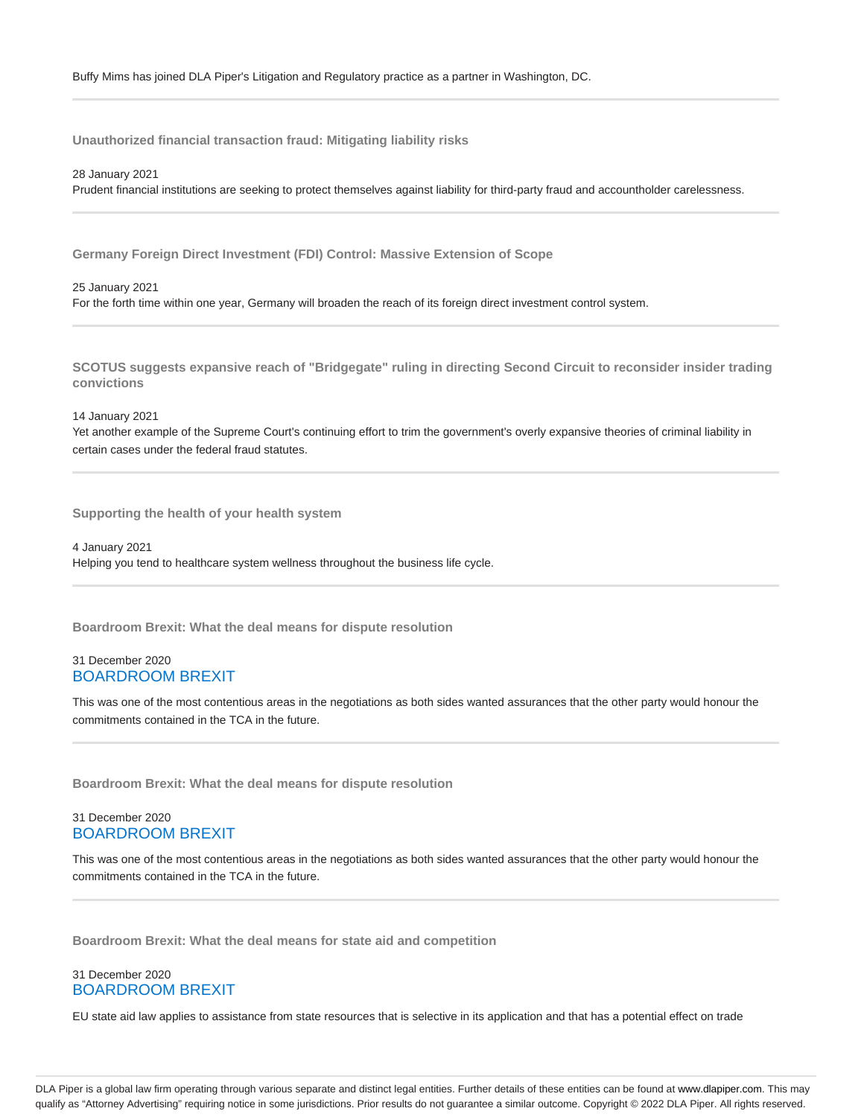**Unauthorized financial transaction fraud: Mitigating liability risks**

28 January 2021 Prudent financial institutions are seeking to protect themselves against liability for third-party fraud and accountholder carelessness.

**Germany Foreign Direct Investment (FDI) Control: Massive Extension of Scope**

25 January 2021 For the forth time within one year, Germany will broaden the reach of its foreign direct investment control system.

**SCOTUS suggests expansive reach of "Bridgegate" ruling in directing Second Circuit to reconsider insider trading convictions**

14 January 2021

Yet another example of the Supreme Court's continuing effort to trim the government's overly expansive theories of criminal liability in certain cases under the federal fraud statutes.

**Supporting the health of your health system**

4 January 2021 Helping you tend to healthcare system wellness throughout the business life cycle.

**Boardroom Brexit: What the deal means for dispute resolution**

# 31 December 2020 BOARDROOM BREXIT

This was one of the most contentious areas in the negotiations as both sides wanted assurances that the other party would honour the commitments contained in the TCA in the future.

**Boardroom Brexit: What the deal means for dispute resolution**

# 31 December 2020 BOARDROOM BREXIT

This was one of the most contentious areas in the negotiations as both sides wanted assurances that the other party would honour the commitments contained in the TCA in the future.

**Boardroom Brexit: What the deal means for state aid and competition**

# 31 December 2020 BOARDROOM BREXIT

EU state aid law applies to assistance from state resources that is selective in its application and that has a potential effect on trade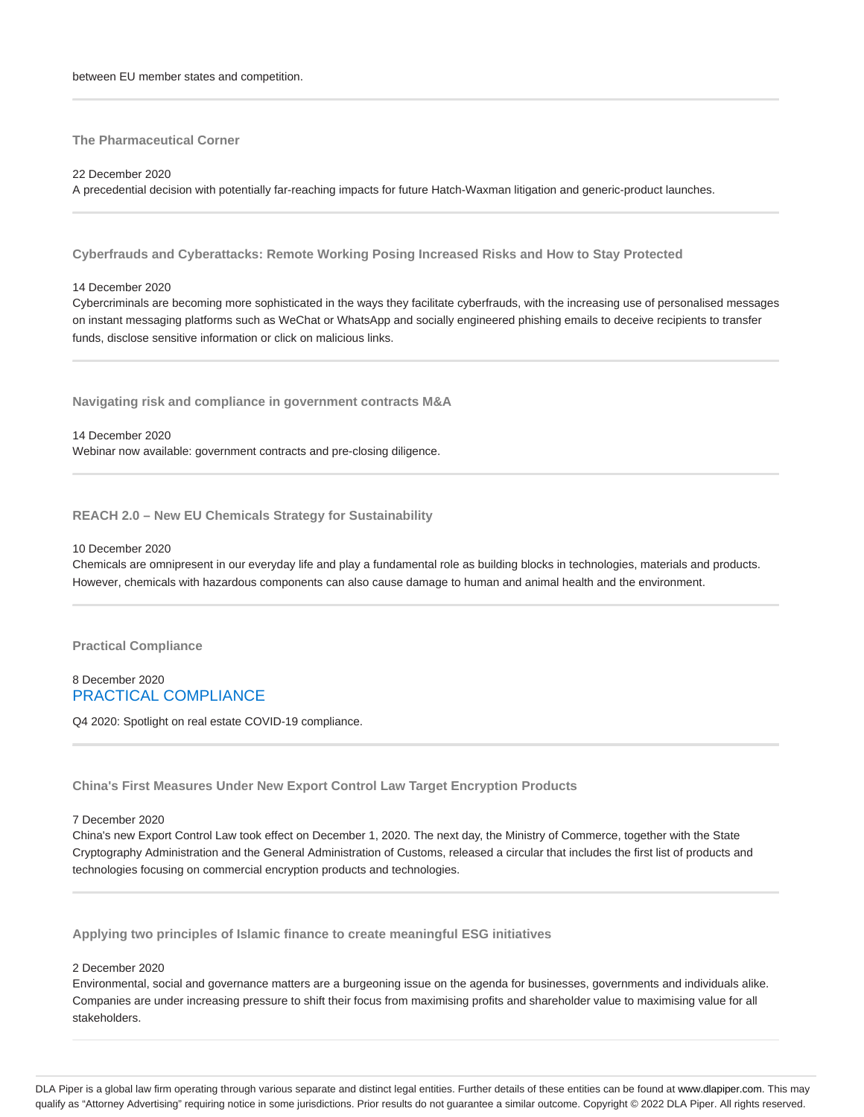**The Pharmaceutical Corner**

22 December 2020

A precedential decision with potentially far-reaching impacts for future Hatch-Waxman litigation and generic-product launches.

**Cyberfrauds and Cyberattacks: Remote Working Posing Increased Risks and How to Stay Protected**

14 December 2020

Cybercriminals are becoming more sophisticated in the ways they facilitate cyberfrauds, with the increasing use of personalised messages on instant messaging platforms such as WeChat or WhatsApp and socially engineered phishing emails to deceive recipients to transfer funds, disclose sensitive information or click on malicious links.

**Navigating risk and compliance in government contracts M&A**

14 December 2020 Webinar now available: government contracts and pre-closing diligence.

**REACH 2.0 – New EU Chemicals Strategy for Sustainability**

#### 10 December 2020

Chemicals are omnipresent in our everyday life and play a fundamental role as building blocks in technologies, materials and products. However, chemicals with hazardous components can also cause damage to human and animal health and the environment.

**Practical Compliance**

8 December 2020 PRACTICAL COMPLIANCE

Q4 2020: Spotlight on real estate COVID-19 compliance.

**China's First Measures Under New Export Control Law Target Encryption Products**

7 December 2020

China's new Export Control Law took effect on December 1, 2020. The next day, the Ministry of Commerce, together with the State Cryptography Administration and the General Administration of Customs, released a circular that includes the first list of products and technologies focusing on commercial encryption products and technologies.

**Applying two principles of Islamic finance to create meaningful ESG initiatives**

2 December 2020

Environmental, social and governance matters are a burgeoning issue on the agenda for businesses, governments and individuals alike. Companies are under increasing pressure to shift their focus from maximising profits and shareholder value to maximising value for all stakeholders.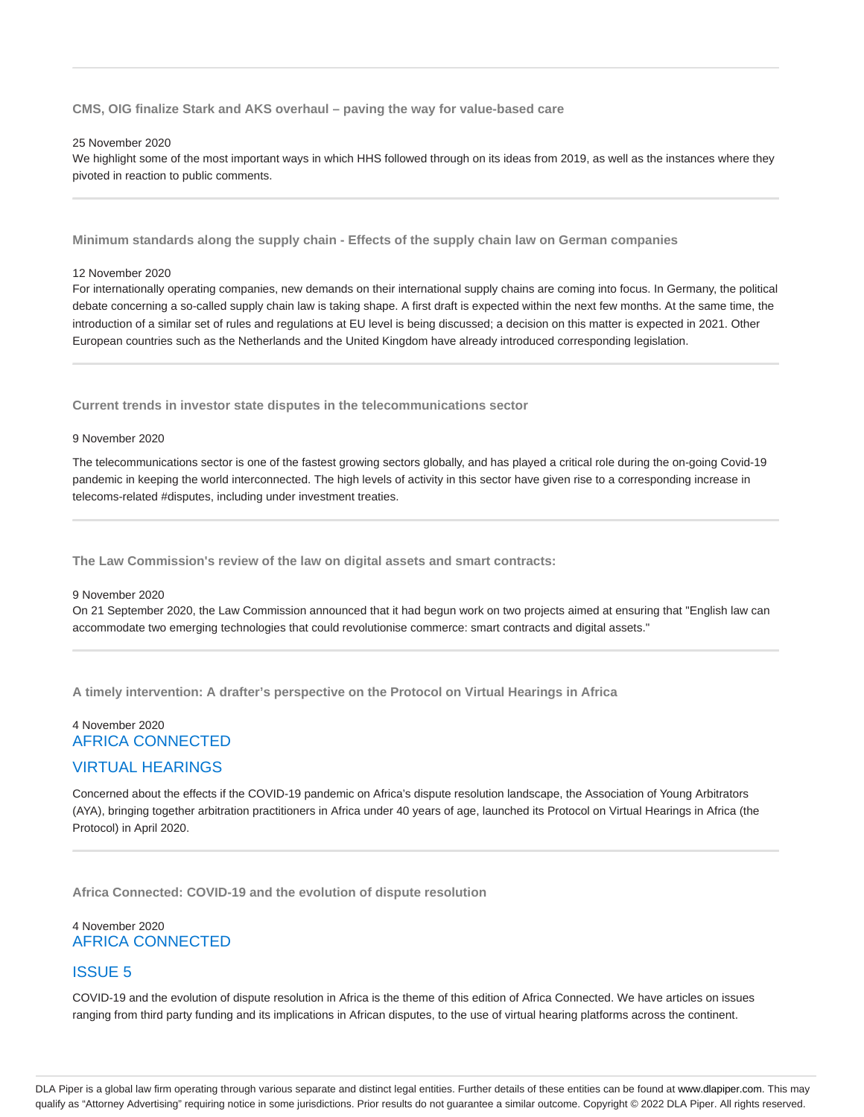#### **CMS, OIG finalize Stark and AKS overhaul – paving the way for value-based care**

#### 25 November 2020

We highlight some of the most important ways in which HHS followed through on its ideas from 2019, as well as the instances where they pivoted in reaction to public comments.

**Minimum standards along the supply chain - Effects of the supply chain law on German companies**

#### 12 November 2020

For internationally operating companies, new demands on their international supply chains are coming into focus. In Germany, the political debate concerning a so-called supply chain law is taking shape. A first draft is expected within the next few months. At the same time, the introduction of a similar set of rules and regulations at EU level is being discussed; a decision on this matter is expected in 2021. Other European countries such as the Netherlands and the United Kingdom have already introduced corresponding legislation.

**Current trends in investor state disputes in the telecommunications sector**

#### 9 November 2020

The telecommunications sector is one of the fastest growing sectors globally, and has played a critical role during the on-going Covid-19 pandemic in keeping the world interconnected. The high levels of activity in this sector have given rise to a corresponding increase in telecoms-related #disputes, including under investment treaties.

**The Law Commission's review of the law on digital assets and smart contracts:**

#### 9 November 2020

On 21 September 2020, the Law Commission announced that it had begun work on two projects aimed at ensuring that "English law can accommodate two emerging technologies that could revolutionise commerce: smart contracts and digital assets."

**A timely intervention: A drafter's perspective on the Protocol on Virtual Hearings in Africa**

# 4 November 2020 AFRICA CONNECTED

# VIRTUAL HEARINGS

Concerned about the effects if the COVID-19 pandemic on Africa's dispute resolution landscape, the Association of Young Arbitrators (AYA), bringing together arbitration practitioners in Africa under 40 years of age, launched its Protocol on Virtual Hearings in Africa (the Protocol) in April 2020.

**Africa Connected: COVID-19 and the evolution of dispute resolution**

# 4 November 2020 AFRICA CONNECTED

# ISSUE 5

COVID-19 and the evolution of dispute resolution in Africa is the theme of this edition of Africa Connected. We have articles on issues ranging from third party funding and its implications in African disputes, to the use of virtual hearing platforms across the continent.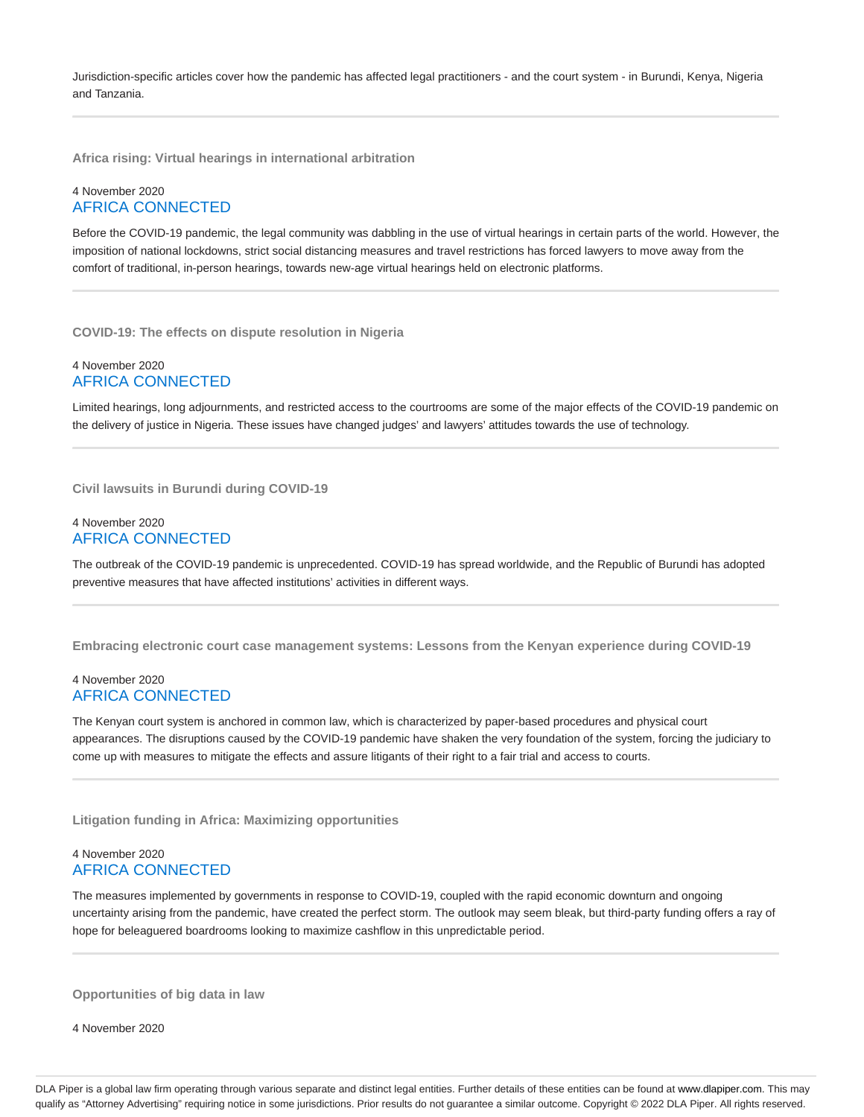Jurisdiction-specific articles cover how the pandemic has affected legal practitioners - and the court system - in Burundi, Kenya, Nigeria and Tanzania.

**Africa rising: Virtual hearings in international arbitration**

# 4 November 2020 AFRICA CONNECTED

Before the COVID-19 pandemic, the legal community was dabbling in the use of virtual hearings in certain parts of the world. However, the imposition of national lockdowns, strict social distancing measures and travel restrictions has forced lawyers to move away from the comfort of traditional, in-person hearings, towards new-age virtual hearings held on electronic platforms.

**COVID-19: The effects on dispute resolution in Nigeria**

# 4 November 2020 AFRICA CONNECTED

Limited hearings, long adjournments, and restricted access to the courtrooms are some of the major effects of the COVID-19 pandemic on the delivery of justice in Nigeria. These issues have changed judges' and lawyers' attitudes towards the use of technology.

**Civil lawsuits in Burundi during COVID-19**

# 4 November 2020 AFRICA CONNECTED

The outbreak of the COVID-19 pandemic is unprecedented. COVID-19 has spread worldwide, and the Republic of Burundi has adopted preventive measures that have affected institutions' activities in different ways.

**Embracing electronic court case management systems: Lessons from the Kenyan experience during COVID-19**

#### 4 November 2020 AFRICA CONNECTED

The Kenyan court system is anchored in common law, which is characterized by paper-based procedures and physical court appearances. The disruptions caused by the COVID-19 pandemic have shaken the very foundation of the system, forcing the judiciary to come up with measures to mitigate the effects and assure litigants of their right to a fair trial and access to courts.

**Litigation funding in Africa: Maximizing opportunities**

# 4 November 2020 AFRICA CONNECTED

The measures implemented by governments in response to COVID-19, coupled with the rapid economic downturn and ongoing uncertainty arising from the pandemic, have created the perfect storm. The outlook may seem bleak, but third-party funding offers a ray of hope for beleaguered boardrooms looking to maximize cashflow in this unpredictable period.

**Opportunities of big data in law**

4 November 2020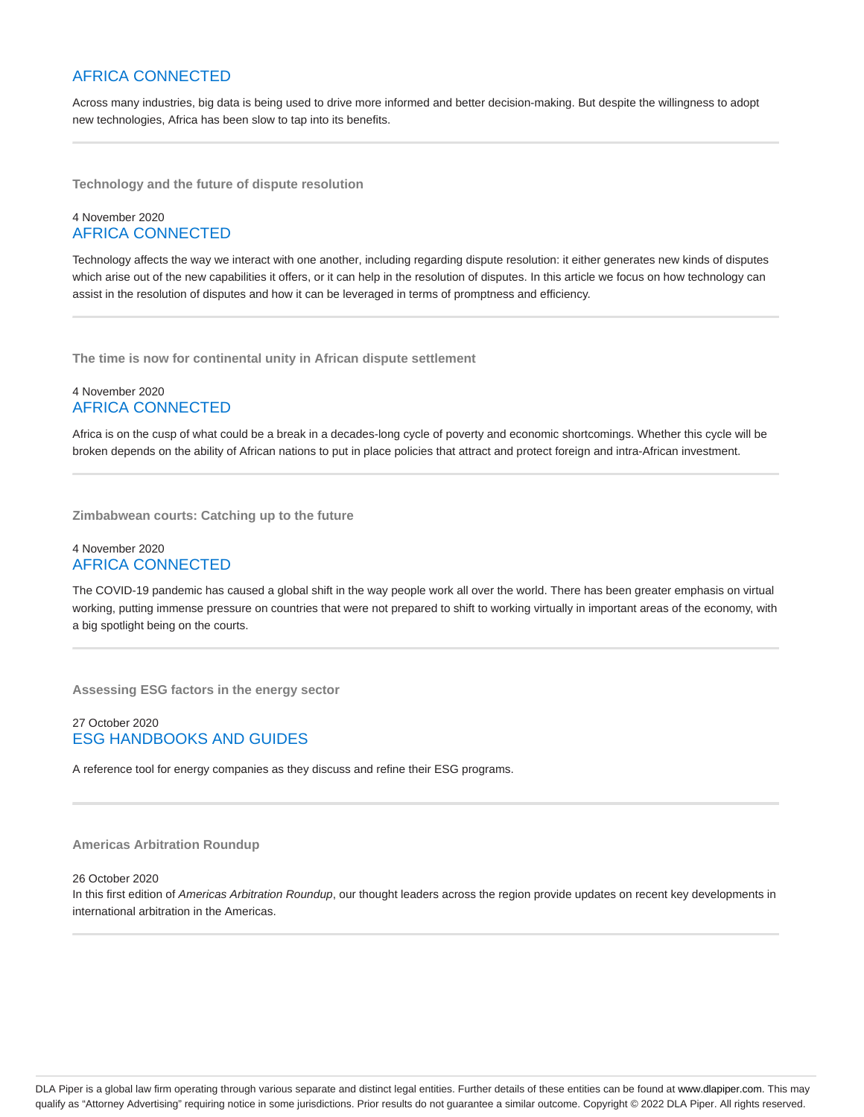# AFRICA CONNECTED

Across many industries, big data is being used to drive more informed and better decision-making. But despite the willingness to adopt new technologies, Africa has been slow to tap into its benefits.

**Technology and the future of dispute resolution**

# 4 November 2020 AFRICA CONNECTED

Technology affects the way we interact with one another, including regarding dispute resolution: it either generates new kinds of disputes which arise out of the new capabilities it offers, or it can help in the resolution of disputes. In this article we focus on how technology can assist in the resolution of disputes and how it can be leveraged in terms of promptness and efficiency.

**The time is now for continental unity in African dispute settlement**

### 4 November 2020 AFRICA CONNECTED

Africa is on the cusp of what could be a break in a decades-long cycle of poverty and economic shortcomings. Whether this cycle will be broken depends on the ability of African nations to put in place policies that attract and protect foreign and intra-African investment.

**Zimbabwean courts: Catching up to the future**

# 4 November 2020 AFRICA CONNECTED

The COVID-19 pandemic has caused a global shift in the way people work all over the world. There has been greater emphasis on virtual working, putting immense pressure on countries that were not prepared to shift to working virtually in important areas of the economy, with a big spotlight being on the courts.

**Assessing ESG factors in the energy sector**

# 27 October 2020 ESG HANDBOOKS AND GUIDES

A reference tool for energy companies as they discuss and refine their ESG programs.

#### **Americas Arbitration Roundup**

#### 26 October 2020

In this first edition of Americas Arbitration Roundup, our thought leaders across the region provide updates on recent key developments in international arbitration in the Americas.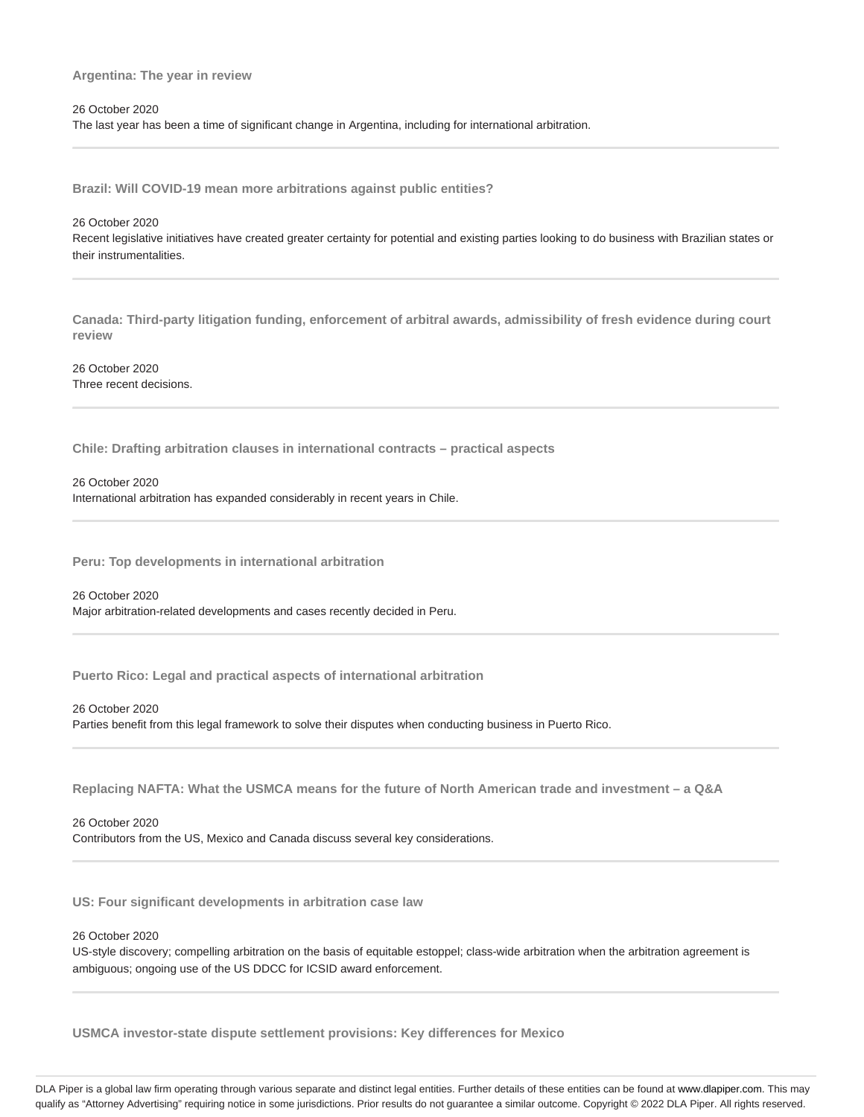#### **Argentina: The year in review**

#### 26 October 2020

The last year has been a time of significant change in Argentina, including for international arbitration.

**Brazil: Will COVID-19 mean more arbitrations against public entities?**

26 October 2020 Recent legislative initiatives have created greater certainty for potential and existing parties looking to do business with Brazilian states or their instrumentalities.

**Canada: Third-party litigation funding, enforcement of arbitral awards, admissibility of fresh evidence during court review**

26 October 2020 Three recent decisions.

**Chile: Drafting arbitration clauses in international contracts – practical aspects**

26 October 2020 International arbitration has expanded considerably in recent years in Chile.

**Peru: Top developments in international arbitration**

26 October 2020 Major arbitration-related developments and cases recently decided in Peru.

**Puerto Rico: Legal and practical aspects of international arbitration**

26 October 2020

Parties benefit from this legal framework to solve their disputes when conducting business in Puerto Rico.

**Replacing NAFTA: What the USMCA means for the future of North American trade and investment – a Q&A**

26 October 2020

Contributors from the US, Mexico and Canada discuss several key considerations.

**US: Four significant developments in arbitration case law**

26 October 2020

US-style discovery; compelling arbitration on the basis of equitable estoppel; class-wide arbitration when the arbitration agreement is ambiguous; ongoing use of the US DDCC for ICSID award enforcement.

**USMCA investor-state dispute settlement provisions: Key differences for Mexico**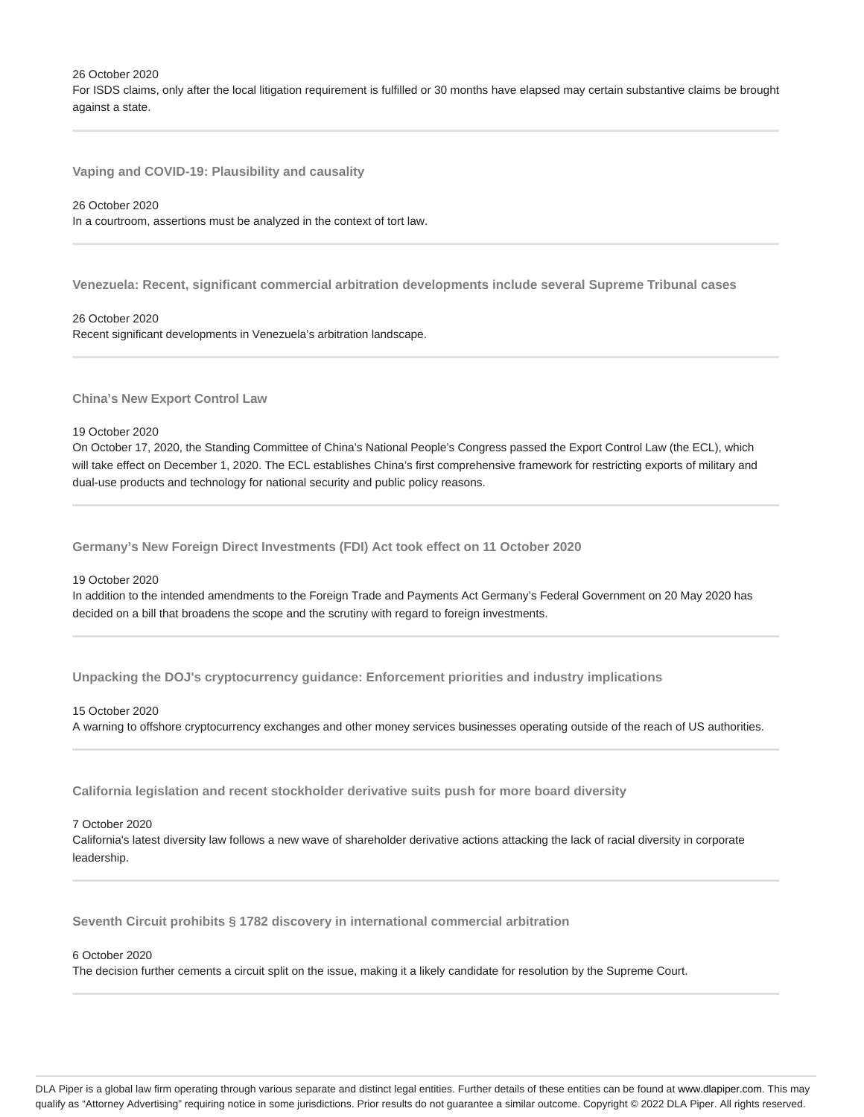26 October 2020

For ISDS claims, only after the local litigation requirement is fulfilled or 30 months have elapsed may certain substantive claims be brought against a state.

**Vaping and COVID-19: Plausibility and causality**

#### 26 October 2020

In a courtroom, assertions must be analyzed in the context of tort law.

**Venezuela: Recent, significant commercial arbitration developments include several Supreme Tribunal cases**

#### 26 October 2020

Recent significant developments in Venezuela's arbitration landscape.

**China's New Export Control Law**

#### 19 October 2020

On October 17, 2020, the Standing Committee of China's National People's Congress passed the Export Control Law (the ECL), which will take effect on December 1, 2020. The ECL establishes China's first comprehensive framework for restricting exports of military and dual-use products and technology for national security and public policy reasons.

**Germany's New Foreign Direct Investments (FDI) Act took effect on 11 October 2020**

#### 19 October 2020

In addition to the intended amendments to the Foreign Trade and Payments Act Germany's Federal Government on 20 May 2020 has decided on a bill that broadens the scope and the scrutiny with regard to foreign investments.

**Unpacking the DOJ's cryptocurrency guidance: Enforcement priorities and industry implications**

#### 15 October 2020

A warning to offshore cryptocurrency exchanges and other money services businesses operating outside of the reach of US authorities.

**California legislation and recent stockholder derivative suits push for more board diversity**

#### 7 October 2020

California's latest diversity law follows a new wave of shareholder derivative actions attacking the lack of racial diversity in corporate leadership.

**Seventh Circuit prohibits § 1782 discovery in international commercial arbitration**

#### 6 October 2020

The decision further cements a circuit split on the issue, making it a likely candidate for resolution by the Supreme Court.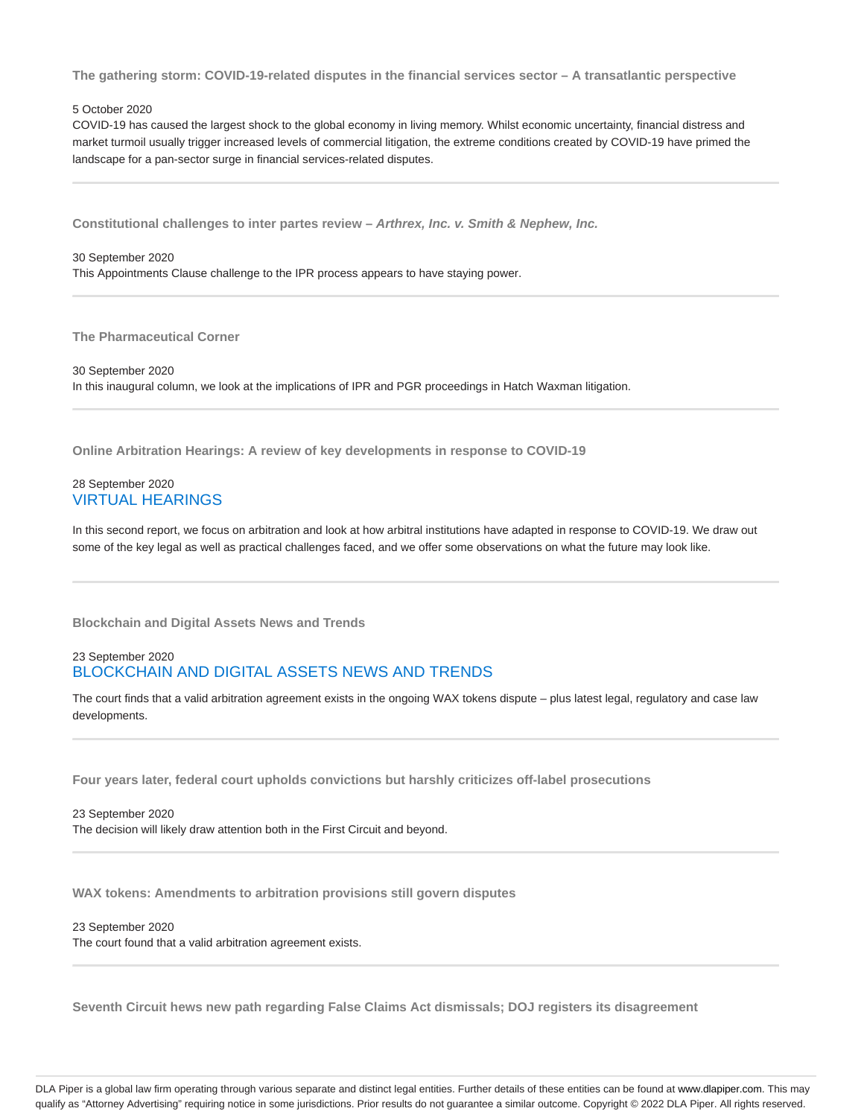**The gathering storm: COVID-19-related disputes in the financial services sector – A transatlantic perspective**

#### 5 October 2020

COVID-19 has caused the largest shock to the global economy in living memory. Whilst economic uncertainty, financial distress and market turmoil usually trigger increased levels of commercial litigation, the extreme conditions created by COVID-19 have primed the landscape for a pan-sector surge in financial services-related disputes.

**Constitutional challenges to inter partes review – Arthrex, Inc. v. Smith & Nephew, Inc.**

### 30 September 2020 This Appointments Clause challenge to the IPR process appears to have staying power.

**The Pharmaceutical Corner**

30 September 2020 In this inaugural column, we look at the implications of IPR and PGR proceedings in Hatch Waxman litigation.

**Online Arbitration Hearings: A review of key developments in response to COVID-19**

# 28 September 2020 VIRTUAL HEARINGS

In this second report, we focus on arbitration and look at how arbitral institutions have adapted in response to COVID-19. We draw out some of the key legal as well as practical challenges faced, and we offer some observations on what the future may look like.

**Blockchain and Digital Assets News and Trends**

### 23 September 2020 BLOCKCHAIN AND DIGITAL ASSETS NEWS AND TRENDS

The court finds that a valid arbitration agreement exists in the ongoing WAX tokens dispute – plus latest legal, regulatory and case law developments.

**Four years later, federal court upholds convictions but harshly criticizes off-label prosecutions**

23 September 2020 The decision will likely draw attention both in the First Circuit and beyond.

**WAX tokens: Amendments to arbitration provisions still govern disputes**

23 September 2020 The court found that a valid arbitration agreement exists.

**Seventh Circuit hews new path regarding False Claims Act dismissals; DOJ registers its disagreement**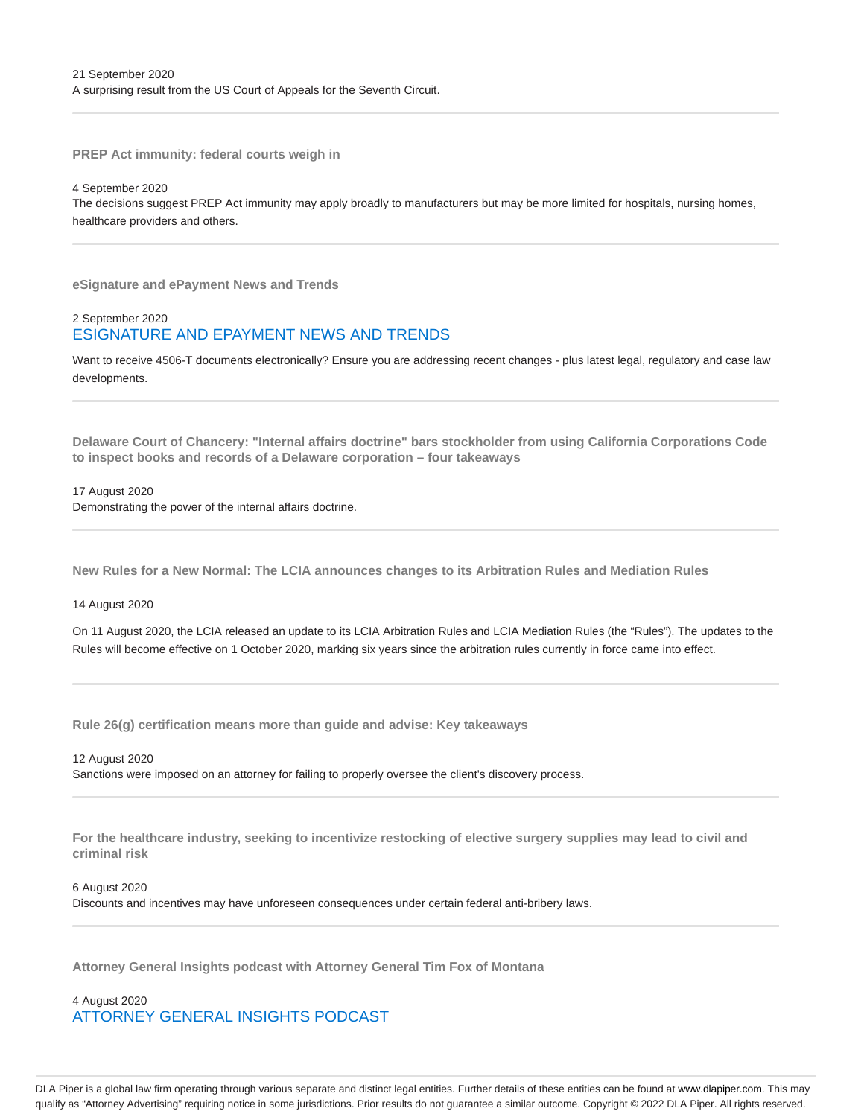**PREP Act immunity: federal courts weigh in**

4 September 2020 The decisions suggest PREP Act immunity may apply broadly to manufacturers but may be more limited for hospitals, nursing homes, healthcare providers and others.

**eSignature and ePayment News and Trends**

# 2 September 2020 ESIGNATURE AND EPAYMENT NEWS AND TRENDS

Want to receive 4506-T documents electronically? Ensure you are addressing recent changes - plus latest legal, regulatory and case law developments.

**Delaware Court of Chancery: "Internal affairs doctrine" bars stockholder from using California Corporations Code to inspect books and records of a Delaware corporation – four takeaways**

#### 17 August 2020

Demonstrating the power of the internal affairs doctrine.

**New Rules for a New Normal: The LCIA announces changes to its Arbitration Rules and Mediation Rules**

14 August 2020

On 11 August 2020, the LCIA released an update to its LCIA Arbitration Rules and LCIA Mediation Rules (the "Rules"). The updates to the Rules will become effective on 1 October 2020, marking six years since the arbitration rules currently in force came into effect.

**Rule 26(g) certification means more than guide and advise: Key takeaways**

12 August 2020 Sanctions were imposed on an attorney for failing to properly oversee the client's discovery process.

**For the healthcare industry, seeking to incentivize restocking of elective surgery supplies may lead to civil and criminal risk**

6 August 2020 Discounts and incentives may have unforeseen consequences under certain federal anti-bribery laws.

**Attorney General Insights podcast with Attorney General Tim Fox of Montana**

4 August 2020 ATTORNEY GENERAL INSIGHTS PODCAST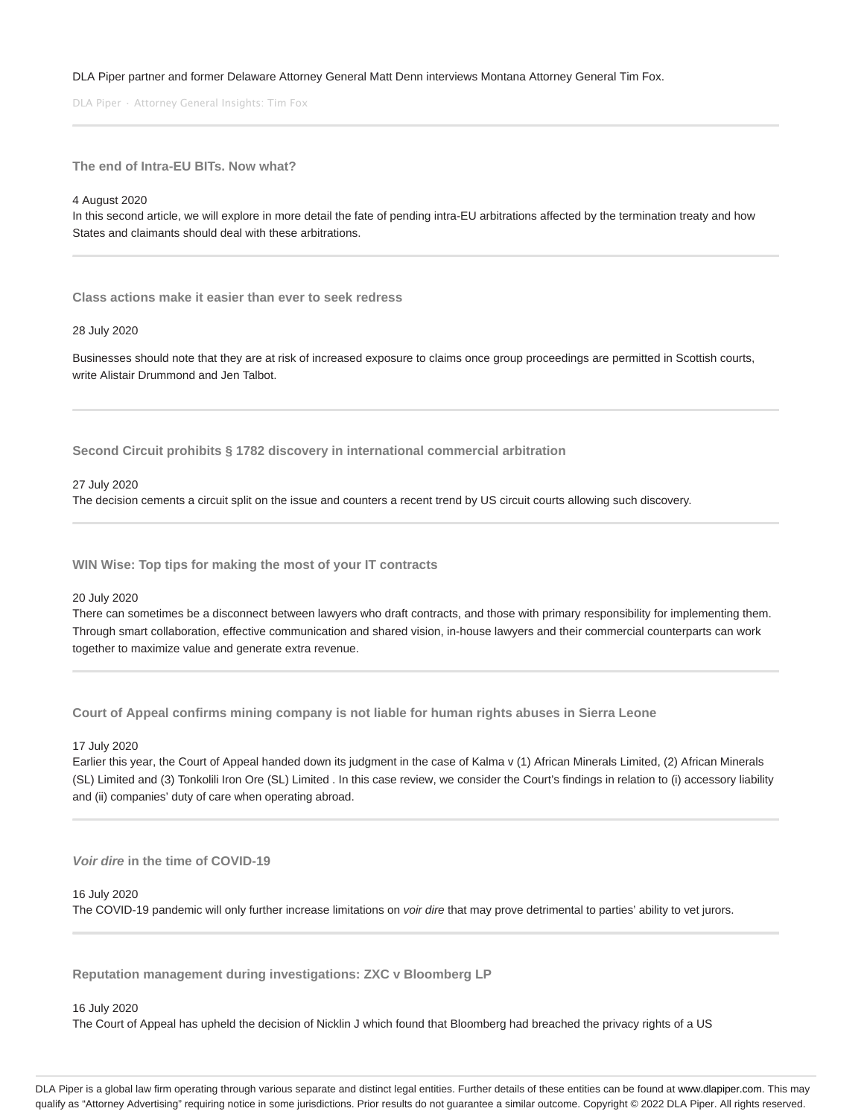#### DLA Piper partner and former Delaware Attorney General Matt Denn interviews Montana Attorney General Tim Fox.

DLA Piper · Attorney General Insights: Tim Fox

**The end of Intra-EU BITs. Now what?**

#### 4 August 2020

In this second article, we will explore in more detail the fate of pending intra-EU arbitrations affected by the termination treaty and how States and claimants should deal with these arbitrations.

**Class actions make it easier than ever to seek redress**

#### 28 July 2020

Businesses should note that they are at risk of increased exposure to claims once group proceedings are permitted in Scottish courts, write Alistair Drummond and Jen Talbot.

**Second Circuit prohibits § 1782 discovery in international commercial arbitration**

27 July 2020

The decision cements a circuit split on the issue and counters a recent trend by US circuit courts allowing such discovery.

**WIN Wise: Top tips for making the most of your IT contracts**

#### 20 July 2020

There can sometimes be a disconnect between lawyers who draft contracts, and those with primary responsibility for implementing them. Through smart collaboration, effective communication and shared vision, in-house lawyers and their commercial counterparts can work together to maximize value and generate extra revenue.

**Court of Appeal confirms mining company is not liable for human rights abuses in Sierra Leone**

17 July 2020

Earlier this year, the Court of Appeal handed down its judgment in the case of Kalma v (1) African Minerals Limited, (2) African Minerals (SL) Limited and (3) Tonkolili Iron Ore (SL) Limited . In this case review, we consider the Court's findings in relation to (i) accessory liability and (ii) companies' duty of care when operating abroad.

**Voir dire in the time of COVID-19**

#### 16 July 2020

The COVID-19 pandemic will only further increase limitations on *voir dire* that may prove detrimental to parties' ability to vet jurors.

**Reputation management during investigations: ZXC v Bloomberg LP**

16 July 2020

The Court of Appeal has upheld the decision of Nicklin J which found that Bloomberg had breached the privacy rights of a US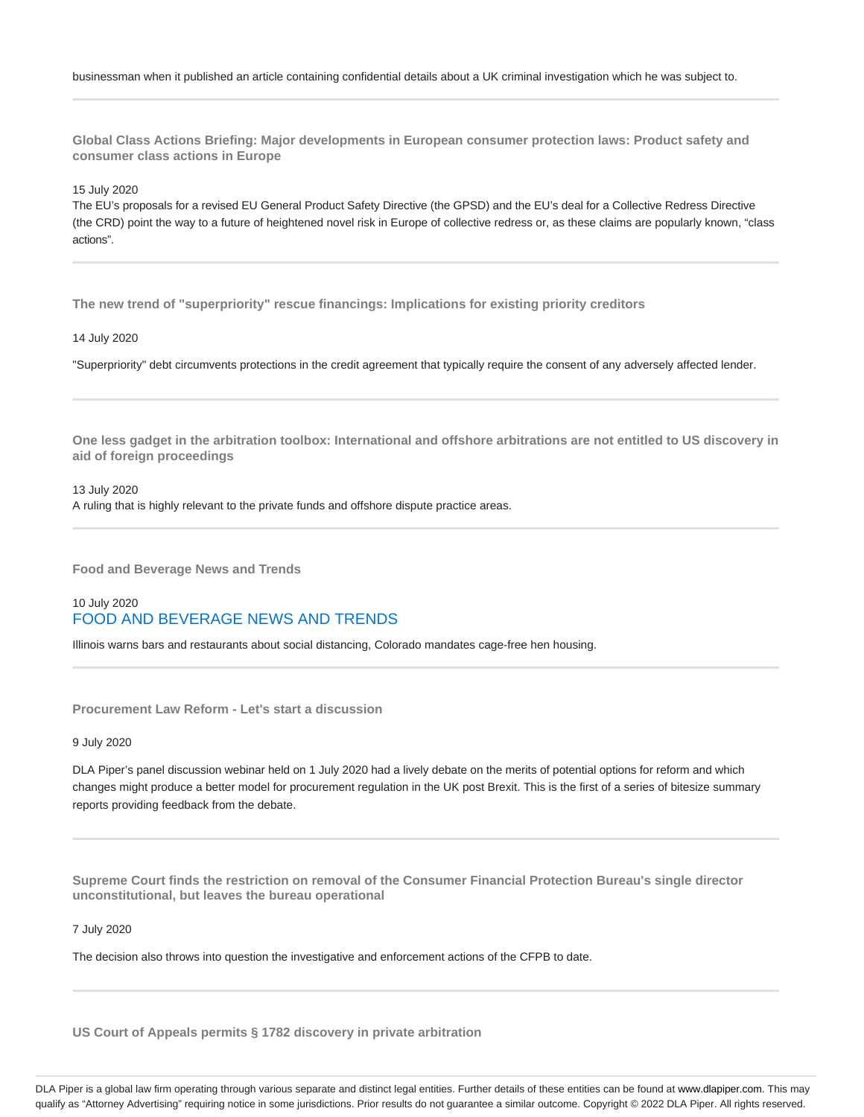**Global Class Actions Briefing: Major developments in European consumer protection laws: Product safety and consumer class actions in Europe**

15 July 2020

The EU's proposals for a revised EU General Product Safety Directive (the GPSD) and the EU's deal for a Collective Redress Directive (the CRD) point the way to a future of heightened novel risk in Europe of collective redress or, as these claims are popularly known, "class actions".

**The new trend of "superpriority" rescue financings: Implications for existing priority creditors**

14 July 2020

"Superpriority" debt circumvents protections in the credit agreement that typically require the consent of any adversely affected lender.

**One less gadget in the arbitration toolbox: International and offshore arbitrations are not entitled to US discovery in aid of foreign proceedings**

13 July 2020 A ruling that is highly relevant to the private funds and offshore dispute practice areas.

**Food and Beverage News and Trends**

# 10 July 2020 FOOD AND BEVERAGE NEWS AND TRENDS

Illinois warns bars and restaurants about social distancing, Colorado mandates cage-free hen housing.

**Procurement Law Reform - Let's start a discussion**

9 July 2020

DLA Piper's panel discussion webinar held on 1 July 2020 had a lively debate on the merits of potential options for reform and which changes might produce a better model for procurement regulation in the UK post Brexit. This is the first of a series of bitesize summary reports providing feedback from the debate.

**Supreme Court finds the restriction on removal of the Consumer Financial Protection Bureau's single director unconstitutional, but leaves the bureau operational**

7 July 2020

The decision also throws into question the investigative and enforcement actions of the CFPB to date.

**US Court of Appeals permits § 1782 discovery in private arbitration**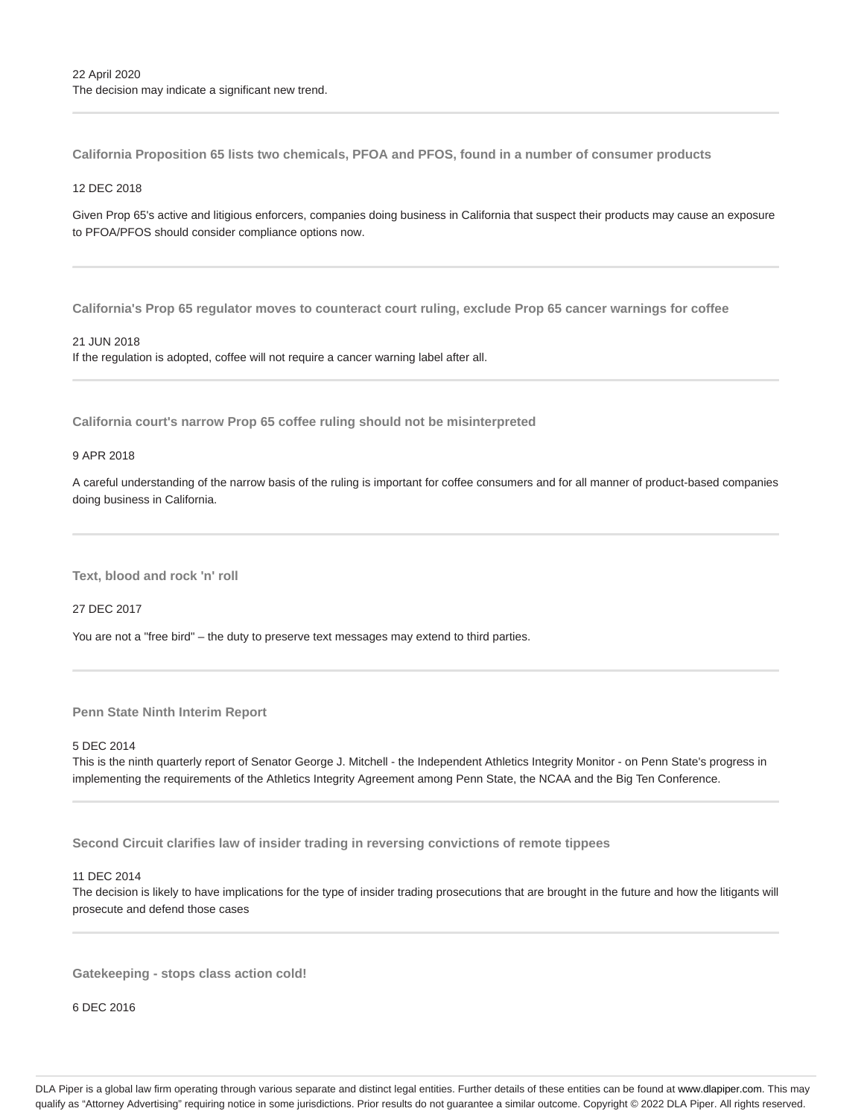**California Proposition 65 lists two chemicals, PFOA and PFOS, found in a number of consumer products**

# 12 DEC 2018

Given Prop 65's active and litigious enforcers, companies doing business in California that suspect their products may cause an exposure to PFOA/PFOS should consider compliance options now.

**California's Prop 65 regulator moves to counteract court ruling, exclude Prop 65 cancer warnings for coffee**

#### 21 JUN 2018

If the regulation is adopted, coffee will not require a cancer warning label after all.

**California court's narrow Prop 65 coffee ruling should not be misinterpreted**

#### 9 APR 2018

A careful understanding of the narrow basis of the ruling is important for coffee consumers and for all manner of product-based companies doing business in California.

**Text, blood and rock 'n' roll**

27 DEC 2017

You are not a "free bird" – the duty to preserve text messages may extend to third parties.

**Penn State Ninth Interim Report**

#### 5 DEC 2014

This is the ninth quarterly report of Senator George J. Mitchell - the Independent Athletics Integrity Monitor - on Penn State's progress in implementing the requirements of the Athletics Integrity Agreement among Penn State, the NCAA and the Big Ten Conference.

**Second Circuit clarifies law of insider trading in reversing convictions of remote tippees**

#### 11 DEC 2014

The decision is likely to have implications for the type of insider trading prosecutions that are brought in the future and how the litigants will prosecute and defend those cases

**Gatekeeping - stops class action cold!**

6 DEC 2016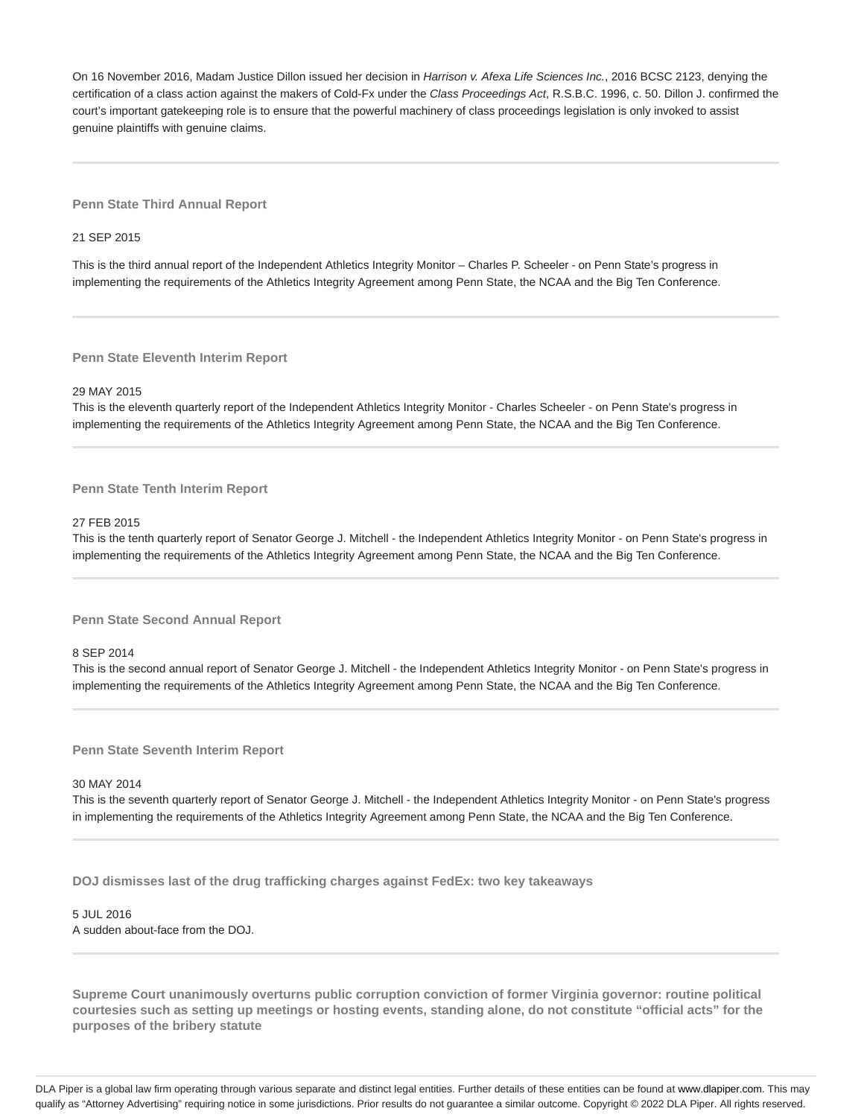On 16 November 2016, Madam Justice Dillon issued her decision in Harrison v. Afexa Life Sciences Inc., 2016 BCSC 2123, denying the certification of a class action against the makers of Cold-Fx under the Class Proceedings Act, R.S.B.C. 1996, c. 50. Dillon J. confirmed the court's important gatekeeping role is to ensure that the powerful machinery of class proceedings legislation is only invoked to assist genuine plaintiffs with genuine claims.

**Penn State Third Annual Report**

21 SEP 2015

This is the third annual report of the Independent Athletics Integrity Monitor – Charles P. Scheeler - on Penn State's progress in implementing the requirements of the Athletics Integrity Agreement among Penn State, the NCAA and the Big Ten Conference.

**Penn State Eleventh Interim Report**

#### 29 MAY 2015

This is the eleventh quarterly report of the Independent Athletics Integrity Monitor - Charles Scheeler - on Penn State's progress in implementing the requirements of the Athletics Integrity Agreement among Penn State, the NCAA and the Big Ten Conference.

#### **Penn State Tenth Interim Report**

#### 27 FEB 2015

This is the tenth quarterly report of Senator George J. Mitchell - the Independent Athletics Integrity Monitor - on Penn State's progress in implementing the requirements of the Athletics Integrity Agreement among Penn State, the NCAA and the Big Ten Conference.

**Penn State Second Annual Report**

8 SEP 2014

This is the second annual report of Senator George J. Mitchell - the Independent Athletics Integrity Monitor - on Penn State's progress in implementing the requirements of the Athletics Integrity Agreement among Penn State, the NCAA and the Big Ten Conference.

**Penn State Seventh Interim Report**

#### 30 MAY 2014

This is the seventh quarterly report of Senator George J. Mitchell - the Independent Athletics Integrity Monitor - on Penn State's progress in implementing the requirements of the Athletics Integrity Agreement among Penn State, the NCAA and the Big Ten Conference.

**DOJ dismisses last of the drug trafficking charges against FedEx: two key takeaways**

# 5 JUL 2016 A sudden about-face from the DOJ.

**Supreme Court unanimously overturns public corruption conviction of former Virginia governor: routine political courtesies such as setting up meetings or hosting events, standing alone, do not constitute "official acts" for the purposes of the bribery statute**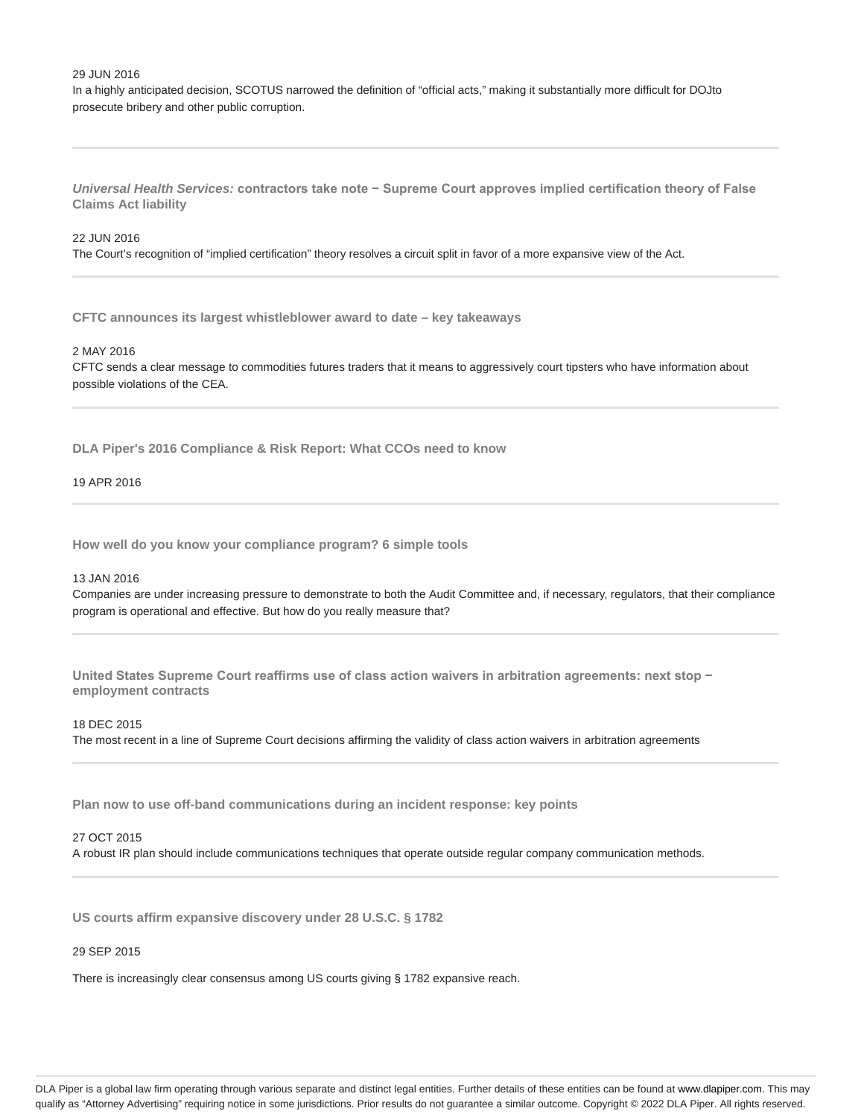#### 29 JUN 2016

In a highly anticipated decision, SCOTUS narrowed the definition of "official acts," making it substantially more difficult for DOJto prosecute bribery and other public corruption.

**Universal Health Services: contractors take note − Supreme Court approves implied certification theory of False Claims Act liability**

#### 22 JUN 2016

The Court's recognition of "implied certification" theory resolves a circuit split in favor of a more expansive view of the Act.

**CFTC announces its largest whistleblower award to date – key takeaways**

#### 2 MAY 2016

CFTC sends a clear message to commodities futures traders that it means to aggressively court tipsters who have information about possible violations of the CEA.

**DLA Piper's 2016 Compliance & Risk Report: What CCOs need to know**

#### 19 APR 2016

**How well do you know your compliance program? 6 simple tools**

#### 13 JAN 2016

Companies are under increasing pressure to demonstrate to both the Audit Committee and, if necessary, regulators, that their compliance program is operational and effective. But how do you really measure that?

**United States Supreme Court reaffirms use of class action waivers in arbitration agreements: next stop − employment contracts**

#### 18 DEC 2015

The most recent in a line of Supreme Court decisions affirming the validity of class action waivers in arbitration agreements

**Plan now to use off-band communications during an incident response: key points**

#### 27 OCT 2015

A robust IR plan should include communications techniques that operate outside regular company communication methods.

**US courts affirm expansive discovery under 28 U.S.C. § 1782**

#### 29 SEP 2015

There is increasingly clear consensus among US courts giving § 1782 expansive reach.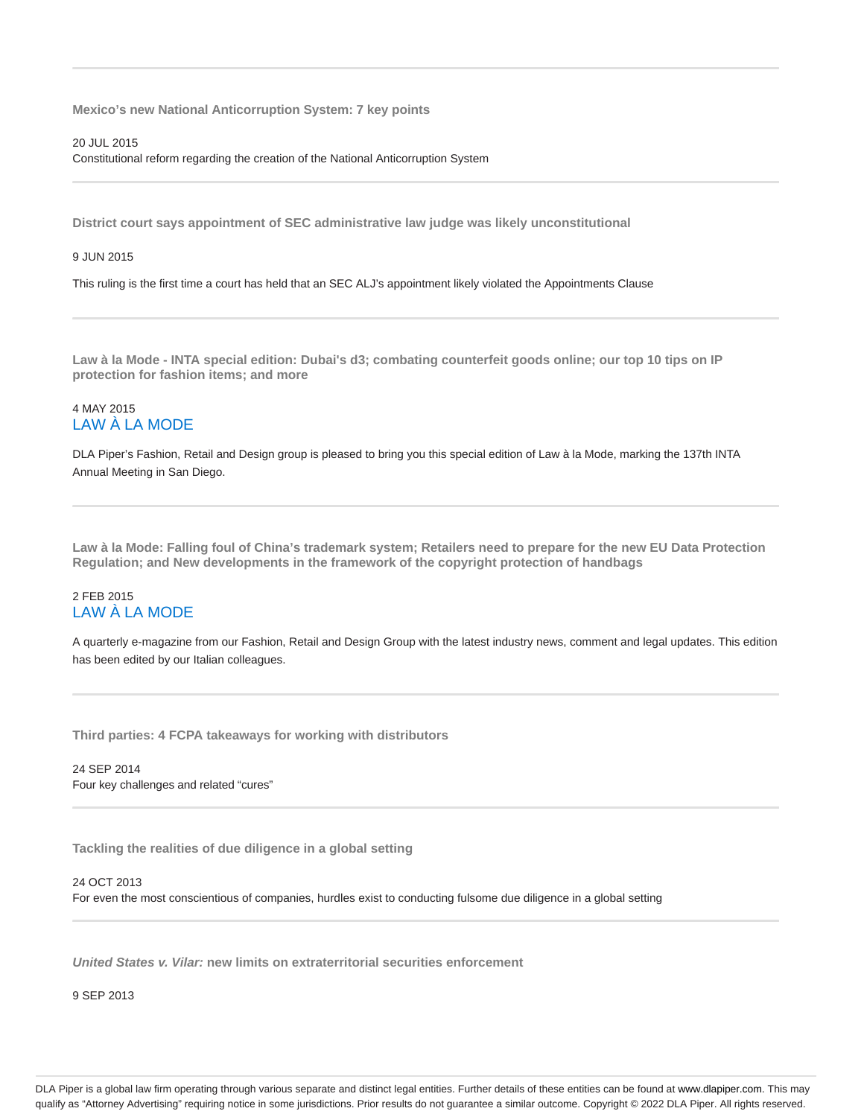**Mexico's new National Anticorruption System: 7 key points**

20 JUL 2015

Constitutional reform regarding the creation of the National Anticorruption System

**District court says appointment of SEC administrative law judge was likely unconstitutional**

9 JUN 2015

This ruling is the first time a court has held that an SEC ALJ's appointment likely violated the Appointments Clause

**Law à la Mode - INTA special edition: Dubai's d3; combating counterfeit goods online; our top 10 tips on IP protection for fashion items; and more**

# 4 MAY 2015 LAW À LA MODE

DLA Piper's Fashion, Retail and Design group is pleased to bring you this special edition of Law à la Mode, marking the 137th INTA Annual Meeting in San Diego.

**Law à la Mode: Falling foul of China's trademark system; Retailers need to prepare for the new EU Data Protection Regulation; and New developments in the framework of the copyright protection of handbags**

# 2 FEB 2015 LAW À LA MODE

A quarterly e-magazine from our Fashion, Retail and Design Group with the latest industry news, comment and legal updates. This edition has been edited by our Italian colleagues.

**Third parties: 4 FCPA takeaways for working with distributors**

24 SEP 2014 Four key challenges and related "cures"

**Tackling the realities of due diligence in a global setting**

24 OCT 2013 For even the most conscientious of companies, hurdles exist to conducting fulsome due diligence in a global setting

**United States v. Vilar: new limits on extraterritorial securities enforcement**

9 SEP 2013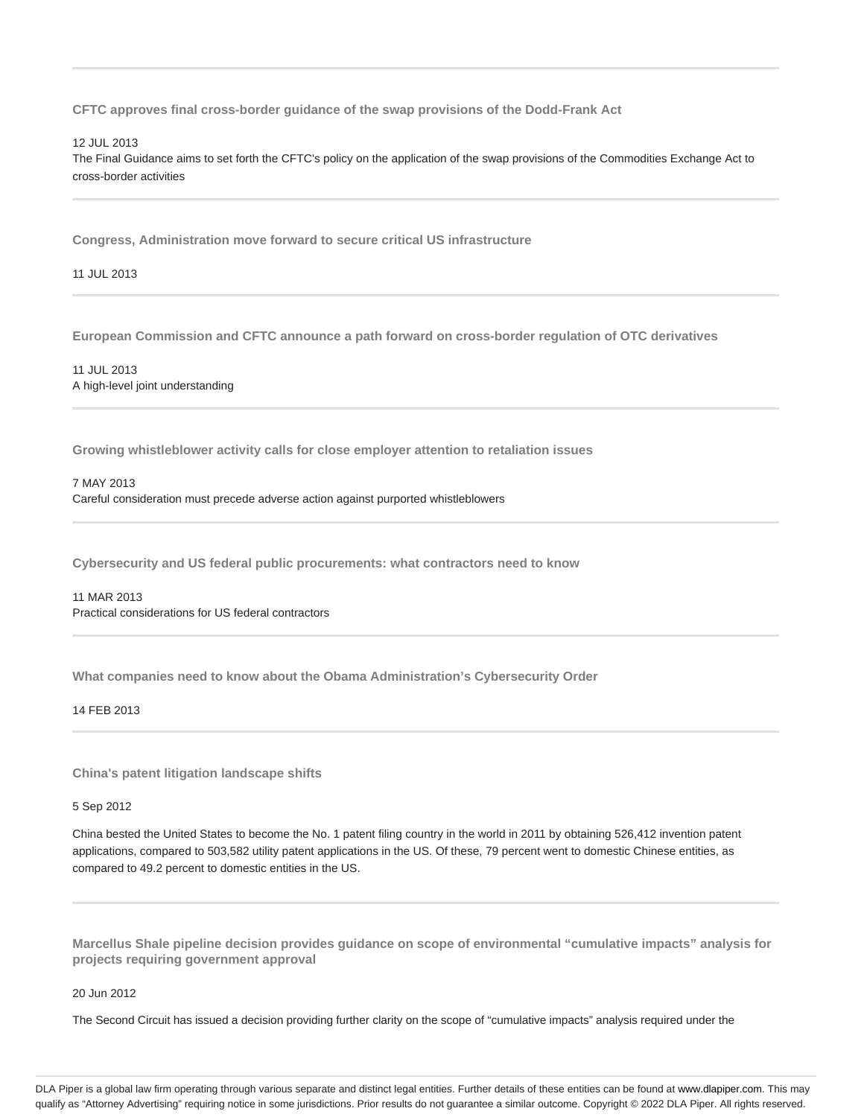**CFTC approves final cross-border guidance of the swap provisions of the Dodd-Frank Act**

12 JUL 2013

The Final Guidance aims to set forth the CFTC's policy on the application of the swap provisions of the Commodities Exchange Act to cross-border activities

**Congress, Administration move forward to secure critical US infrastructure**

11 JUL 2013

**European Commission and CFTC announce a path forward on cross-border regulation of OTC derivatives**

11 JUL 2013 A high-level joint understanding

**Growing whistleblower activity calls for close employer attention to retaliation issues**

7 MAY 2013 Careful consideration must precede adverse action against purported whistleblowers

**Cybersecurity and US federal public procurements: what contractors need to know**

11 MAR 2013 Practical considerations for US federal contractors

**What companies need to know about the Obama Administration's Cybersecurity Order**

14 FEB 2013

**China's patent litigation landscape shifts**

5 Sep 2012

China bested the United States to become the No. 1 patent filing country in the world in 2011 by obtaining 526,412 invention patent applications, compared to 503,582 utility patent applications in the US. Of these, 79 percent went to domestic Chinese entities, as compared to 49.2 percent to domestic entities in the US.

**Marcellus Shale pipeline decision provides guidance on scope of environmental "cumulative impacts" analysis for projects requiring government approval**

20 Jun 2012

The Second Circuit has issued a decision providing further clarity on the scope of "cumulative impacts" analysis required under the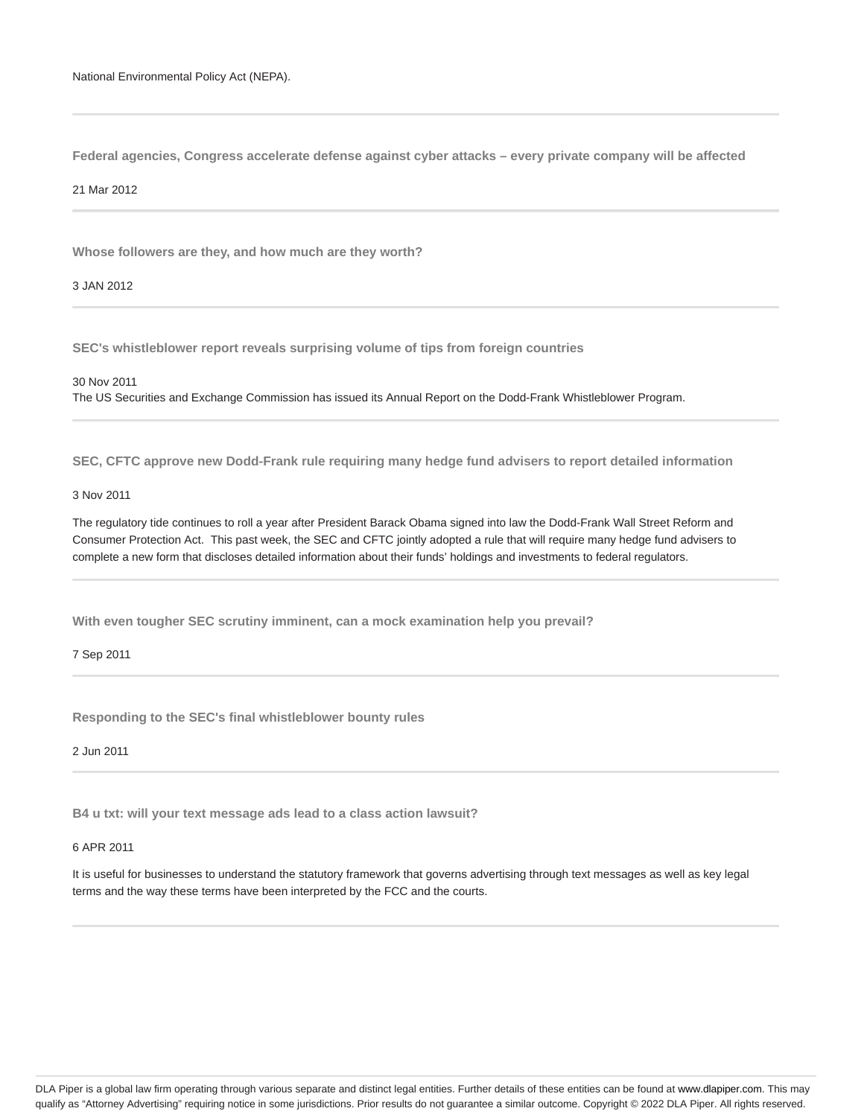**Federal agencies, Congress accelerate defense against cyber attacks – every private company will be affected**

#### 21 Mar 2012

**Whose followers are they, and how much are they worth?**

3 JAN 2012

**SEC's whistleblower report reveals surprising volume of tips from foreign countries**

#### 30 Nov 2011

The US Securities and Exchange Commission has issued its Annual Report on the Dodd-Frank Whistleblower Program.

**SEC, CFTC approve new Dodd-Frank rule requiring many hedge fund advisers to report detailed information**

#### 3 Nov 2011

The regulatory tide continues to roll a year after President Barack Obama signed into law the Dodd-Frank Wall Street Reform and Consumer Protection Act. This past week, the SEC and CFTC jointly adopted a rule that will require many hedge fund advisers to complete a new form that discloses detailed information about their funds' holdings and investments to federal regulators.

**With even tougher SEC scrutiny imminent, can a mock examination help you prevail?**

7 Sep 2011

**Responding to the SEC's final whistleblower bounty rules**

2 Jun 2011

**B4 u txt: will your text message ads lead to a class action lawsuit?**

# 6 APR 2011

It is useful for businesses to understand the statutory framework that governs advertising through text messages as well as key legal terms and the way these terms have been interpreted by the FCC and the courts.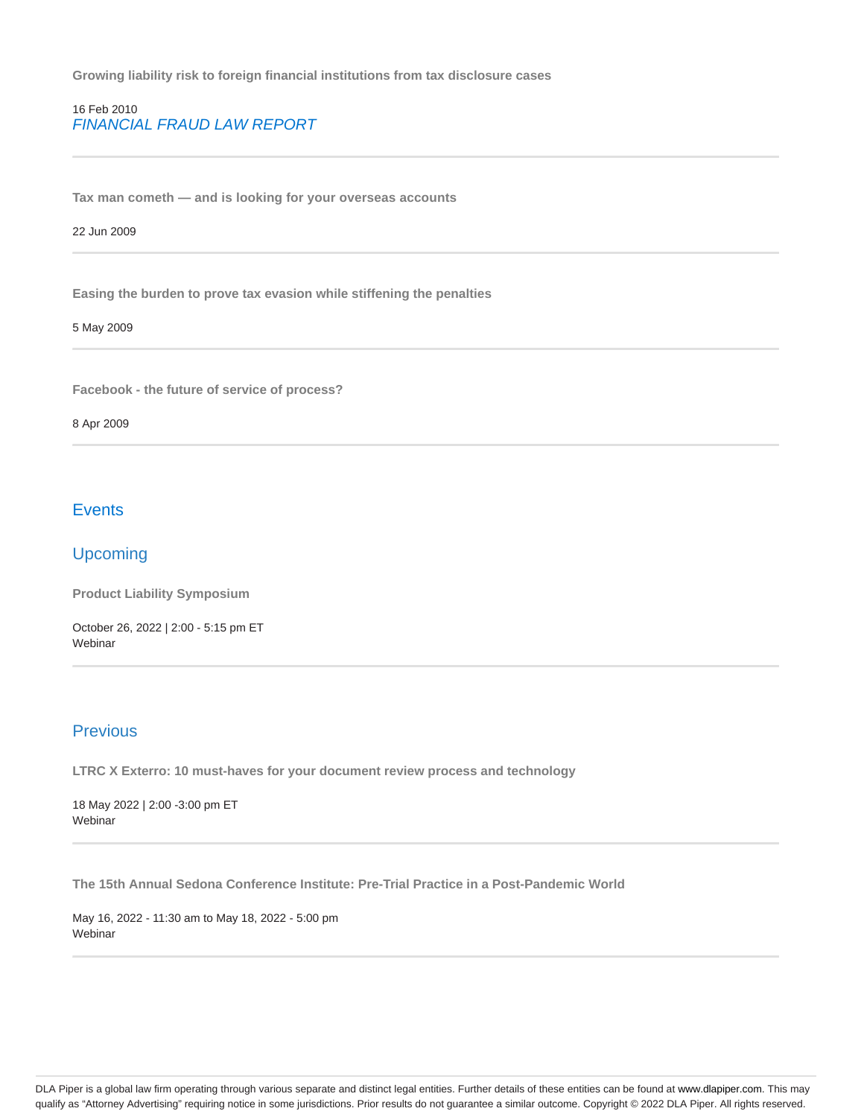**Growing liability risk to foreign financial institutions from tax disclosure cases**

# 16 Feb 2010 FINANCIAL FRAUD LAW REPORT

**Tax man cometh — and is looking for your overseas accounts**

# 22 Jun 2009

**Easing the burden to prove tax evasion while stiffening the penalties**

#### 5 May 2009

**Facebook - the future of service of process?**

#### 8 Apr 2009

# **Events**

# Upcoming

**Product Liability Symposium**

October 26, 2022 | 2:00 - 5:15 pm ET Webinar

# Previous

**LTRC X Exterro: 10 must-haves for your document review process and technology**

18 May 2022 | 2:00 -3:00 pm ET Webinar

**The 15th Annual Sedona Conference Institute: Pre-Trial Practice in a Post-Pandemic World**

May 16, 2022 - 11:30 am to May 18, 2022 - 5:00 pm Webinar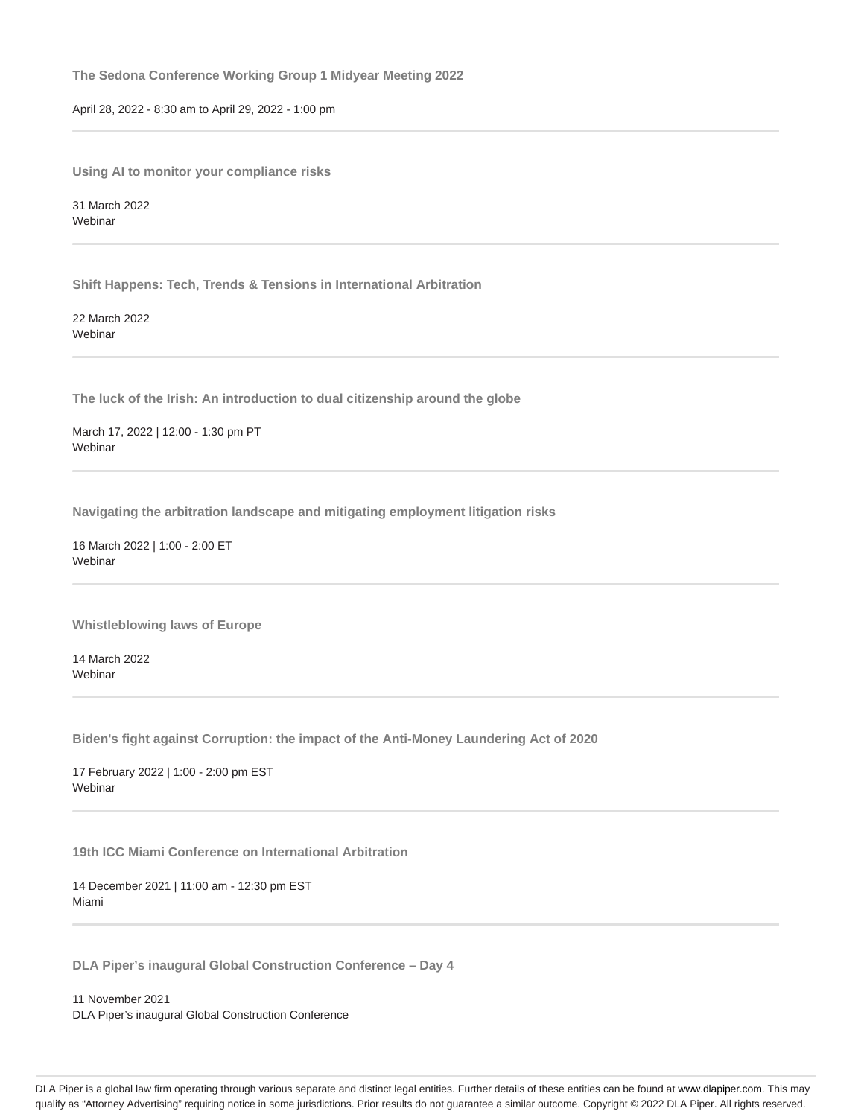**The Sedona Conference Working Group 1 Midyear Meeting 2022**

April 28, 2022 - 8:30 am to April 29, 2022 - 1:00 pm

**Using AI to monitor your compliance risks**

31 March 2022 Webinar

**Shift Happens: Tech, Trends & Tensions in International Arbitration**

22 March 2022 Webinar

**The luck of the Irish: An introduction to dual citizenship around the globe**

March 17, 2022 | 12:00 - 1:30 pm PT Webinar

**Navigating the arbitration landscape and mitigating employment litigation risks**

16 March 2022 | 1:00 - 2:00 ET **Webinar** 

**Whistleblowing laws of Europe**

14 March 2022 Webinar

**Biden's fight against Corruption: the impact of the Anti-Money Laundering Act of 2020**

17 February 2022 | 1:00 - 2:00 pm EST **Webinar** 

**19th ICC Miami Conference on International Arbitration**

14 December 2021 | 11:00 am - 12:30 pm EST Miami

**DLA Piper's inaugural Global Construction Conference – Day 4**

11 November 2021 DLA Piper's inaugural Global Construction Conference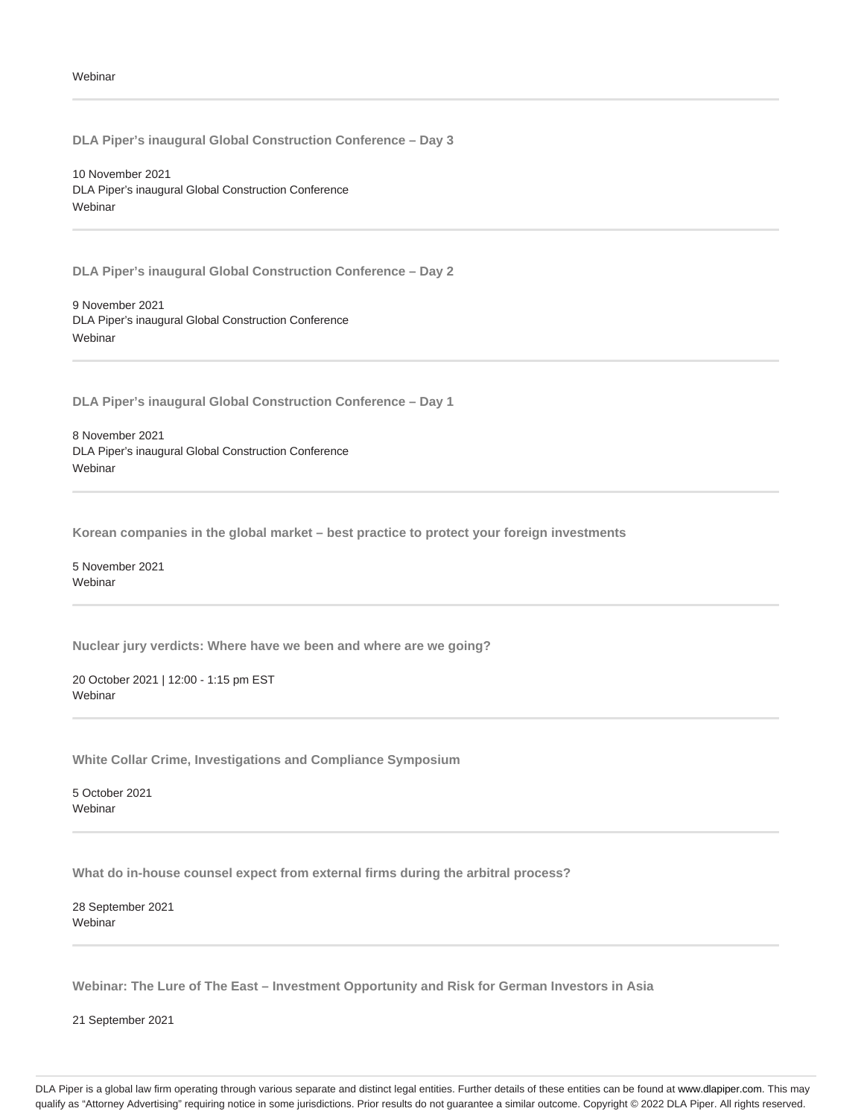**DLA Piper's inaugural Global Construction Conference – Day 3**

10 November 2021 DLA Piper's inaugural Global Construction Conference **Webinar** 

**DLA Piper's inaugural Global Construction Conference – Day 2**

9 November 2021 DLA Piper's inaugural Global Construction Conference Webinar

**DLA Piper's inaugural Global Construction Conference – Day 1**

8 November 2021 DLA Piper's inaugural Global Construction Conference **Webinar** 

**Korean companies in the global market – best practice to protect your foreign investments**

5 November 2021 Webinar

**Nuclear jury verdicts: Where have we been and where are we going?**

20 October 2021 | 12:00 - 1:15 pm EST Webinar

**White Collar Crime, Investigations and Compliance Symposium**

5 October 2021 Webinar

**What do in-house counsel expect from external firms during the arbitral process?**

28 September 2021 Webinar

**Webinar: The Lure of The East – Investment Opportunity and Risk for German Investors in Asia**

21 September 2021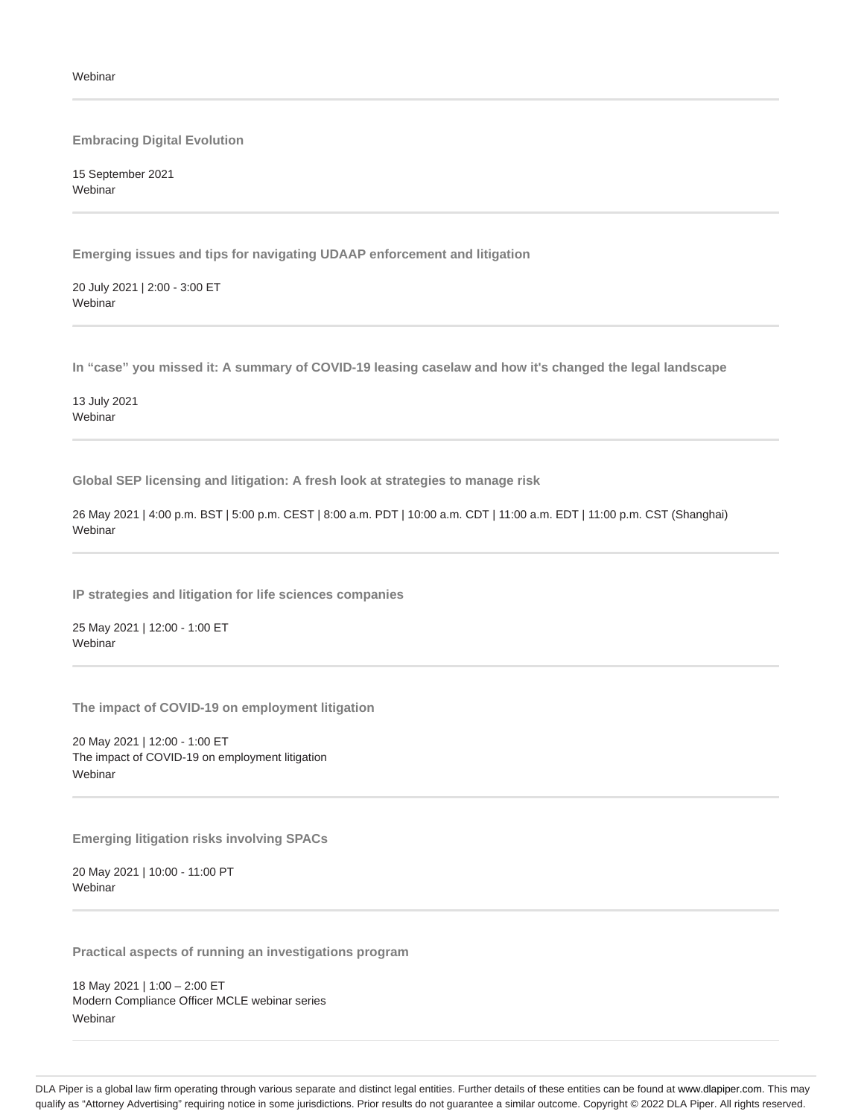#### **Embracing Digital Evolution**

15 September 2021 Webinar

**Emerging issues and tips for navigating UDAAP enforcement and litigation**

20 July 2021 | 2:00 - 3:00 ET Webinar

**In "case" you missed it: A summary of COVID-19 leasing caselaw and how it's changed the legal landscape**

13 July 2021 **Webinar** 

**Global SEP licensing and litigation: A fresh look at strategies to manage risk**

26 May 2021 | 4:00 p.m. BST | 5:00 p.m. CEST | 8:00 a.m. PDT | 10:00 a.m. CDT | 11:00 a.m. EDT | 11:00 p.m. CST (Shanghai) **Webinar** 

**IP strategies and litigation for life sciences companies**

25 May 2021 | 12:00 - 1:00 ET **Webinar** 

**The impact of COVID-19 on employment litigation**

20 May 2021 | 12:00 - 1:00 ET The impact of COVID-19 on employment litigation Webinar

**Emerging litigation risks involving SPACs**

20 May 2021 | 10:00 - 11:00 PT **Webinar** 

**Practical aspects of running an investigations program**

18 May 2021 | 1:00 – 2:00 ET Modern Compliance Officer MCLE webinar series **Webinar**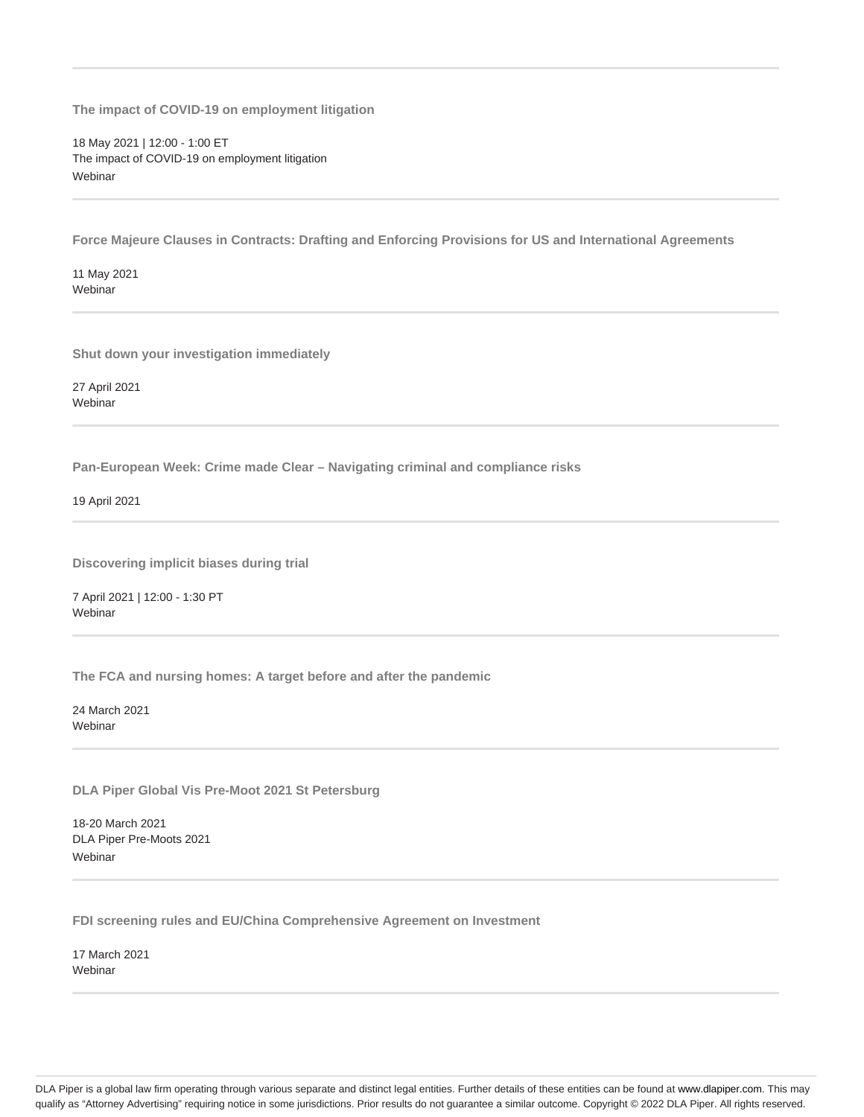**The impact of COVID-19 on employment litigation**

18 May 2021 | 12:00 - 1:00 ET The impact of COVID-19 on employment litigation Webinar

**Force Majeure Clauses in Contracts: Drafting and Enforcing Provisions for US and International Agreements**

11 May 2021 **Webinar** 

**Shut down your investigation immediately**

27 April 2021 Webinar

**Pan-European Week: Crime made Clear – Navigating criminal and compliance risks**

19 April 2021

**Discovering implicit biases during trial**

7 April 2021 | 12:00 - 1:30 PT Webinar

**The FCA and nursing homes: A target before and after the pandemic**

24 March 2021 **Webinar** 

**DLA Piper Global Vis Pre-Moot 2021 St Petersburg**

18-20 March 2021 DLA Piper Pre-Moots 2021 **Webinar** 

**FDI screening rules and EU/China Comprehensive Agreement on Investment**

17 March 2021 Webinar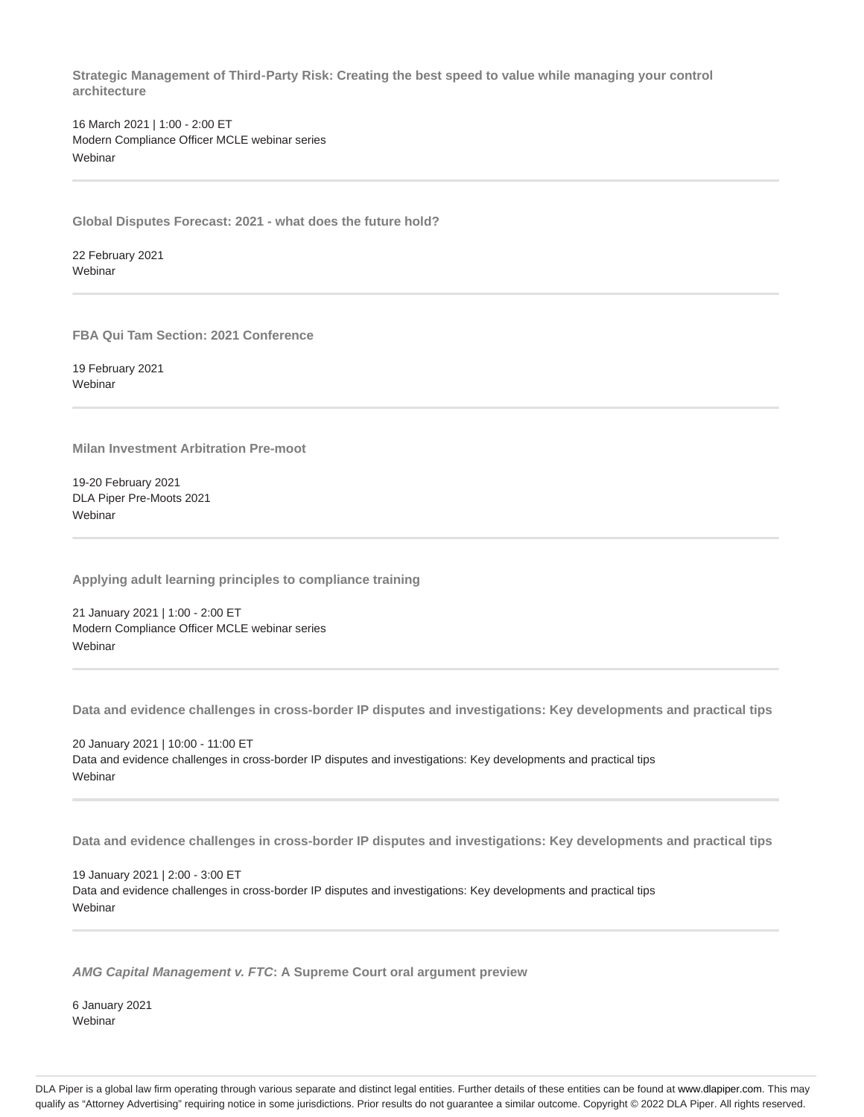**Strategic Management of Third‑Party Risk: Creating the best speed to value while managing your control architecture**

16 March 2021 | 1:00 - 2:00 ET Modern Compliance Officer MCLE webinar series **Webinar** 

**Global Disputes Forecast: 2021 - what does the future hold?**

22 February 2021 **Webinar** 

**FBA Qui Tam Section: 2021 Conference**

19 February 2021 Webinar

**Milan Investment Arbitration Pre-moot**

19-20 February 2021 DLA Piper Pre-Moots 2021 **Webinar** 

**Applying adult learning principles to compliance training**

21 January 2021 | 1:00 - 2:00 ET Modern Compliance Officer MCLE webinar series **Webinar** 

**Data and evidence challenges in cross-border IP disputes and investigations: Key developments and practical tips**

20 January 2021 | 10:00 - 11:00 ET Data and evidence challenges in cross-border IP disputes and investigations: Key developments and practical tips Webinar

**Data and evidence challenges in cross-border IP disputes and investigations: Key developments and practical tips**

19 January 2021 | 2:00 - 3:00 ET Data and evidence challenges in cross-border IP disputes and investigations: Key developments and practical tips **Webinar** 

**AMG Capital Management v. FTC: A Supreme Court oral argument preview**

6 January 2021 **Webinar**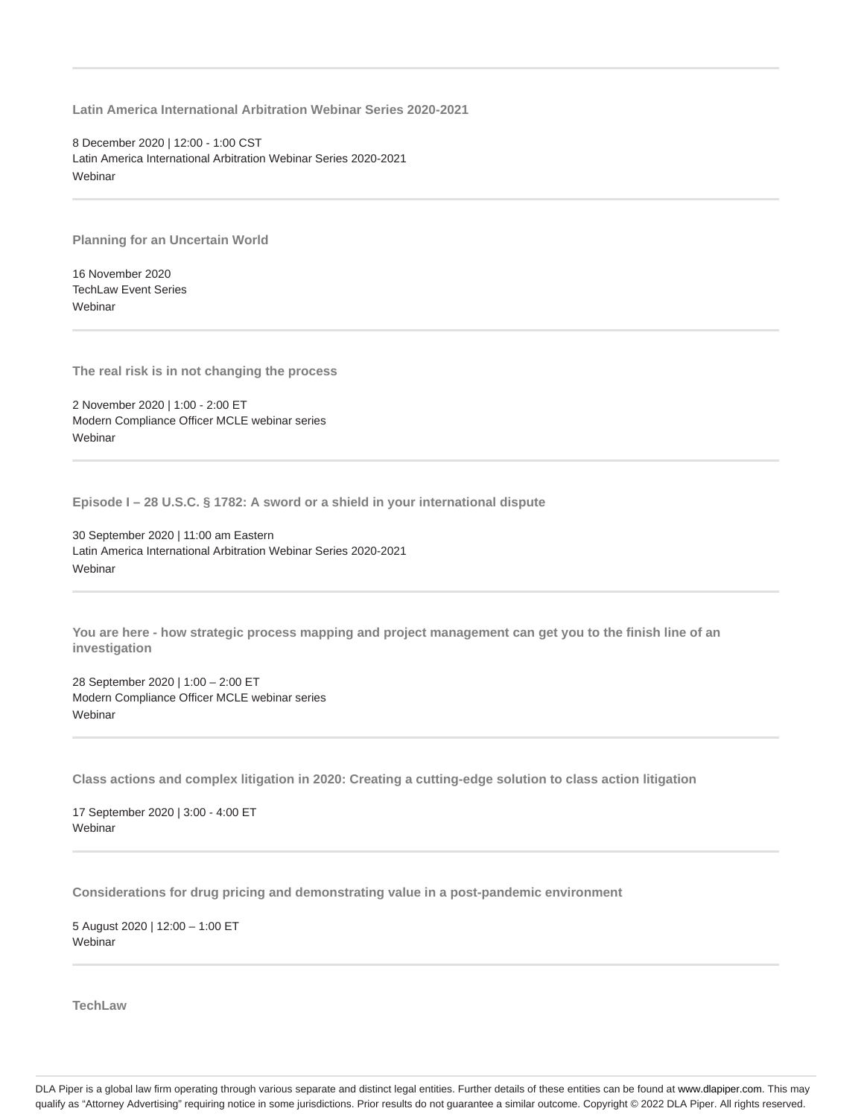**Latin America International Arbitration Webinar Series 2020-2021**

8 December 2020 | 12:00 - 1:00 CST Latin America International Arbitration Webinar Series 2020-2021 Webinar

**Planning for an Uncertain World**

16 November 2020 TechLaw Event Series Webinar

**The real risk is in not changing the process**

2 November 2020 | 1:00 - 2:00 ET Modern Compliance Officer MCLE webinar series **Webinar** 

**Episode I – 28 U.S.C. § 1782: A sword or a shield in your international dispute**

30 September 2020 | 11:00 am Eastern Latin America International Arbitration Webinar Series 2020-2021 Webinar

**You are here - how strategic process mapping and project management can get you to the finish line of an investigation**

28 September 2020 | 1:00 – 2:00 ET Modern Compliance Officer MCLE webinar series Webinar

**Class actions and complex litigation in 2020: Creating a cutting-edge solution to class action litigation**

17 September 2020 | 3:00 - 4:00 ET Webinar

**Considerations for drug pricing and demonstrating value in a post-pandemic environment**

5 August 2020 | 12:00 – 1:00 ET **Webinar** 

**TechLaw**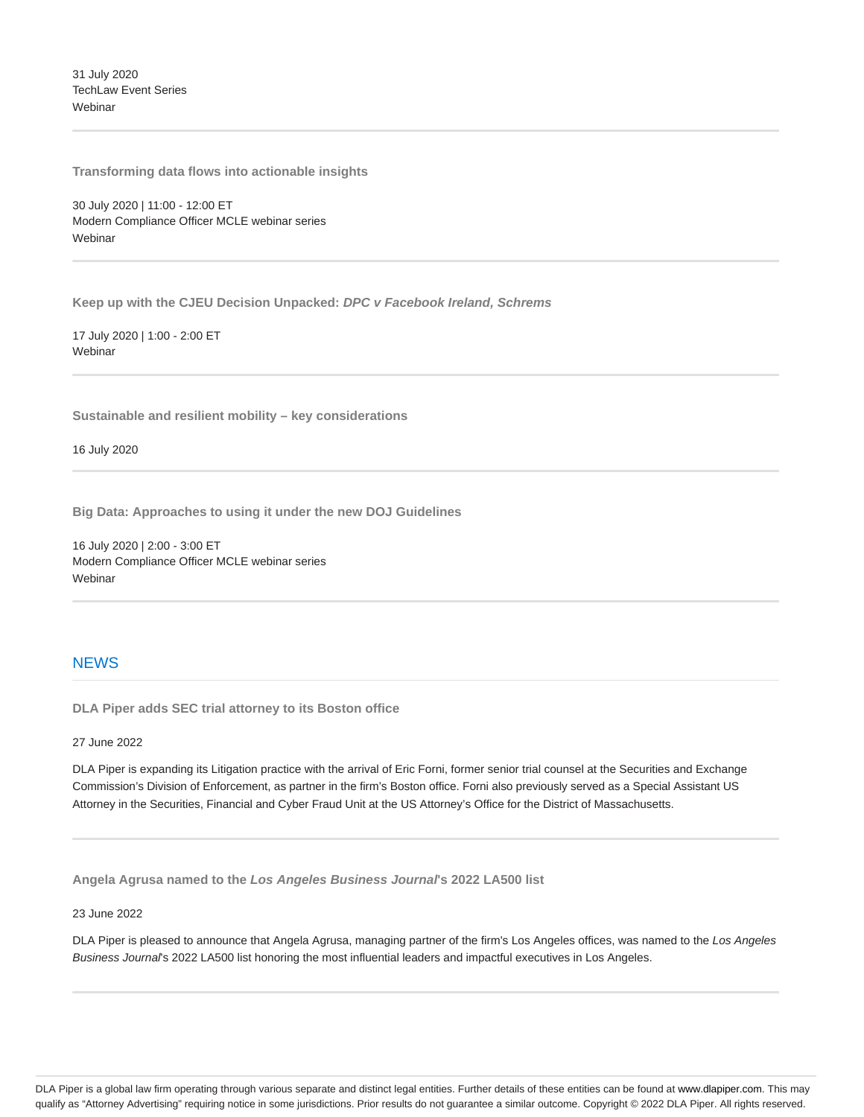31 July 2020 TechLaw Event Series **Webinar** 

**Transforming data flows into actionable insights**

30 July 2020 | 11:00 - 12:00 ET Modern Compliance Officer MCLE webinar series **Webinar** 

**Keep up with the CJEU Decision Unpacked: DPC v Facebook Ireland, Schrems**

17 July 2020 | 1:00 - 2:00 ET Webinar

**Sustainable and resilient mobility – key considerations**

16 July 2020

**Big Data: Approaches to using it under the new DOJ Guidelines**

16 July 2020 | 2:00 - 3:00 ET Modern Compliance Officer MCLE webinar series Webinar

# **NEWS**

**DLA Piper adds SEC trial attorney to its Boston office**

27 June 2022

DLA Piper is expanding its Litigation practice with the arrival of Eric Forni, former senior trial counsel at the Securities and Exchange Commission's Division of Enforcement, as partner in the firm's Boston office. Forni also previously served as a Special Assistant US Attorney in the Securities, Financial and Cyber Fraud Unit at the US Attorney's Office for the District of Massachusetts.

**Angela Agrusa named to the Los Angeles Business Journal's 2022 LA500 list**

23 June 2022

DLA Piper is pleased to announce that Angela Agrusa, managing partner of the firm's Los Angeles offices, was named to the Los Angeles Business Journal's 2022 LA500 list honoring the most influential leaders and impactful executives in Los Angeles.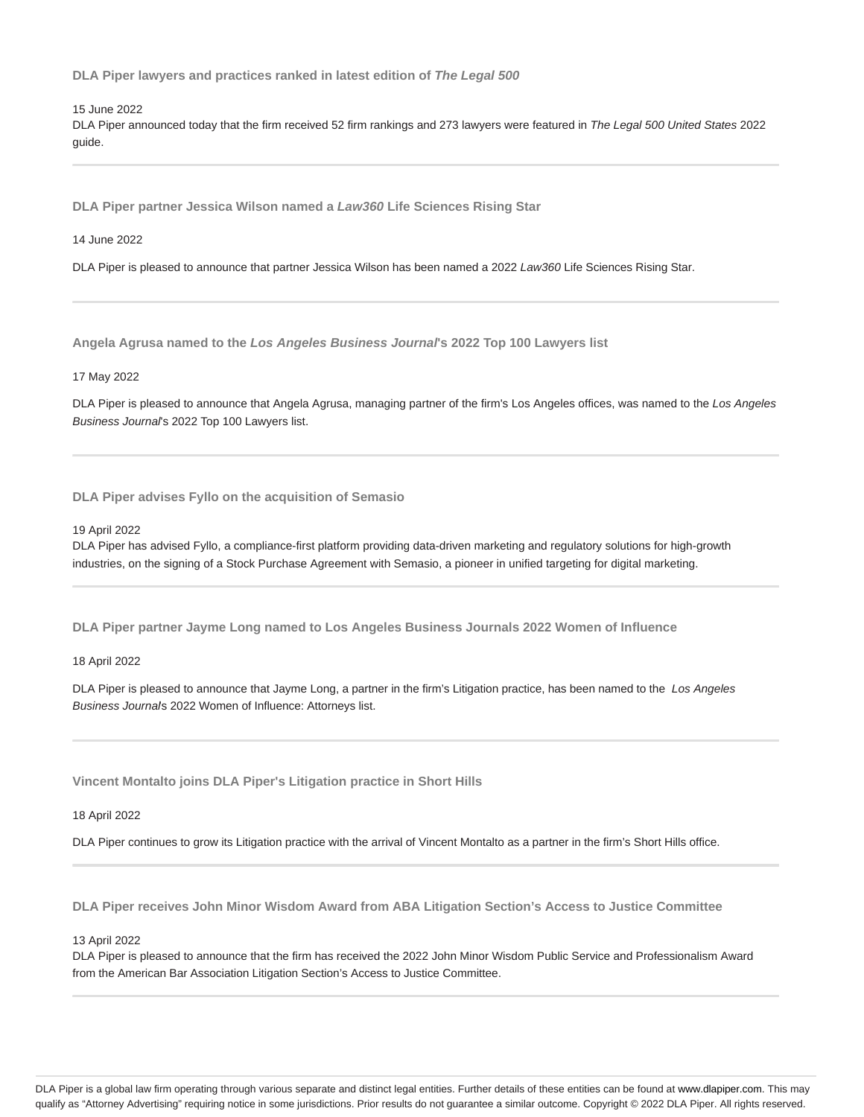**DLA Piper lawyers and practices ranked in latest edition of The Legal 500**

15 June 2022

DLA Piper announced today that the firm received 52 firm rankings and 273 lawyers were featured in The Legal 500 United States 2022 guide.

**DLA Piper partner Jessica Wilson named a Law360 Life Sciences Rising Star**

14 June 2022

DLA Piper is pleased to announce that partner Jessica Wilson has been named a 2022 Law360 Life Sciences Rising Star.

**Angela Agrusa named to the Los Angeles Business Journal's 2022 Top 100 Lawyers list**

17 May 2022

DLA Piper is pleased to announce that Angela Agrusa, managing partner of the firm's Los Angeles offices, was named to the Los Angeles Business Journal's 2022 Top 100 Lawyers list.

**DLA Piper advises Fyllo on the acquisition of Semasio**

19 April 2022

DLA Piper has advised Fyllo, a compliance-first platform providing data-driven marketing and regulatory solutions for high-growth industries, on the signing of a Stock Purchase Agreement with Semasio, a pioneer in unified targeting for digital marketing.

**DLA Piper partner Jayme Long named to Los Angeles Business Journals 2022 Women of Influence**

18 April 2022

DLA Piper is pleased to announce that Jayme Long, a partner in the firm's Litigation practice, has been named to the Los Angeles Business Journals 2022 Women of Influence: Attorneys list.

**Vincent Montalto joins DLA Piper's Litigation practice in Short Hills**

18 April 2022

DLA Piper continues to grow its Litigation practice with the arrival of Vincent Montalto as a partner in the firm's Short Hills office.

**DLA Piper receives John Minor Wisdom Award from ABA Litigation Section's Access to Justice Committee**

13 April 2022

DLA Piper is pleased to announce that the firm has received the 2022 John Minor Wisdom Public Service and Professionalism Award from the American Bar Association Litigation Section's Access to Justice Committee.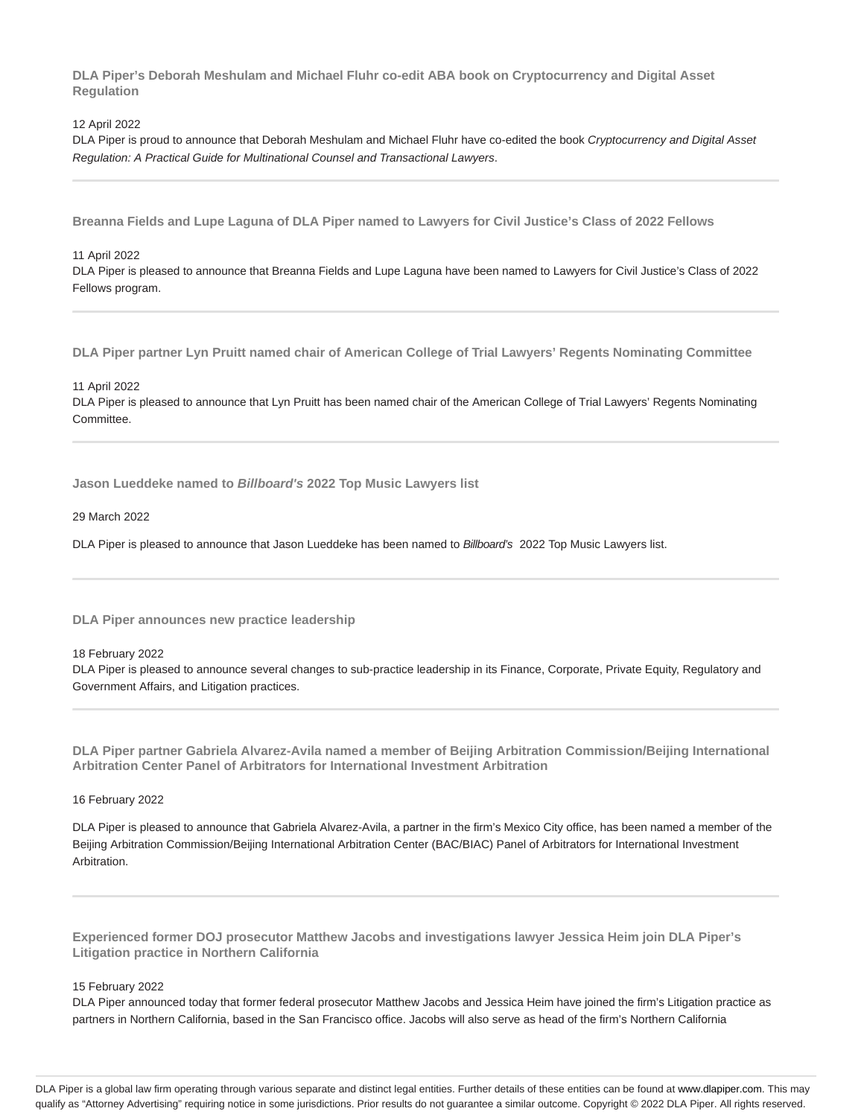**DLA Piper's Deborah Meshulam and Michael Fluhr co-edit ABA book on Cryptocurrency and Digital Asset Regulation**

#### 12 April 2022

DLA Piper is proud to announce that Deborah Meshulam and Michael Fluhr have co-edited the book Cryptocurrency and Digital Asset Regulation: A Practical Guide for Multinational Counsel and Transactional Lawyers.

**Breanna Fields and Lupe Laguna of DLA Piper named to Lawyers for Civil Justice's Class of 2022 Fellows**

#### 11 April 2022

DLA Piper is pleased to announce that Breanna Fields and Lupe Laguna have been named to Lawyers for Civil Justice's Class of 2022 Fellows program.

**DLA Piper partner Lyn Pruitt named chair of American College of Trial Lawyers' Regents Nominating Committee**

11 April 2022

DLA Piper is pleased to announce that Lyn Pruitt has been named chair of the American College of Trial Lawyers' Regents Nominating Committee.

**Jason Lueddeke named to Billboard's 2022 Top Music Lawyers list**

#### 29 March 2022

DLA Piper is pleased to announce that Jason Lueddeke has been named to Billboard's 2022 Top Music Lawyers list.

**DLA Piper announces new practice leadership**

#### 18 February 2022

DLA Piper is pleased to announce several changes to sub-practice leadership in its Finance, Corporate, Private Equity, Regulatory and Government Affairs, and Litigation practices.

**DLA Piper partner Gabriela Alvarez-Avila named a member of Beijing Arbitration Commission/Beijing International Arbitration Center Panel of Arbitrators for International Investment Arbitration**

#### 16 February 2022

DLA Piper is pleased to announce that Gabriela Alvarez-Avila, a partner in the firm's Mexico City office, has been named a member of the Beijing Arbitration Commission/Beijing International Arbitration Center (BAC/BIAC) Panel of Arbitrators for International Investment Arbitration.

**Experienced former DOJ prosecutor Matthew Jacobs and investigations lawyer Jessica Heim join DLA Piper's Litigation practice in Northern California**

#### 15 February 2022

DLA Piper announced today that former federal prosecutor Matthew Jacobs and Jessica Heim have joined the firm's Litigation practice as partners in Northern California, based in the San Francisco office. Jacobs will also serve as head of the firm's Northern California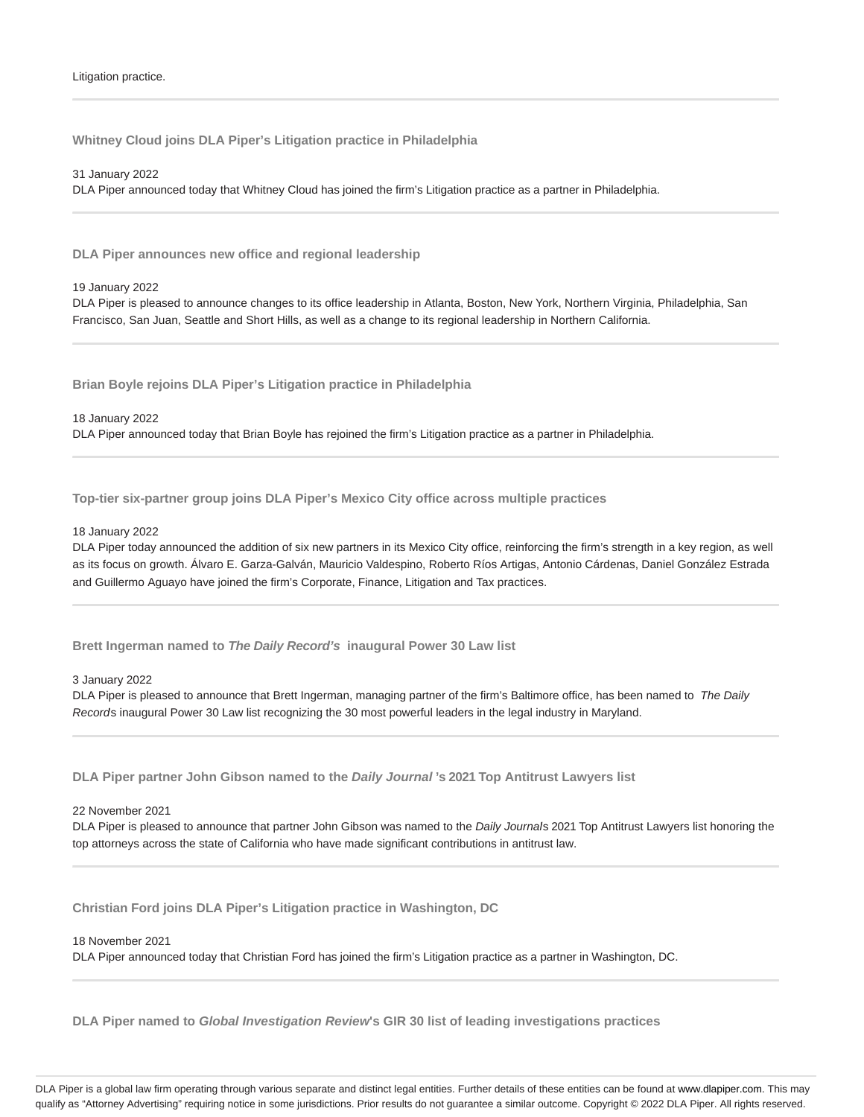**Whitney Cloud joins DLA Piper's Litigation practice in Philadelphia**

31 January 2022

DLA Piper announced today that Whitney Cloud has joined the firm's Litigation practice as a partner in Philadelphia.

**DLA Piper announces new office and regional leadership**

#### 19 January 2022

DLA Piper is pleased to announce changes to its office leadership in Atlanta, Boston, New York, Northern Virginia, Philadelphia, San Francisco, San Juan, Seattle and Short Hills, as well as a change to its regional leadership in Northern California.

**Brian Boyle rejoins DLA Piper's Litigation practice in Philadelphia**

18 January 2022

DLA Piper announced today that Brian Boyle has rejoined the firm's Litigation practice as a partner in Philadelphia.

**Top-tier six-partner group joins DLA Piper's Mexico City office across multiple practices**

#### 18 January 2022

DLA Piper today announced the addition of six new partners in its Mexico City office, reinforcing the firm's strength in a key region, as well as its focus on growth. Álvaro E. Garza-Galván, Mauricio Valdespino, Roberto Ríos Artigas, Antonio Cárdenas, Daniel González Estrada and Guillermo Aguayo have joined the firm's Corporate, Finance, Litigation and Tax practices.

**Brett Ingerman named to The Daily Record's inaugural Power 30 Law list**

#### 3 January 2022

DLA Piper is pleased to announce that Brett Ingerman, managing partner of the firm's Baltimore office, has been named to The Daily Records inaugural Power 30 Law list recognizing the 30 most powerful leaders in the legal industry in Maryland.

**DLA Piper partner John Gibson named to the Daily Journal 's 2021 Top Antitrust Lawyers list**

#### 22 November 2021

DLA Piper is pleased to announce that partner John Gibson was named to the Daily Journal's 2021 Top Antitrust Lawyers list honoring the top attorneys across the state of California who have made significant contributions in antitrust law.

**Christian Ford joins DLA Piper's Litigation practice in Washington, DC**

#### 18 November 2021

DLA Piper announced today that Christian Ford has joined the firm's Litigation practice as a partner in Washington, DC.

**DLA Piper named to Global Investigation Review's GIR 30 list of leading investigations practices**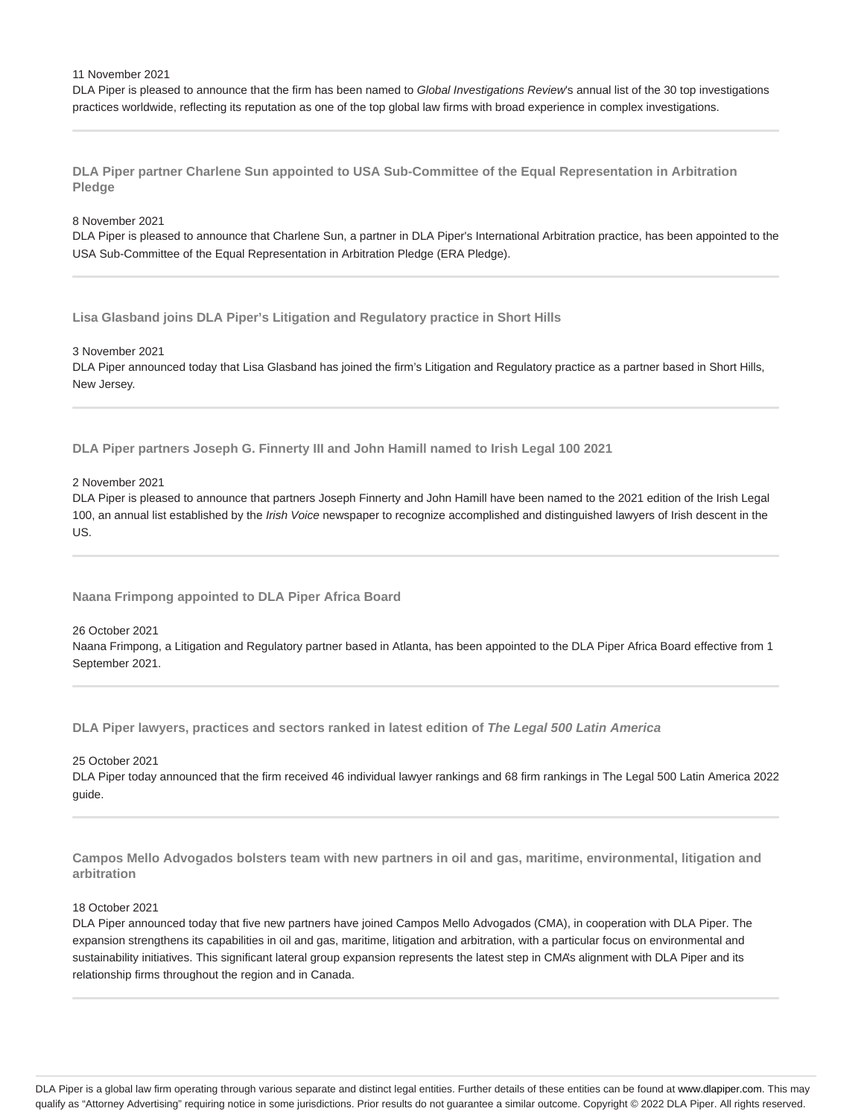#### 11 November 2021

DLA Piper is pleased to announce that the firm has been named to Global Investigations Review's annual list of the 30 top investigations practices worldwide, reflecting its reputation as one of the top global law firms with broad experience in complex investigations.

**DLA Piper partner Charlene Sun appointed to USA Sub-Committee of the Equal Representation in Arbitration Pledge**

#### 8 November 2021

DLA Piper is pleased to announce that Charlene Sun, a partner in DLA Piper's International Arbitration practice, has been appointed to the USA Sub-Committee of the Equal Representation in Arbitration Pledge (ERA Pledge).

**Lisa Glasband joins DLA Piper's Litigation and Regulatory practice in Short Hills**

3 November 2021

DLA Piper announced today that Lisa Glasband has joined the firm's Litigation and Regulatory practice as a partner based in Short Hills, New Jersey.

**DLA Piper partners Joseph G. Finnerty III and John Hamill named to Irish Legal 100 2021**

#### 2 November 2021

DLA Piper is pleased to announce that partners Joseph Finnerty and John Hamill have been named to the 2021 edition of the Irish Legal 100, an annual list established by the Irish Voice newspaper to recognize accomplished and distinguished lawyers of Irish descent in the US.

**Naana Frimpong appointed to DLA Piper Africa Board**

#### 26 October 2021

Naana Frimpong, a Litigation and Regulatory partner based in Atlanta, has been appointed to the DLA Piper Africa Board effective from 1 September 2021.

**DLA Piper lawyers, practices and sectors ranked in latest edition of The Legal 500 Latin America**

25 October 2021

DLA Piper today announced that the firm received 46 individual lawyer rankings and 68 firm rankings in The Legal 500 Latin America 2022 guide.

**Campos Mello Advogados bolsters team with new partners in oil and gas, maritime, environmental, litigation and arbitration**

#### 18 October 2021

DLA Piper announced today that five new partners have joined Campos Mello Advogados (CMA), in cooperation with DLA Piper. The expansion strengthens its capabilities in oil and gas, maritime, litigation and arbitration, with a particular focus on environmental and sustainability initiatives. This significant lateral group expansion represents the latest step in CMA's alignment with DLA Piper and its relationship firms throughout the region and in Canada.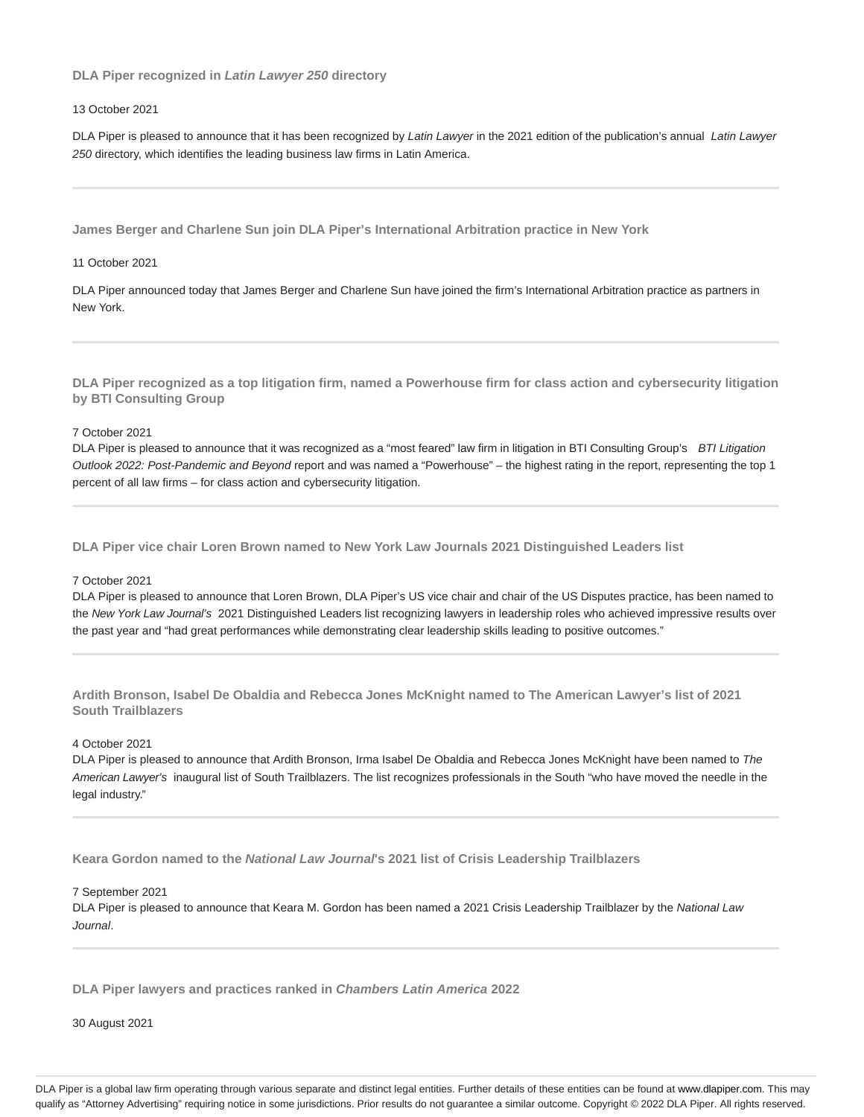**DLA Piper recognized in Latin Lawyer 250 directory**

#### 13 October 2021

DLA Piper is pleased to announce that it has been recognized by Latin Lawyer in the 2021 edition of the publication's annual Latin Lawyer 250 directory, which identifies the leading business law firms in Latin America.

**James Berger and Charlene Sun join DLA Piper's International Arbitration practice in New York**

#### 11 October 2021

DLA Piper announced today that James Berger and Charlene Sun have joined the firm's International Arbitration practice as partners in New York.

**DLA Piper recognized as a top litigation firm, named a Powerhouse firm for class action and cybersecurity litigation by BTI Consulting Group**

#### 7 October 2021

DLA Piper is pleased to announce that it was recognized as a "most feared" law firm in litigation in BTI Consulting Group's BTI Litigation Outlook 2022: Post-Pandemic and Beyond report and was named a "Powerhouse" – the highest rating in the report, representing the top 1 percent of all law firms – for class action and cybersecurity litigation.

**DLA Piper vice chair Loren Brown named to New York Law Journals 2021 Distinguished Leaders list**

#### 7 October 2021

DLA Piper is pleased to announce that Loren Brown, DLA Piper's US vice chair and chair of the US Disputes practice, has been named to the New York Law Journal's 2021 Distinguished Leaders list recognizing lawyers in leadership roles who achieved impressive results over the past year and "had great performances while demonstrating clear leadership skills leading to positive outcomes."

**Ardith Bronson, Isabel De Obaldia and Rebecca Jones McKnight named to The American Lawyer's list of 2021 South Trailblazers**

#### 4 October 2021

DLA Piper is pleased to announce that Ardith Bronson, Irma Isabel De Obaldia and Rebecca Jones McKnight have been named to The American Lawyer's inaugural list of South Trailblazers. The list recognizes professionals in the South "who have moved the needle in the legal industry."

**Keara Gordon named to the National Law Journal's 2021 list of Crisis Leadership Trailblazers**

#### 7 September 2021

DLA Piper is pleased to announce that Keara M. Gordon has been named a 2021 Crisis Leadership Trailblazer by the National Law Journal.

**DLA Piper lawyers and practices ranked in Chambers Latin America 2022**

30 August 2021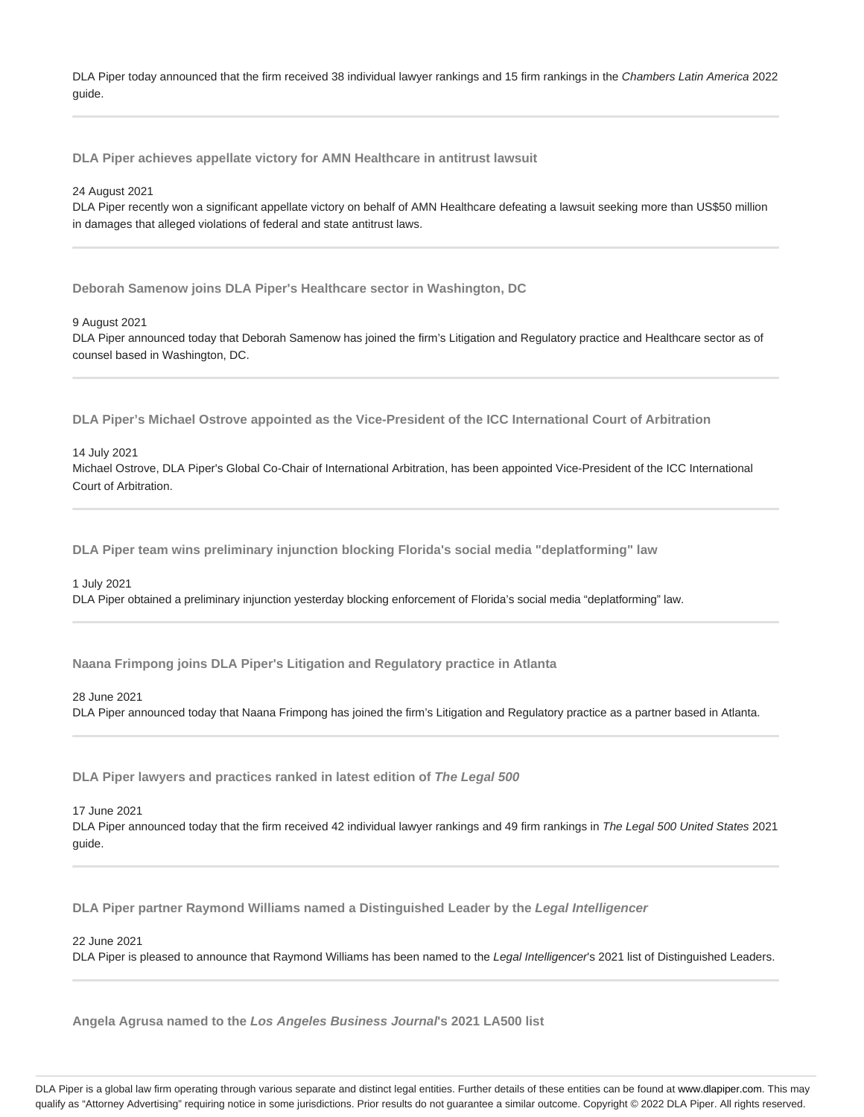DLA Piper today announced that the firm received 38 individual lawyer rankings and 15 firm rankings in the Chambers Latin America 2022 guide.

**DLA Piper achieves appellate victory for AMN Healthcare in antitrust lawsuit**

#### 24 August 2021

DLA Piper recently won a significant appellate victory on behalf of AMN Healthcare defeating a lawsuit seeking more than US\$50 million in damages that alleged violations of federal and state antitrust laws.

**Deborah Samenow joins DLA Piper's Healthcare sector in Washington, DC**

#### 9 August 2021

DLA Piper announced today that Deborah Samenow has joined the firm's Litigation and Regulatory practice and Healthcare sector as of counsel based in Washington, DC.

**DLA Piper's Michael Ostrove appointed as the Vice-President of the ICC International Court of Arbitration**

#### 14 July 2021

Michael Ostrove, DLA Piper's Global Co-Chair of International Arbitration, has been appointed Vice-President of the ICC International Court of Arbitration.

**DLA Piper team wins preliminary injunction blocking Florida's social media "deplatforming" law**

#### 1 July 2021

DLA Piper obtained a preliminary injunction yesterday blocking enforcement of Florida's social media "deplatforming" law.

**Naana Frimpong joins DLA Piper's Litigation and Regulatory practice in Atlanta**

### 28 June 2021

DLA Piper announced today that Naana Frimpong has joined the firm's Litigation and Regulatory practice as a partner based in Atlanta.

**DLA Piper lawyers and practices ranked in latest edition of The Legal 500**

#### 17 June 2021

DLA Piper announced today that the firm received 42 individual lawyer rankings and 49 firm rankings in The Legal 500 United States 2021 guide.

**DLA Piper partner Raymond Williams named a Distinguished Leader by the Legal Intelligencer**

22 June 2021

DLA Piper is pleased to announce that Raymond Williams has been named to the Legal Intelligencer's 2021 list of Distinguished Leaders.

**Angela Agrusa named to the Los Angeles Business Journal's 2021 LA500 list**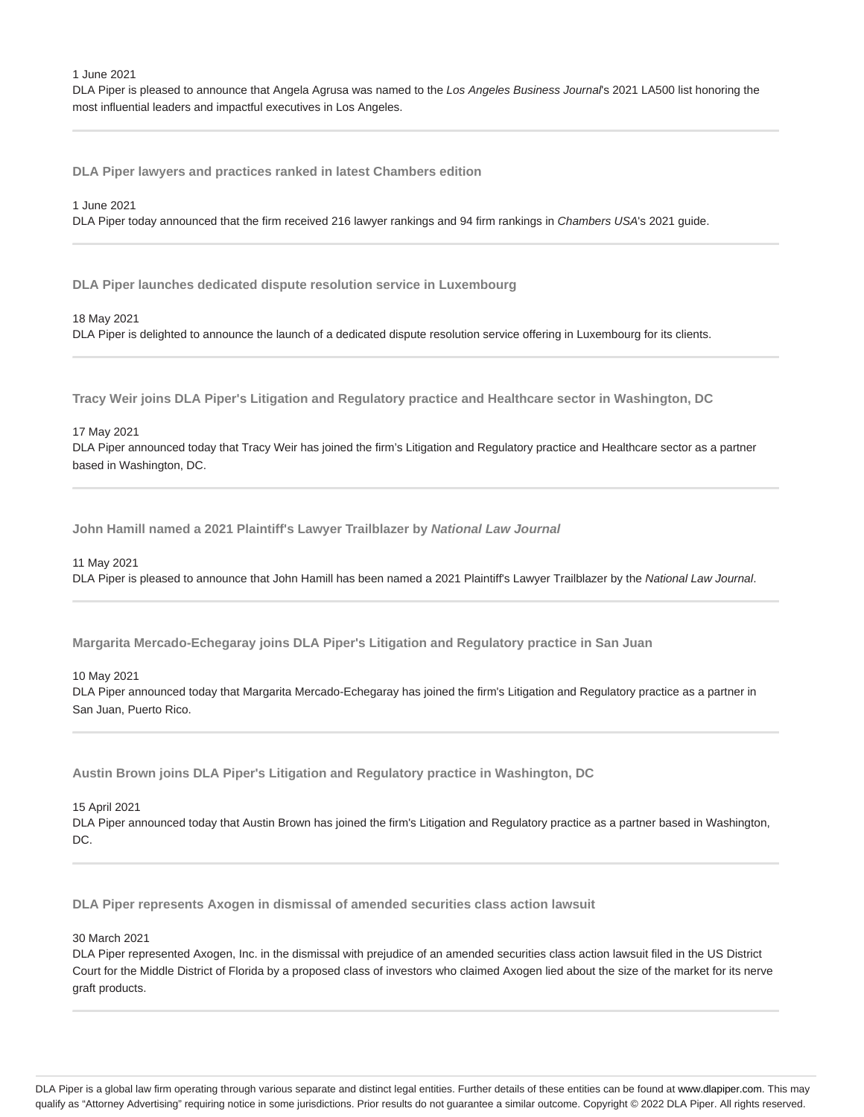1 June 2021

DLA Piper is pleased to announce that Angela Agrusa was named to the Los Angeles Business Journal's 2021 LA500 list honoring the most influential leaders and impactful executives in Los Angeles.

**DLA Piper lawyers and practices ranked in latest Chambers edition**

#### 1 June 2021

DLA Piper today announced that the firm received 216 lawyer rankings and 94 firm rankings in Chambers USA's 2021 guide.

**DLA Piper launches dedicated dispute resolution service in Luxembourg**

# 18 May 2021 DLA Piper is delighted to announce the launch of a dedicated dispute resolution service offering in Luxembourg for its clients.

**Tracy Weir joins DLA Piper's Litigation and Regulatory practice and Healthcare sector in Washington, DC**

17 May 2021

DLA Piper announced today that Tracy Weir has joined the firm's Litigation and Regulatory practice and Healthcare sector as a partner based in Washington, DC.

**John Hamill named a 2021 Plaintiff's Lawyer Trailblazer by National Law Journal**

11 May 2021

DLA Piper is pleased to announce that John Hamill has been named a 2021 Plaintiff's Lawyer Trailblazer by the National Law Journal.

**Margarita Mercado-Echegaray joins DLA Piper's Litigation and Regulatory practice in San Juan**

10 May 2021

DLA Piper announced today that Margarita Mercado-Echegaray has joined the firm's Litigation and Regulatory practice as a partner in San Juan, Puerto Rico.

**Austin Brown joins DLA Piper's Litigation and Regulatory practice in Washington, DC**

15 April 2021

DLA Piper announced today that Austin Brown has joined the firm's Litigation and Regulatory practice as a partner based in Washington, DC.

**DLA Piper represents Axogen in dismissal of amended securities class action lawsuit**

30 March 2021

DLA Piper represented Axogen, Inc. in the dismissal with prejudice of an amended securities class action lawsuit filed in the US District Court for the Middle District of Florida by a proposed class of investors who claimed Axogen lied about the size of the market for its nerve graft products.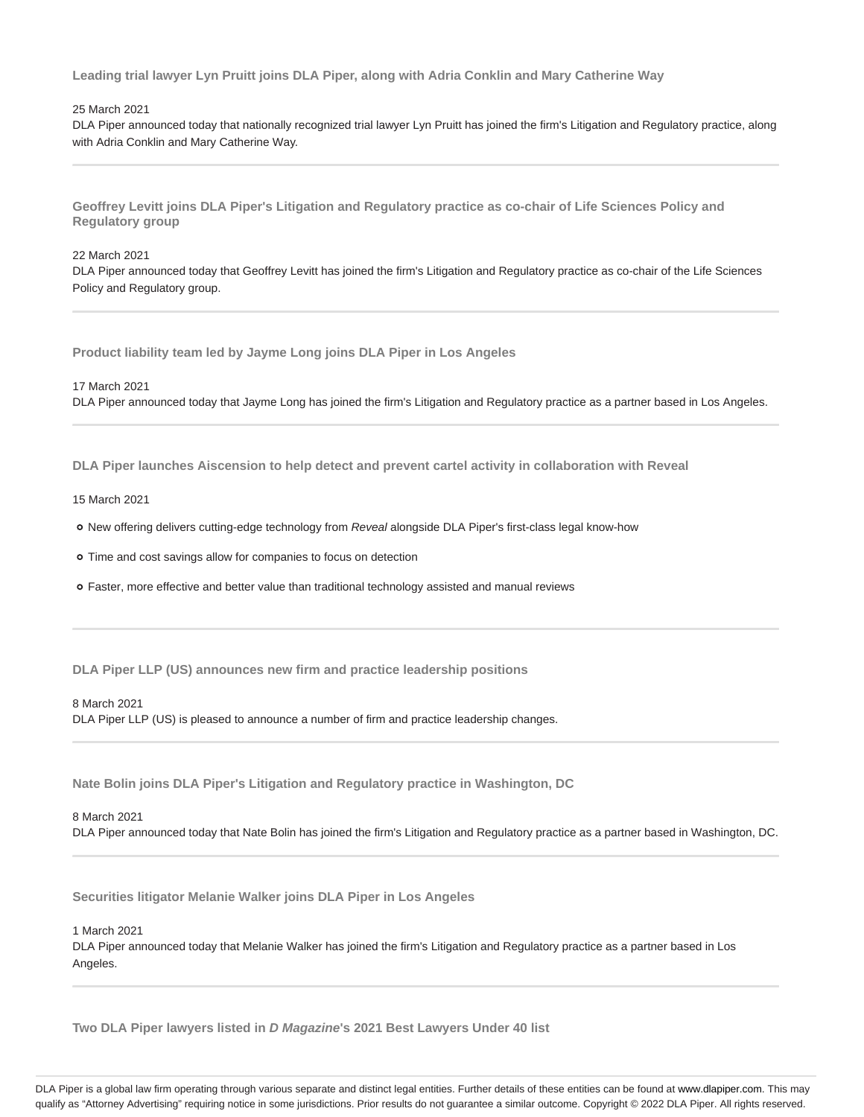**Leading trial lawyer Lyn Pruitt joins DLA Piper, along with Adria Conklin and Mary Catherine Way**

### 25 March 2021

DLA Piper announced today that nationally recognized trial lawyer Lyn Pruitt has joined the firm's Litigation and Regulatory practice, along with Adria Conklin and Mary Catherine Way.

**Geoffrey Levitt joins DLA Piper's Litigation and Regulatory practice as co-chair of Life Sciences Policy and Regulatory group**

### 22 March 2021

DLA Piper announced today that Geoffrey Levitt has joined the firm's Litigation and Regulatory practice as co-chair of the Life Sciences Policy and Regulatory group.

**Product liability team led by Jayme Long joins DLA Piper in Los Angeles**

17 March 2021

DLA Piper announced today that Jayme Long has joined the firm's Litigation and Regulatory practice as a partner based in Los Angeles.

**DLA Piper launches Aiscension to help detect and prevent cartel activity in collaboration with Reveal**

#### 15 March 2021

o New offering delivers cutting-edge technology from Reveal alongside DLA Piper's first-class legal know-how

Time and cost savings allow for companies to focus on detection

Faster, more effective and better value than traditional technology assisted and manual reviews

**DLA Piper LLP (US) announces new firm and practice leadership positions**

#### 8 March 2021

DLA Piper LLP (US) is pleased to announce a number of firm and practice leadership changes.

**Nate Bolin joins DLA Piper's Litigation and Regulatory practice in Washington, DC**

#### 8 March 2021

DLA Piper announced today that Nate Bolin has joined the firm's Litigation and Regulatory practice as a partner based in Washington, DC.

**Securities litigator Melanie Walker joins DLA Piper in Los Angeles**

1 March 2021

DLA Piper announced today that Melanie Walker has joined the firm's Litigation and Regulatory practice as a partner based in Los Angeles.

**Two DLA Piper lawyers listed in D Magazine's 2021 Best Lawyers Under 40 list**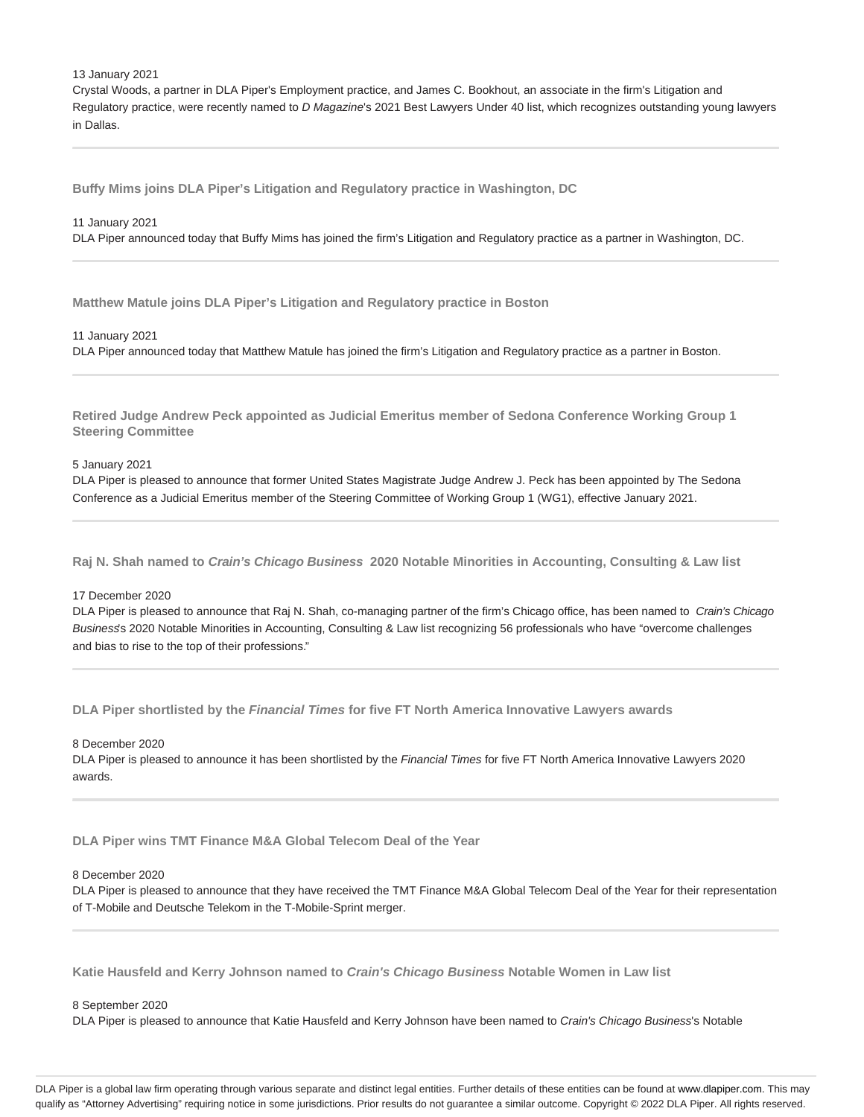#### 13 January 2021

Crystal Woods, a partner in DLA Piper's Employment practice, and James C. Bookhout, an associate in the firm's Litigation and Regulatory practice, were recently named to D Magazine's 2021 Best Lawyers Under 40 list, which recognizes outstanding young lawyers in Dallas.

**Buffy Mims joins DLA Piper's Litigation and Regulatory practice in Washington, DC**

#### 11 January 2021

DLA Piper announced today that Buffy Mims has joined the firm's Litigation and Regulatory practice as a partner in Washington, DC.

**Matthew Matule joins DLA Piper's Litigation and Regulatory practice in Boston**

#### 11 January 2021

DLA Piper announced today that Matthew Matule has joined the firm's Litigation and Regulatory practice as a partner in Boston.

**Retired Judge Andrew Peck appointed as Judicial Emeritus member of Sedona Conference Working Group 1 Steering Committee**

5 January 2021

DLA Piper is pleased to announce that former United States Magistrate Judge Andrew J. Peck has been appointed by The Sedona Conference as a Judicial Emeritus member of the Steering Committee of Working Group 1 (WG1), effective January 2021.

**Raj N. Shah named to Crain's Chicago Business 2020 Notable Minorities in Accounting, Consulting & Law list**

#### 17 December 2020

DLA Piper is pleased to announce that Raj N. Shah, co-managing partner of the firm's Chicago office, has been named to Crain's Chicago Business's 2020 Notable Minorities in Accounting, Consulting & Law list recognizing 56 professionals who have "overcome challenges and bias to rise to the top of their professions."

**DLA Piper shortlisted by the Financial Times for five FT North America Innovative Lawyers awards**

8 December 2020

DLA Piper is pleased to announce it has been shortlisted by the Financial Times for five FT North America Innovative Lawyers 2020 awards.

**DLA Piper wins TMT Finance M&A Global Telecom Deal of the Year**

#### 8 December 2020

DLA Piper is pleased to announce that they have received the TMT Finance M&A Global Telecom Deal of the Year for their representation of T-Mobile and Deutsche Telekom in the T-Mobile-Sprint merger.

**Katie Hausfeld and Kerry Johnson named to Crain's Chicago Business Notable Women in Law list**

#### 8 September 2020

DLA Piper is pleased to announce that Katie Hausfeld and Kerry Johnson have been named to Crain's Chicago Business's Notable